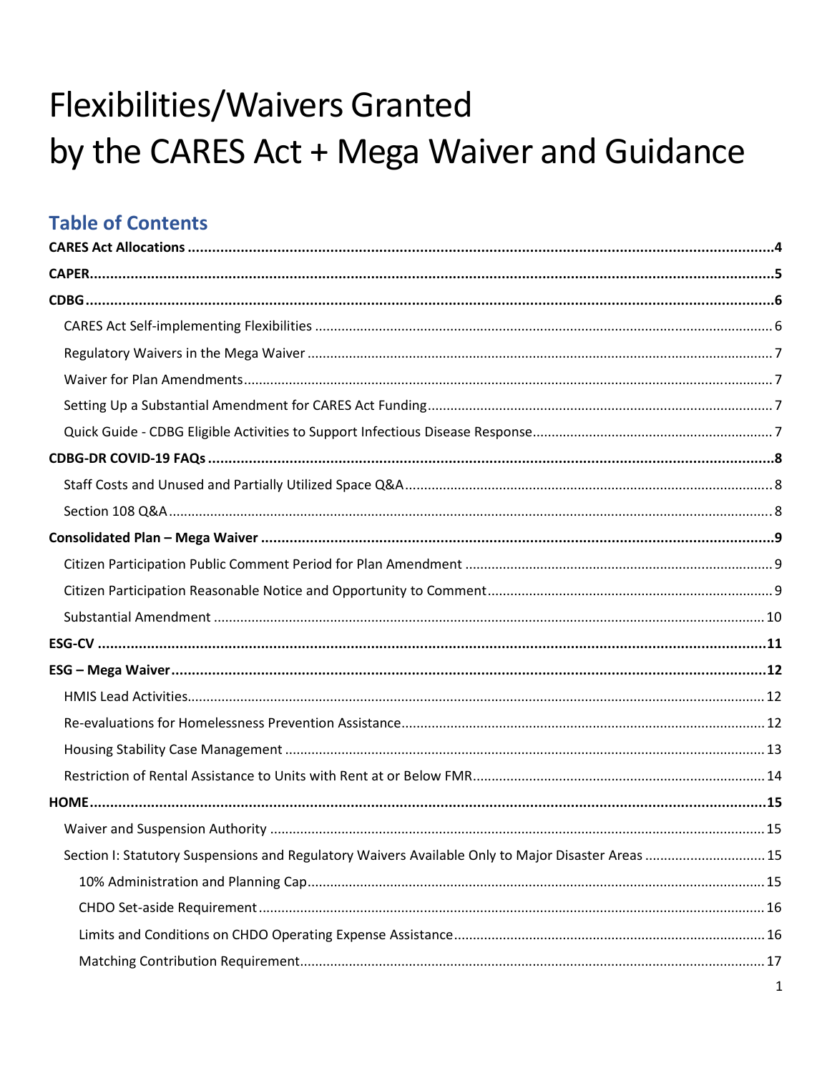# Flexibilities/Waivers Granted by the CARES Act + Mega Waiver and Guidance

### **Table of Contents**

| Section I: Statutory Suspensions and Regulatory Waivers Available Only to Major Disaster Areas  15 |  |
|----------------------------------------------------------------------------------------------------|--|
|                                                                                                    |  |
|                                                                                                    |  |
|                                                                                                    |  |
|                                                                                                    |  |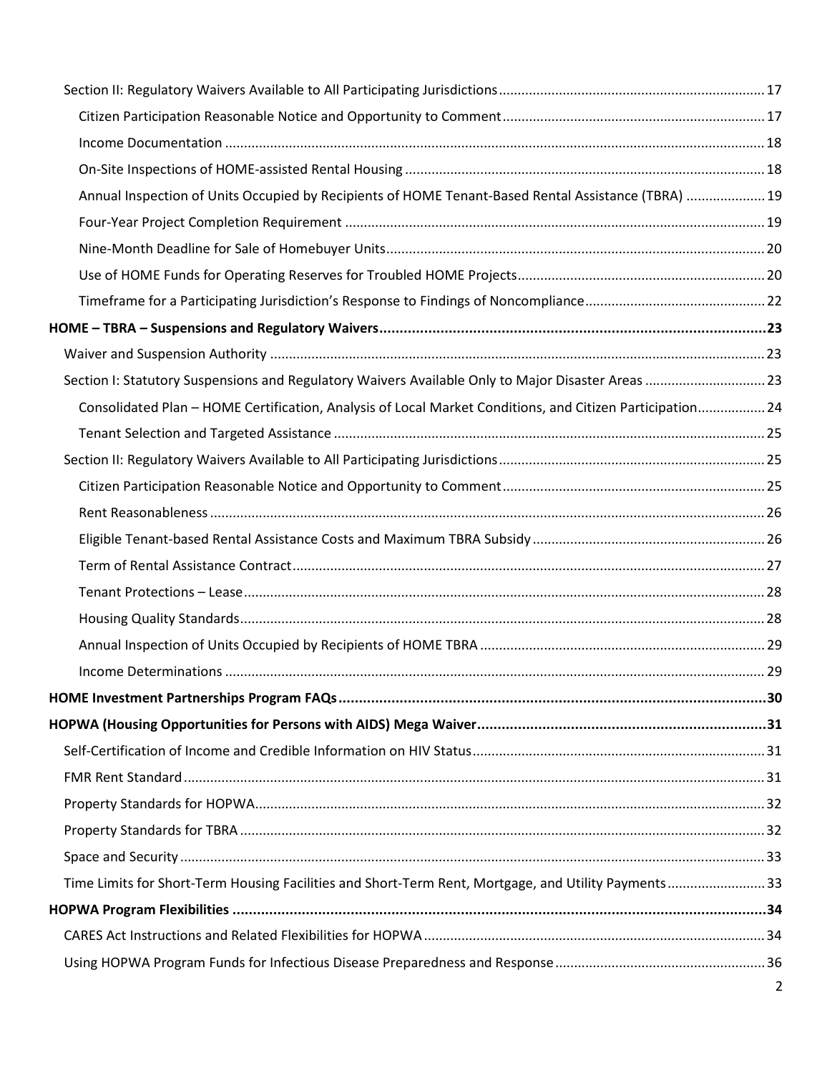| Annual Inspection of Units Occupied by Recipients of HOME Tenant-Based Rental Assistance (TBRA) 19        |  |
|-----------------------------------------------------------------------------------------------------------|--|
|                                                                                                           |  |
|                                                                                                           |  |
|                                                                                                           |  |
|                                                                                                           |  |
|                                                                                                           |  |
|                                                                                                           |  |
| Section I: Statutory Suspensions and Regulatory Waivers Available Only to Major Disaster Areas  23        |  |
| Consolidated Plan - HOME Certification, Analysis of Local Market Conditions, and Citizen Participation 24 |  |
|                                                                                                           |  |
|                                                                                                           |  |
|                                                                                                           |  |
|                                                                                                           |  |
|                                                                                                           |  |
|                                                                                                           |  |
|                                                                                                           |  |
|                                                                                                           |  |
|                                                                                                           |  |
|                                                                                                           |  |
|                                                                                                           |  |
|                                                                                                           |  |
|                                                                                                           |  |
|                                                                                                           |  |
|                                                                                                           |  |
|                                                                                                           |  |
|                                                                                                           |  |
| Time Limits for Short-Term Housing Facilities and Short-Term Rent, Mortgage, and Utility Payments33       |  |
|                                                                                                           |  |
|                                                                                                           |  |
|                                                                                                           |  |
|                                                                                                           |  |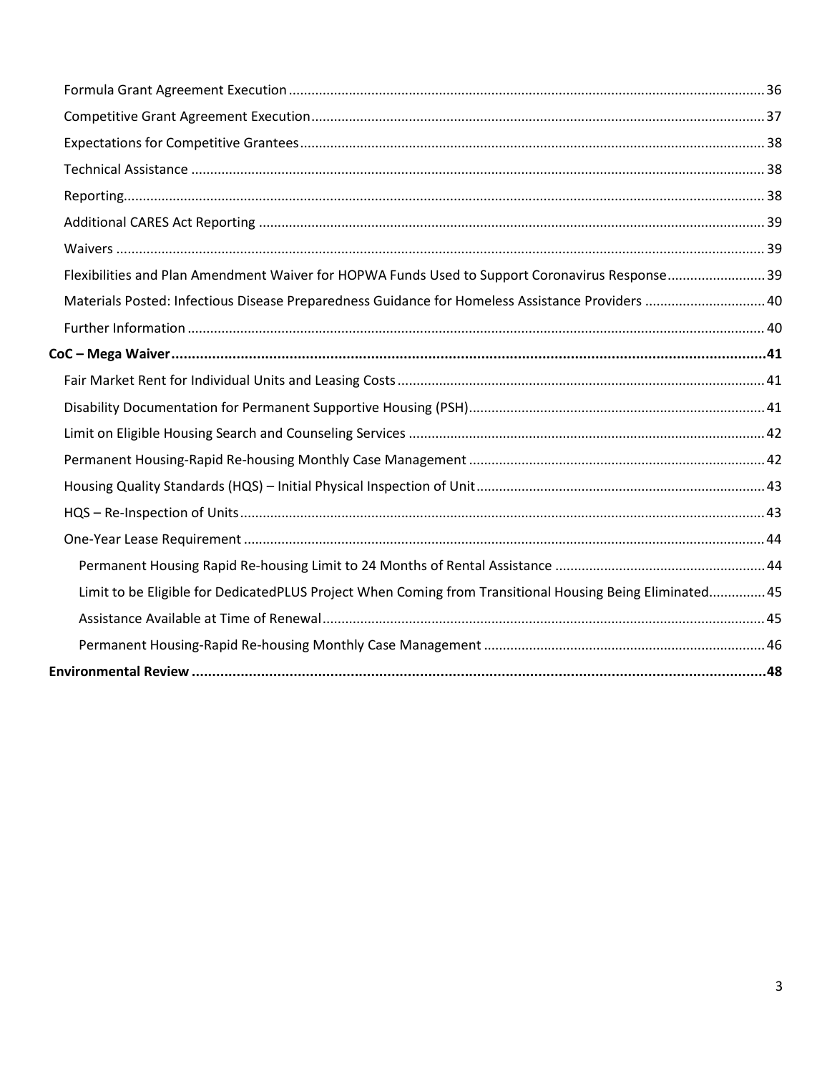| Flexibilities and Plan Amendment Waiver for HOPWA Funds Used to Support Coronavirus Response39           |  |
|----------------------------------------------------------------------------------------------------------|--|
| Materials Posted: Infectious Disease Preparedness Guidance for Homeless Assistance Providers  40         |  |
|                                                                                                          |  |
|                                                                                                          |  |
|                                                                                                          |  |
|                                                                                                          |  |
|                                                                                                          |  |
|                                                                                                          |  |
|                                                                                                          |  |
|                                                                                                          |  |
|                                                                                                          |  |
|                                                                                                          |  |
| Limit to be Eligible for DedicatedPLUS Project When Coming from Transitional Housing Being Eliminated 45 |  |
|                                                                                                          |  |
|                                                                                                          |  |
|                                                                                                          |  |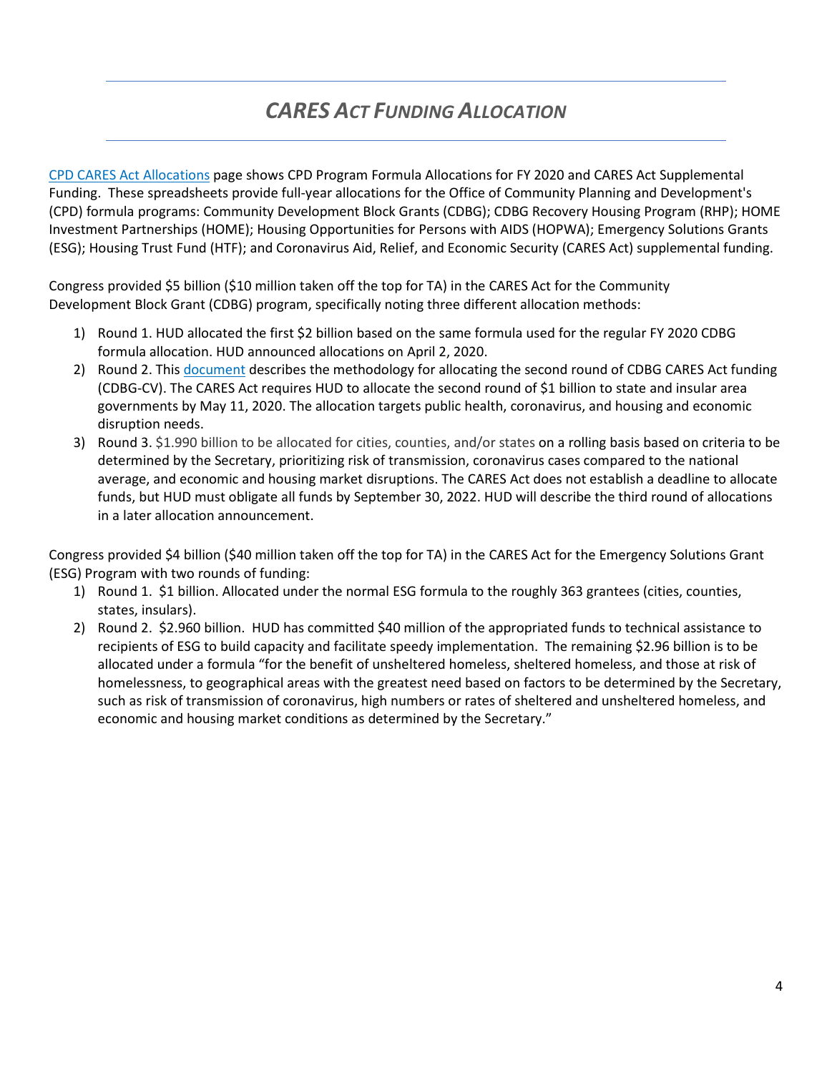# *CARES ACT FUNDING ALLOCATION*

[CPD CARES Act Allocations](https://www.hud.gov/program_offices/comm_planning/budget/fy20) page shows CPD Program Formula Allocations for FY 2020 and CARES Act Supplemental Funding. These spreadsheets provide full-year allocations for the Office of Community Planning and Development's (CPD) formula programs: Community Development Block Grants (CDBG); CDBG Recovery Housing Program (RHP); HOME Investment Partnerships (HOME); Housing Opportunities for Persons with AIDS (HOPWA); Emergency Solutions Grants (ESG); Housing Trust Fund (HTF); and Coronavirus Aid, Relief, and Economic Security (CARES Act) supplemental funding.

Congress provided \$5 billion (\$10 million taken off the top for TA) in the CARES Act for the Community Development Block Grant (CDBG) program, specifically noting three different allocation methods:

- 1) Round 1. HUD allocated the first \$2 billion based on the same formula used for the regular FY 2020 CDBG formula allocation. HUD announced allocations on April 2, 2020.
- 2) Round 2. This [document](https://www.hud.gov/sites/dfiles/CPD/documents/Revised_CDBG-CV2_Methodology.pdf) describes the methodology for allocating the second round of CDBG CARES Act funding (CDBG-CV). The CARES Act requires HUD to allocate the second round of \$1 billion to state and insular area governments by May 11, 2020. The allocation targets public health, coronavirus, and housing and economic disruption needs.
- 3) Round 3. \$1.990 billion to be allocated for cities, counties, and/or states on a rolling basis based on criteria to be determined by the Secretary, prioritizing risk of transmission, coronavirus cases compared to the national average, and economic and housing market disruptions. The CARES Act does not establish a deadline to allocate funds, but HUD must obligate all funds by September 30, 2022. HUD will describe the third round of allocations in a later allocation announcement.

Congress provided \$4 billion (\$40 million taken off the top for TA) in the CARES Act for the Emergency Solutions Grant (ESG) Program with two rounds of funding:

- 1) Round 1. \$1 billion. Allocated under the normal ESG formula to the roughly 363 grantees (cities, counties, states, insulars).
- 2) Round 2. \$2.960 billion. HUD has committed \$40 million of the appropriated funds to technical assistance to recipients of ESG to build capacity and facilitate speedy implementation. The remaining \$2.96 billion is to be allocated under a formula "for the benefit of unsheltered homeless, sheltered homeless, and those at risk of homelessness, to geographical areas with the greatest need based on factors to be determined by the Secretary, such as risk of transmission of coronavirus, high numbers or rates of sheltered and unsheltered homeless, and economic and housing market conditions as determined by the Secretary."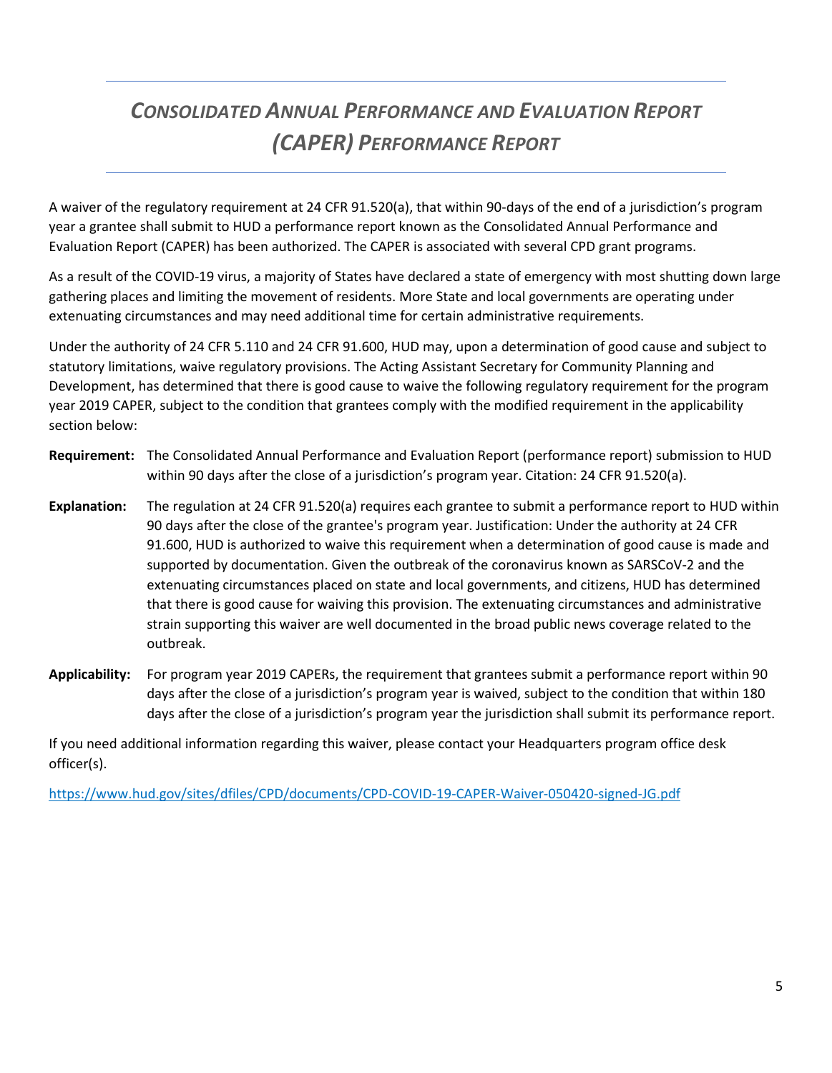# *CONSOLIDATED ANNUAL PERFORMANCE AND EVALUATION REPORT (CAPER) PERFORMANCE REPORT*

A waiver of the regulatory requirement at 24 CFR 91.520(a), that within 90-days of the end of a jurisdiction's program year a grantee shall submit to HUD a performance report known as the Consolidated Annual Performance and Evaluation Report (CAPER) has been authorized. The CAPER is associated with several CPD grant programs.

As a result of the COVID-19 virus, a majority of States have declared a state of emergency with most shutting down large gathering places and limiting the movement of residents. More State and local governments are operating under extenuating circumstances and may need additional time for certain administrative requirements.

Under the authority of 24 CFR 5.110 and 24 CFR 91.600, HUD may, upon a determination of good cause and subject to statutory limitations, waive regulatory provisions. The Acting Assistant Secretary for Community Planning and Development, has determined that there is good cause to waive the following regulatory requirement for the program year 2019 CAPER, subject to the condition that grantees comply with the modified requirement in the applicability section below:

- **Requirement:** The Consolidated Annual Performance and Evaluation Report (performance report) submission to HUD within 90 days after the close of a jurisdiction's program year. Citation: 24 CFR 91.520(a).
- **Explanation:** The regulation at 24 CFR 91.520(a) requires each grantee to submit a performance report to HUD within 90 days after the close of the grantee's program year. Justification: Under the authority at 24 CFR 91.600, HUD is authorized to waive this requirement when a determination of good cause is made and supported by documentation. Given the outbreak of the coronavirus known as SARSCoV-2 and the extenuating circumstances placed on state and local governments, and citizens, HUD has determined that there is good cause for waiving this provision. The extenuating circumstances and administrative strain supporting this waiver are well documented in the broad public news coverage related to the outbreak.
- **Applicability:** For program year 2019 CAPERs, the requirement that grantees submit a performance report within 90 days after the close of a jurisdiction's program year is waived, subject to the condition that within 180 days after the close of a jurisdiction's program year the jurisdiction shall submit its performance report.

If you need additional information regarding this waiver, please contact your Headquarters program office desk officer(s).

<https://www.hud.gov/sites/dfiles/CPD/documents/CPD-COVID-19-CAPER-Waiver-050420-signed-JG.pdf>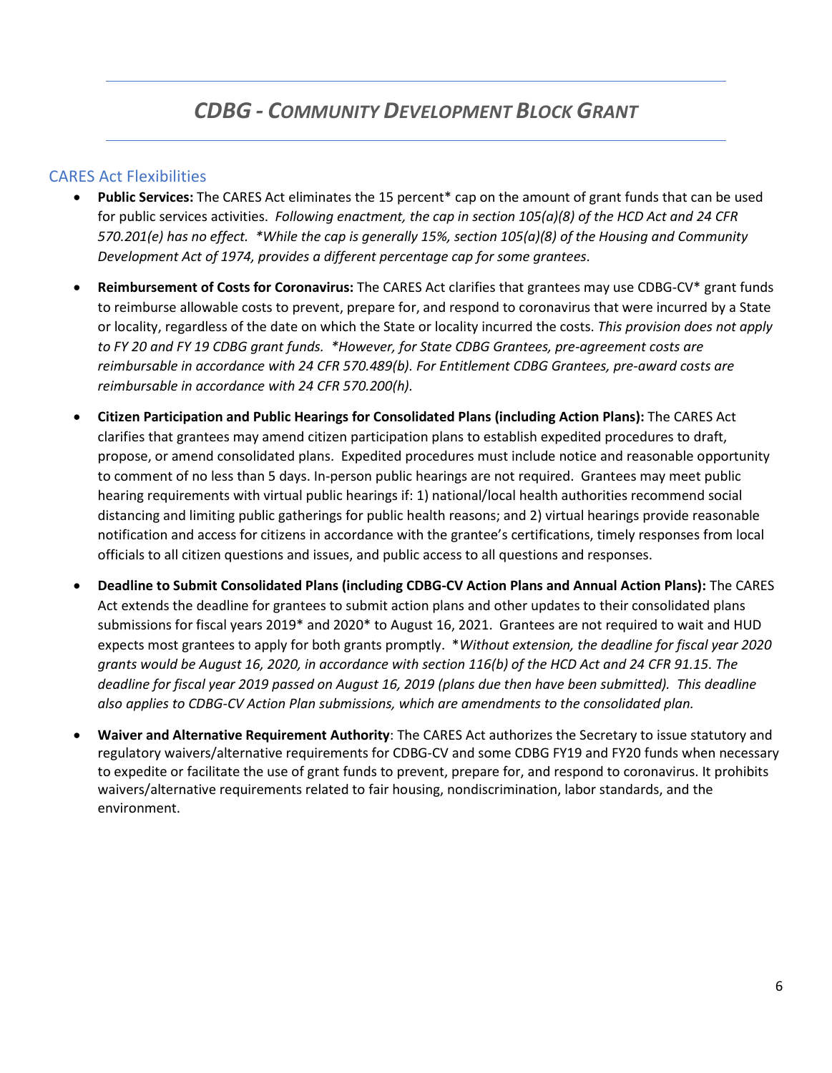### <span id="page-5-0"></span>CARES Act Flexibilities

- **Public Services:** The CARES Act eliminates the 15 percent\* cap on the amount of grant funds that can be used for public services activities. *Following enactment, the cap in section 105(a)(8) of the HCD Act and 24 CFR 570.201(e) has no effect. \*While the cap is generally 15%, section 105(a)(8) of the Housing and Community Development Act of 1974, provides a different percentage cap for some grantees*.
- **Reimbursement of Costs for Coronavirus:** The CARES Act clarifies that grantees may use CDBG-CV\* grant funds to reimburse allowable costs to prevent, prepare for, and respond to coronavirus that were incurred by a State or locality, regardless of the date on which the State or locality incurred the costs. *This provision does not apply to FY 20 and FY 19 CDBG grant funds. \*However, for State CDBG Grantees, pre-agreement costs are reimbursable in accordance with 24 CFR 570.489(b). For Entitlement CDBG Grantees, pre-award costs are reimbursable in accordance with 24 CFR 570.200(h).*
- **Citizen Participation and Public Hearings for Consolidated Plans (including Action Plans):** The CARES Act clarifies that grantees may amend citizen participation plans to establish expedited procedures to draft, propose, or amend consolidated plans. Expedited procedures must include notice and reasonable opportunity to comment of no less than 5 days. In-person public hearings are not required. Grantees may meet public hearing requirements with virtual public hearings if: 1) national/local health authorities recommend social distancing and limiting public gatherings for public health reasons; and 2) virtual hearings provide reasonable notification and access for citizens in accordance with the grantee's certifications, timely responses from local officials to all citizen questions and issues, and public access to all questions and responses.
- **Deadline to Submit Consolidated Plans (including CDBG-CV Action Plans and Annual Action Plans):** The CARES Act extends the deadline for grantees to submit action plans and other updates to their consolidated plans submissions for fiscal years 2019\* and 2020\* to August 16, 2021. Grantees are not required to wait and HUD expects most grantees to apply for both grants promptly. \**Without extension, the deadline for fiscal year 2020 grants would be August 16, 2020, in accordance with section 116(b) of the HCD Act and 24 CFR 91.15. The deadline for fiscal year 2019 passed on August 16, 2019 (plans due then have been submitted). This deadline also applies to CDBG-CV Action Plan submissions, which are amendments to the consolidated plan.*
- **Waiver and Alternative Requirement Authority**: The CARES Act authorizes the Secretary to issue statutory and regulatory waivers/alternative requirements for CDBG-CV and some CDBG FY19 and FY20 funds when necessary to expedite or facilitate the use of grant funds to prevent, prepare for, and respond to coronavirus. It prohibits waivers/alternative requirements related to fair housing, nondiscrimination, labor standards, and the environment.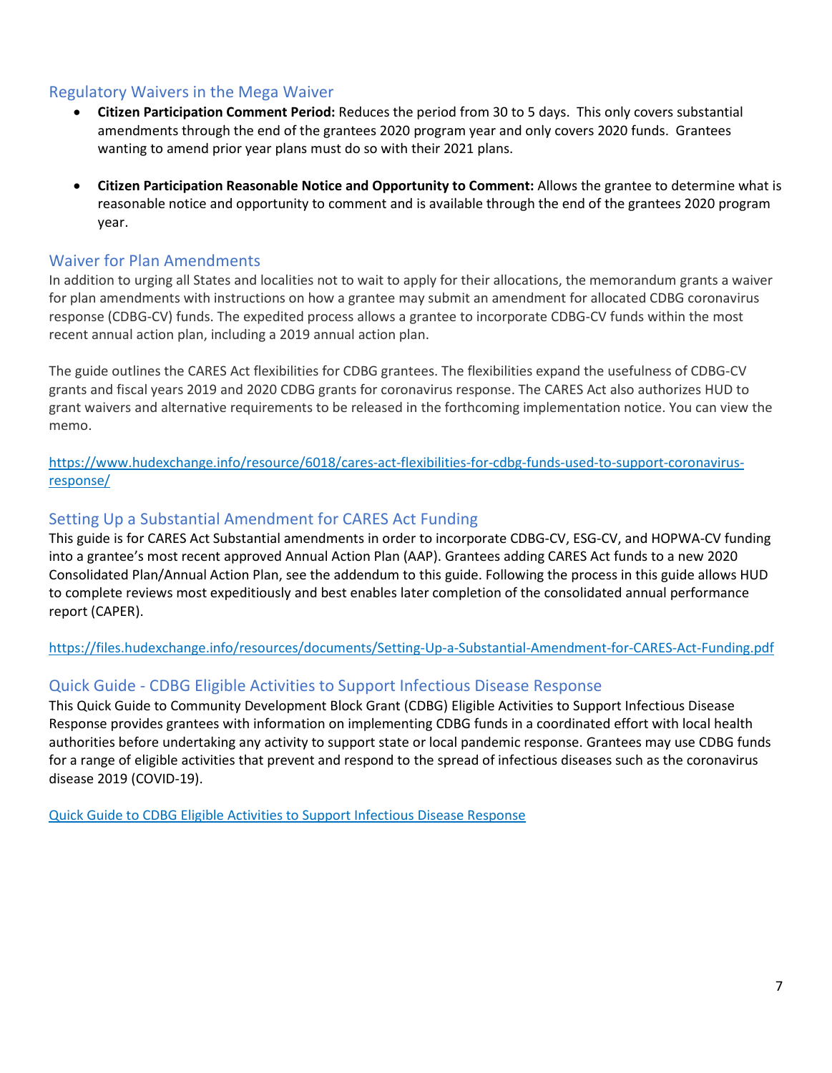### <span id="page-6-0"></span>Regulatory Waivers in the Mega Waiver

- **Citizen Participation Comment Period:** Reduces the period from 30 to 5 days. This only covers substantial amendments through the end of the grantees 2020 program year and only covers 2020 funds. Grantees wanting to amend prior year plans must do so with their 2021 plans.
- **Citizen Participation Reasonable Notice and Opportunity to Comment:** Allows the grantee to determine what is reasonable notice and opportunity to comment and is available through the end of the grantees 2020 program year.

### <span id="page-6-1"></span>Waiver for Plan Amendments

In addition to urging all States and localities not to wait to apply for their allocations, the memorandum grants a waiver for plan amendments with instructions on how a grantee may submit an amendment for allocated CDBG coronavirus response (CDBG-CV) funds. The expedited process allows a grantee to incorporate CDBG-CV funds within the most recent annual action plan, including a 2019 annual action plan.

The guide outlines the CARES Act flexibilities for CDBG grantees. The flexibilities expand the usefulness of CDBG-CV grants and fiscal years 2019 and 2020 CDBG grants for coronavirus response. The CARES Act also authorizes HUD to grant waivers and alternative requirements to be released in the forthcoming implementation notice. You can view the memo.

[https://www.hudexchange.info/resource/6018/cares-act-flexibilities-for-cdbg-funds-used-to-support-coronavirus](https://www.hudexchange.info/resource/6018/cares-act-flexibilities-for-cdbg-funds-used-to-support-coronavirus-response/)[response/](https://www.hudexchange.info/resource/6018/cares-act-flexibilities-for-cdbg-funds-used-to-support-coronavirus-response/)

### <span id="page-6-2"></span>Setting Up a Substantial Amendment for CARES Act Funding

This guide is for CARES Act Substantial amendments in order to incorporate CDBG-CV, ESG-CV, and HOPWA-CV funding into a grantee's most recent approved Annual Action Plan (AAP). Grantees adding CARES Act funds to a new 2020 Consolidated Plan/Annual Action Plan, see the addendum to this guide. Following the process in this guide allows HUD to complete reviews most expeditiously and best enables later completion of the consolidated annual performance report (CAPER).

<https://files.hudexchange.info/resources/documents/Setting-Up-a-Substantial-Amendment-for-CARES-Act-Funding.pdf>

### <span id="page-6-3"></span>Quick Guide - CDBG Eligible Activities to Support Infectious Disease Response

This Quick Guide to Community Development Block Grant (CDBG) Eligible Activities to Support Infectious Disease Response provides grantees with information on implementing CDBG funds in a coordinated effort with local health authorities before undertaking any activity to support state or local pandemic response. Grantees may use CDBG funds for a range of eligible activities that prevent and respond to the spread of infectious diseases such as the coronavirus disease 2019 (COVID-19).

<span id="page-6-4"></span>[Quick Guide to CDBG Eligible Activities to Support Infectious Disease Response](https://files.hudexchange.info/resources/documents/Quick-Guide-CDBG-Infectious-Disease-Response.pdf)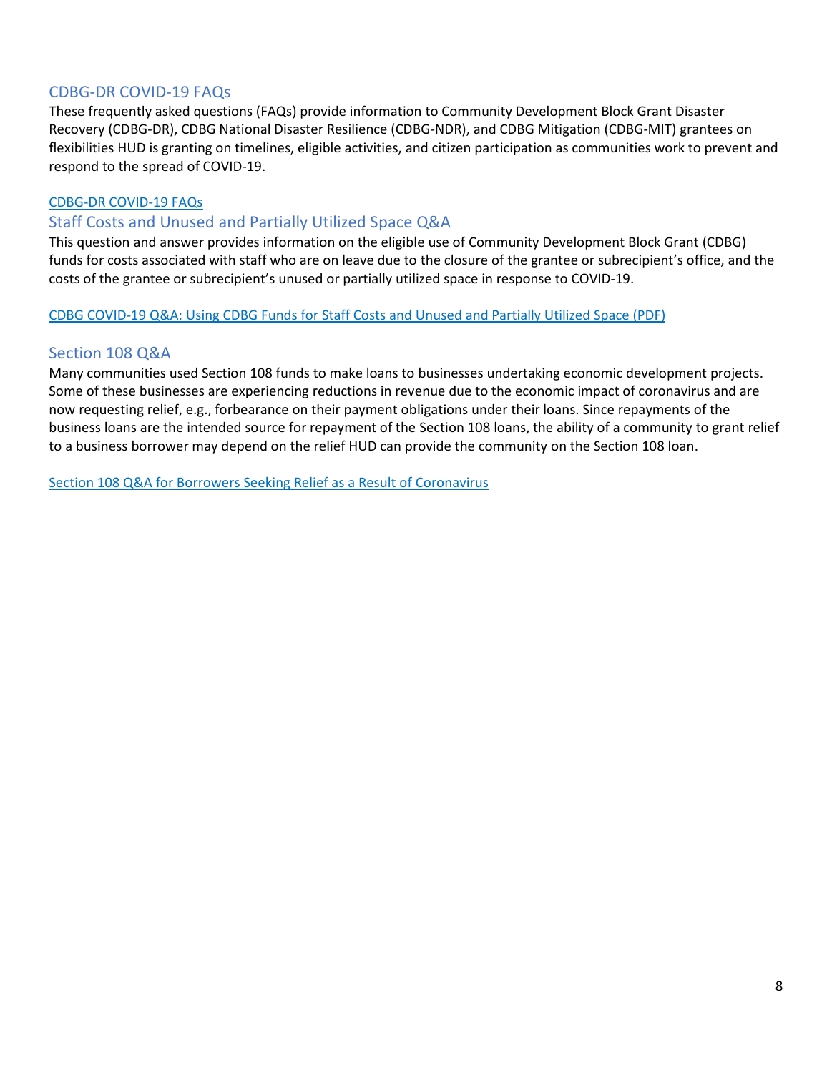### CDBG-DR COVID-19 FAQs

These frequently asked questions (FAQs) provide information to Community Development Block Grant Disaster Recovery (CDBG-DR), CDBG National Disaster Resilience (CDBG-NDR), and CDBG Mitigation (CDBG-MIT) grantees on flexibilities HUD is granting on timelines, eligible activities, and citizen participation as communities work to prevent and respond to the spread of COVID-19.

### [CDBG-DR COVID-19 FAQs](https://files.hudexchange.info/resources/documents/CDBG-DR-COVID-19-FAQs.pdf)

### <span id="page-7-0"></span>Staff Costs and Unused and Partially Utilized Space Q&A

This question and answer provides information on the eligible use of Community Development Block Grant (CDBG) funds for costs associated with staff who are on leave due to the closure of the grantee or subrecipient's office, and the costs of the grantee or subrecipient's unused or partially utilized space in response to COVID-19.

### [CDBG COVID-19 Q&A: Using CDBG Funds for Staff Costs and Unused and Partially Utilized Space \(PDF\)](https://www.hudexchange.info/resource/6002/cdbg-covid19-qa/)

### <span id="page-7-1"></span>Section 108 Q&A

Many communities used Section 108 funds to make loans to businesses undertaking economic development projects. Some of these businesses are experiencing reductions in revenue due to the economic impact of coronavirus and are now requesting relief, e.g., forbearance on their payment obligations under their loans. Since repayments of the business loans are the intended source for repayment of the Section 108 loans, the ability of a community to grant relief to a business borrower may depend on the relief HUD can provide the community on the Section 108 loan.

[Section 108 Q&A for Borrowers Seeking Relief as a Result of Coronavirus](https://files.hudexchange.info/resources/documents/Relief-for-HUD-Section-108-Borrowers-Impacted-by-Coronavirus.pdf)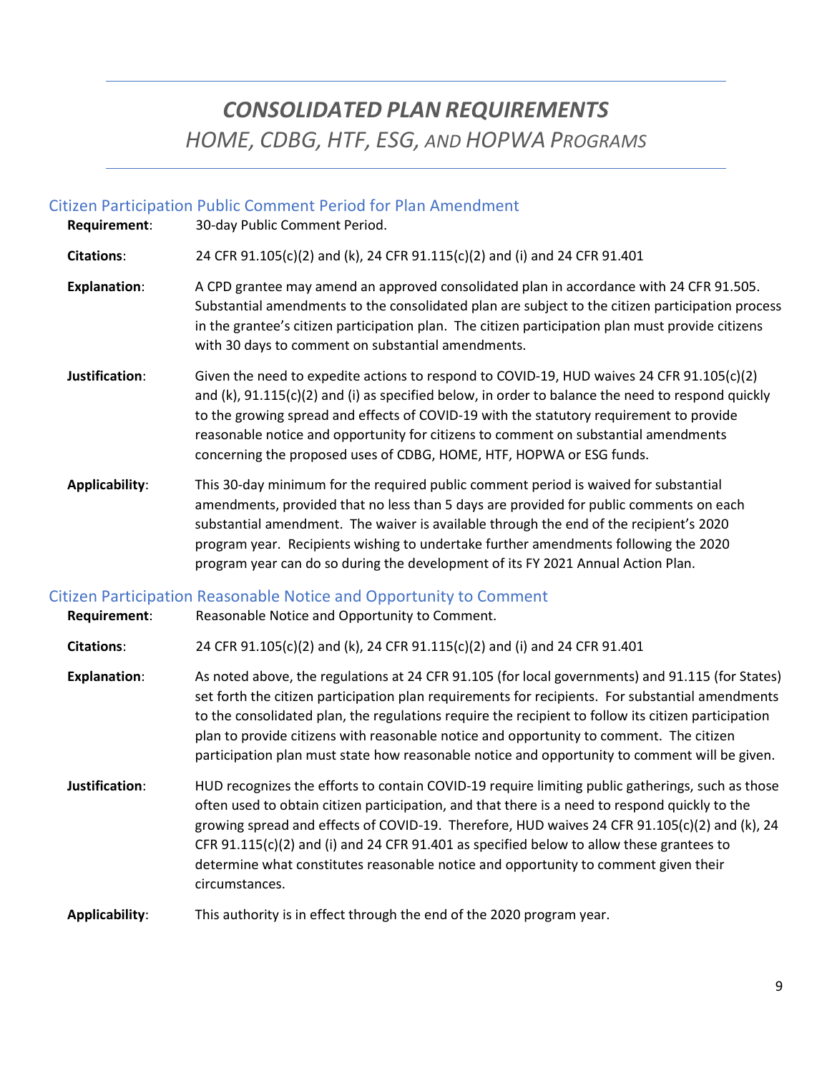# *CONSOLIDATED PLAN REQUIREMENTS HOME, CDBG, HTF, ESG, AND HOPWA PROGRAMS*

### <span id="page-8-0"></span>Citizen Participation Public Comment Period for Plan Amendment

**Requirement**: 30-day Public Comment Period.

**Citations**: 24 CFR 91.105(c)(2) and (k), 24 CFR 91.115(c)(2) and (i) and 24 CFR 91.401

- **Explanation**: A CPD grantee may amend an approved consolidated plan in accordance with 24 CFR 91.505. Substantial amendments to the consolidated plan are subject to the citizen participation process in the grantee's citizen participation plan. The citizen participation plan must provide citizens with 30 days to comment on substantial amendments.
- **Justification**: Given the need to expedite actions to respond to COVID-19, HUD waives 24 CFR 91.105(c)(2) and (k), 91.115(c)(2) and (i) as specified below, in order to balance the need to respond quickly to the growing spread and effects of COVID-19 with the statutory requirement to provide reasonable notice and opportunity for citizens to comment on substantial amendments concerning the proposed uses of CDBG, HOME, HTF, HOPWA or ESG funds.
- **Applicability**: This 30-day minimum for the required public comment period is waived for substantial amendments, provided that no less than 5 days are provided for public comments on each substantial amendment. The waiver is available through the end of the recipient's 2020 program year. Recipients wishing to undertake further amendments following the 2020 program year can do so during the development of its FY 2021 Annual Action Plan.

### <span id="page-8-1"></span>Citizen Participation Reasonable Notice and Opportunity to Comment

<span id="page-8-2"></span>

| Requirement:        | Reasonable Notice and Opportunity to Comment.                                                                                                                                                                                                                                                                                                                                                                                                                                                                  |
|---------------------|----------------------------------------------------------------------------------------------------------------------------------------------------------------------------------------------------------------------------------------------------------------------------------------------------------------------------------------------------------------------------------------------------------------------------------------------------------------------------------------------------------------|
| <b>Citations:</b>   | 24 CFR 91.105(c)(2) and (k), 24 CFR 91.115(c)(2) and (i) and 24 CFR 91.401                                                                                                                                                                                                                                                                                                                                                                                                                                     |
| <b>Explanation:</b> | As noted above, the regulations at 24 CFR 91.105 (for local governments) and 91.115 (for States)<br>set forth the citizen participation plan requirements for recipients. For substantial amendments<br>to the consolidated plan, the regulations require the recipient to follow its citizen participation<br>plan to provide citizens with reasonable notice and opportunity to comment. The citizen<br>participation plan must state how reasonable notice and opportunity to comment will be given.        |
| Justification:      | HUD recognizes the efforts to contain COVID-19 require limiting public gatherings, such as those<br>often used to obtain citizen participation, and that there is a need to respond quickly to the<br>growing spread and effects of COVID-19. Therefore, HUD waives 24 CFR $91.105(c)(2)$ and (k), 24<br>CFR $91.115(c)(2)$ and (i) and 24 CFR $91.401$ as specified below to allow these grantees to<br>determine what constitutes reasonable notice and opportunity to comment given their<br>circumstances. |
| Applicability:      | This authority is in effect through the end of the 2020 program year.                                                                                                                                                                                                                                                                                                                                                                                                                                          |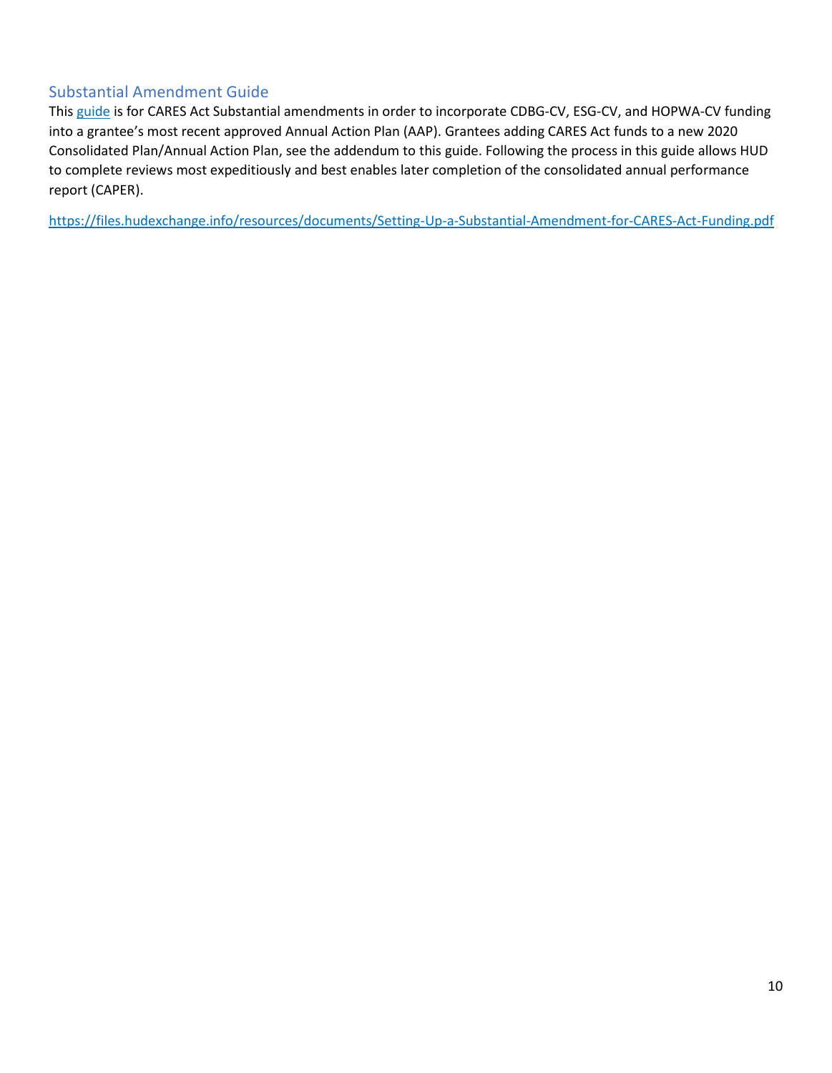### Substantial Amendment Guide

This [guide](https://files.hudexchange.info/resources/documents/Setting-Up-a-Substantial-Amendment-for-CARES-Act-Funding.pdf) is for CARES Act Substantial amendments in order to incorporate CDBG-CV, ESG-CV, and HOPWA-CV funding into a grantee's most recent approved Annual Action Plan (AAP). Grantees adding CARES Act funds to a new 2020 Consolidated Plan/Annual Action Plan, see the addendum to this guide. Following the process in this guide allows HUD to complete reviews most expeditiously and best enables later completion of the consolidated annual performance report (CAPER).

<https://files.hudexchange.info/resources/documents/Setting-Up-a-Substantial-Amendment-for-CARES-Act-Funding.pdf>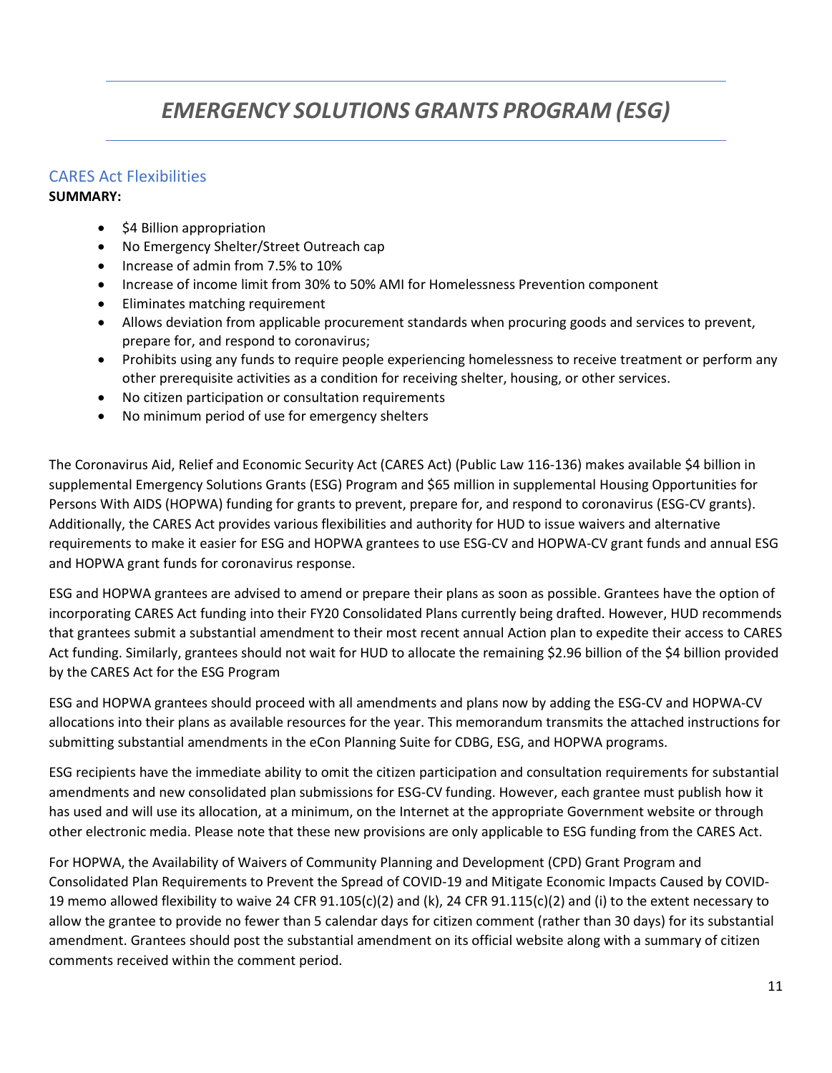# *EMERGENCY SOLUTIONS GRANTS PROGRAM (ESG)*

### CARES Act Flexibilities

### **SUMMARY:**

- \$4 Billion appropriation
- No Emergency Shelter/Street Outreach cap
- Increase of admin from 7.5% to 10%
- Increase of income limit from 30% to 50% AMI for Homelessness Prevention component
- Eliminates matching requirement
- Allows deviation from applicable procurement standards when procuring goods and services to prevent, prepare for, and respond to coronavirus;
- Prohibits using any funds to require people experiencing homelessness to receive treatment or perform any other prerequisite activities as a condition for receiving shelter, housing, or other services.
- No citizen participation or consultation requirements
- No minimum period of use for emergency shelters

The Coronavirus Aid, Relief and Economic Security Act (CARES Act) (Public Law 116-136) makes available \$4 billion in supplemental Emergency Solutions Grants (ESG) Program and \$65 million in supplemental Housing Opportunities for Persons With AIDS (HOPWA) funding for grants to prevent, prepare for, and respond to coronavirus (ESG-CV grants). Additionally, the CARES Act provides various flexibilities and authority for HUD to issue waivers and alternative requirements to make it easier for ESG and HOPWA grantees to use ESG-CV and HOPWA-CV grant funds and annual ESG and HOPWA grant funds for coronavirus response.

ESG and HOPWA grantees are advised to amend or prepare their plans as soon as possible. Grantees have the option of incorporating CARES Act funding into their FY20 Consolidated Plans currently being drafted. However, HUD recommends that grantees submit a substantial amendment to their most recent annual Action plan to expedite their access to CARES Act funding. Similarly, grantees should not wait for HUD to allocate the remaining \$2.96 billion of the \$4 billion provided by the CARES Act for the ESG Program

ESG and HOPWA grantees should proceed with all amendments and plans now by adding the ESG-CV and HOPWA-CV allocations into their plans as available resources for the year. This memorandum transmits the attached instructions for submitting substantial amendments in the eCon Planning Suite for CDBG, ESG, and HOPWA programs.

ESG recipients have the immediate ability to omit the citizen participation and consultation requirements for substantial amendments and new consolidated plan submissions for ESG-CV funding. However, each grantee must publish how it has used and will use its allocation, at a minimum, on the Internet at the appropriate Government website or through other electronic media. Please note that these new provisions are only applicable to ESG funding from the CARES Act.

For HOPWA, the Availability of Waivers of Community Planning and Development (CPD) Grant Program and Consolidated Plan Requirements to Prevent the Spread of COVID-19 and Mitigate Economic Impacts Caused by COVID-19 memo allowed flexibility to waive 24 CFR  $91.105(c)(2)$  and (k), 24 CFR  $91.115(c)(2)$  and (i) to the extent necessary to allow the grantee to provide no fewer than 5 calendar days for citizen comment (rather than 30 days) for its substantial amendment. Grantees should post the substantial amendment on its official website along with a summary of citizen comments received within the comment period.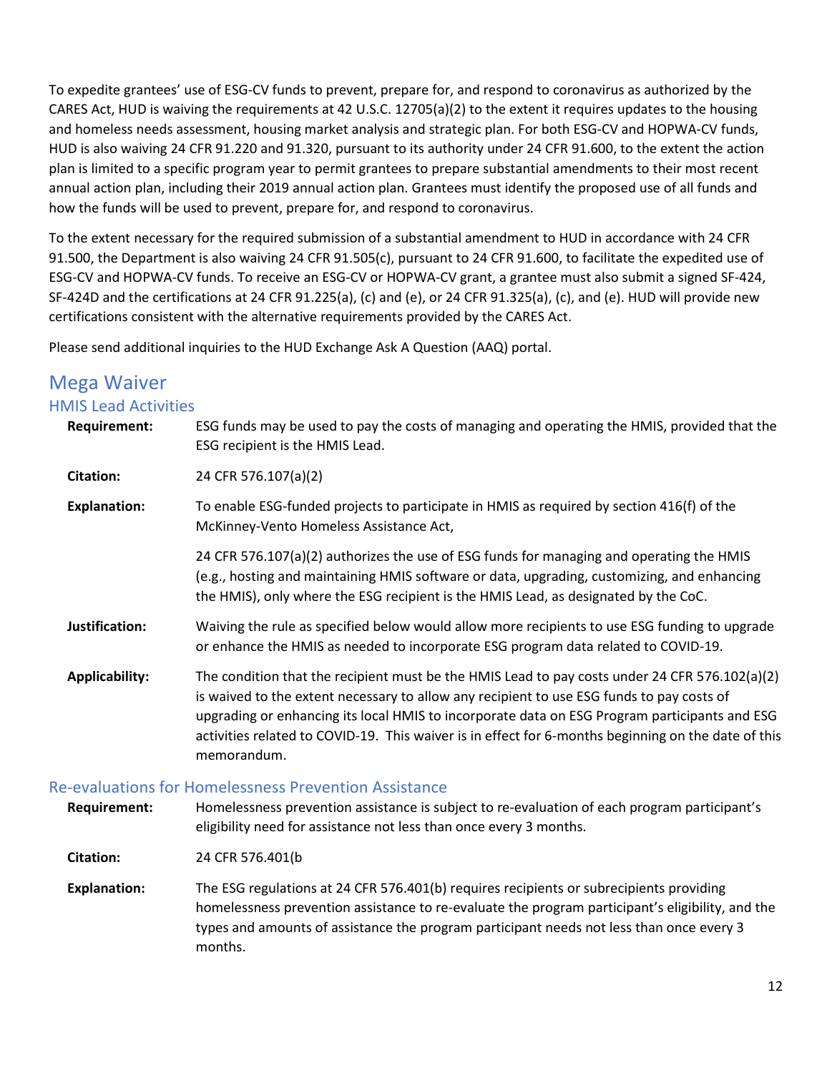To expedite grantees' use of ESG-CV funds to prevent, prepare for, and respond to coronavirus as authorized by the CARES Act, HUD is waiving the requirements at 42 U.S.C. 12705(a)(2) to the extent it requires updates to the housing and homeless needs assessment, housing market analysis and strategic plan. For both ESG-CV and HOPWA-CV funds, HUD is also waiving 24 CFR 91.220 and 91.320, pursuant to its authority under 24 CFR 91.600, to the extent the action plan is limited to a specific program year to permit grantees to prepare substantial amendments to their most recent annual action plan, including their 2019 annual action plan. Grantees must identify the proposed use of all funds and how the funds will be used to prevent, prepare for, and respond to coronavirus.

To the extent necessary for the required submission of a substantial amendment to HUD in accordance with 24 CFR 91.500, the Department is also waiving 24 CFR 91.505(c), pursuant to 24 CFR 91.600, to facilitate the expedited use of ESG-CV and HOPWA-CV funds. To receive an ESG-CV or HOPWA-CV grant, a grantee must also submit a signed SF-424, SF-424D and the certifications at 24 CFR 91.225(a), (c) and (e), or 24 CFR 91.325(a), (c), and (e). HUD will provide new certifications consistent with the alternative requirements provided by the CARES Act.

Please send additional inquiries to the HUD Exchange Ask A Question (AAQ) portal.

# <span id="page-11-0"></span>Mega Waiver

### <span id="page-11-1"></span>HMIS Lead Activities

| <b>Requirement:</b>   | ESG funds may be used to pay the costs of managing and operating the HMIS, provided that the<br>ESG recipient is the HMIS Lead.                                                                                                                                                                                                                                                                                                                                                                                                                                                                                                                      |
|-----------------------|------------------------------------------------------------------------------------------------------------------------------------------------------------------------------------------------------------------------------------------------------------------------------------------------------------------------------------------------------------------------------------------------------------------------------------------------------------------------------------------------------------------------------------------------------------------------------------------------------------------------------------------------------|
| <b>Citation:</b>      | 24 CFR 576.107(a)(2)                                                                                                                                                                                                                                                                                                                                                                                                                                                                                                                                                                                                                                 |
| <b>Explanation:</b>   | To enable ESG-funded projects to participate in HMIS as required by section 416(f) of the<br>McKinney-Vento Homeless Assistance Act,                                                                                                                                                                                                                                                                                                                                                                                                                                                                                                                 |
|                       | 24 CFR 576.107(a)(2) authorizes the use of ESG funds for managing and operating the HMIS<br>(e.g., hosting and maintaining HMIS software or data, upgrading, customizing, and enhancing<br>the HMIS), only where the ESG recipient is the HMIS Lead, as designated by the CoC.                                                                                                                                                                                                                                                                                                                                                                       |
| Justification:        | Waiving the rule as specified below would allow more recipients to use ESG funding to upgrade<br>or enhance the HMIS as needed to incorporate ESG program data related to COVID-19.                                                                                                                                                                                                                                                                                                                                                                                                                                                                  |
| <b>Applicability:</b> | The condition that the recipient must be the HMIS Lead to pay costs under 24 CFR 576.102(a)(2)<br>is waived to the extent necessary to allow any recipient to use ESG funds to pay costs of<br>upgrading or enhancing its local HMIS to incorporate data on ESG Program participants and ESG<br>activities related to COVID-19. This waiver is in effect for 6-months beginning on the date of this<br>memorandum.<br>and the contract of the contract of the contract of the contract of the contract of the contract of the contract of the contract of the contract of the contract of the contract of the contract of the contract of the contra |

### Re-evaluations for Homelessness Prevention Assistance

<span id="page-11-2"></span>**Requirement:** Homelessness prevention assistance is subject to re-evaluation of each program participant's eligibility need for assistance not less than once every 3 months.

**Citation:** 24 CFR 576.401(b

**Explanation:** The ESG regulations at 24 CFR 576.401(b) requires recipients or subrecipients providing homelessness prevention assistance to re-evaluate the program participant's eligibility, and the types and amounts of assistance the program participant needs not less than once every 3 months.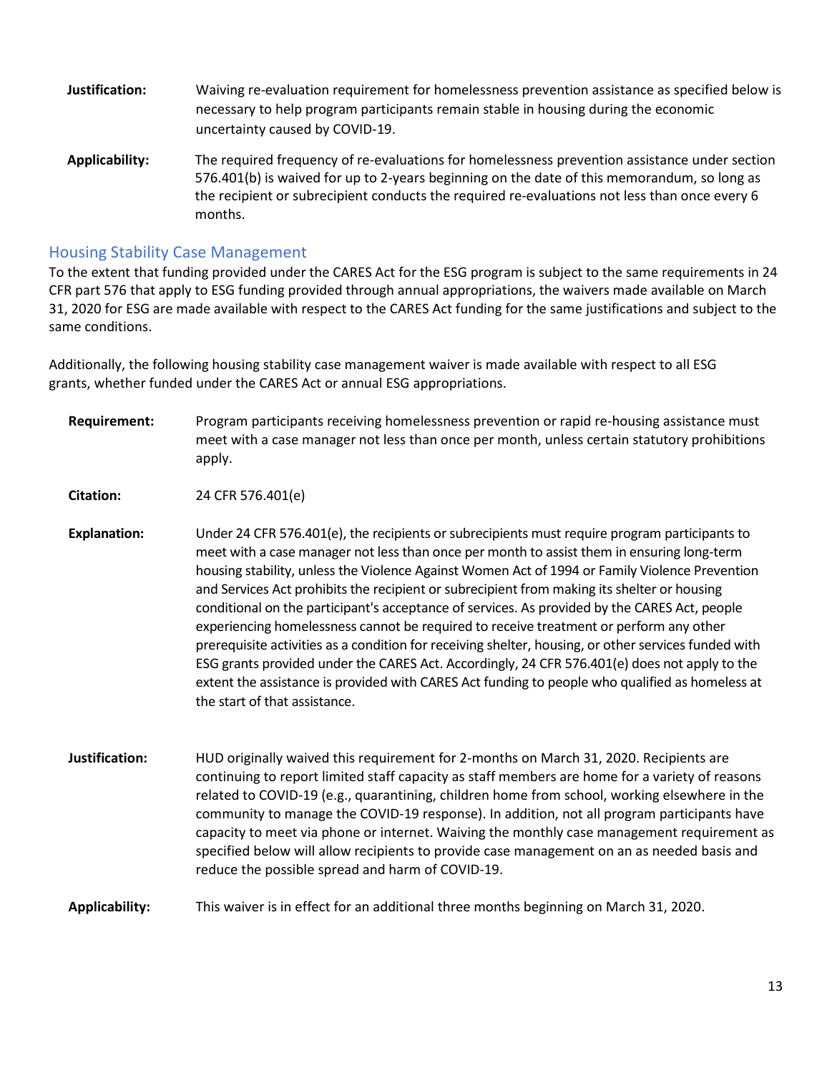- **Justification:** Waiving re-evaluation requirement for homelessness prevention assistance as specified below is necessary to help program participants remain stable in housing during the economic uncertainty caused by COVID-19.
- **Applicability:** The required frequency of re-evaluations for homelessness prevention assistance under section 576.401(b) is waived for up to 2-years beginning on the date of this memorandum, so long as the recipient or subrecipient conducts the required re-evaluations not less than once every 6 months.

### <span id="page-12-0"></span>Housing Stability Case Management

To the extent that funding provided under the CARES Act for the ESG program is subject to the same requirements in 24 CFR part 576 that apply to ESG funding provided through annual appropriations, the waivers made available on March 31, 2020 for ESG are made available with respect to the CARES Act funding for the same justifications and subject to the same conditions.

Additionally, the following housing stability case management waiver is made available with respect to all ESG grants, whether funded under the CARES Act or annual ESG appropriations.

**Requirement:** Program participants receiving homelessness prevention or rapid re-housing assistance must meet with a case manager not less than once per month, unless certain statutory prohibitions apply.

**Citation:** 24 CFR 576.401(e)

- **Explanation:** Under 24 CFR 576.401(e), the recipients or subrecipients must require program participants to meet with a case manager not less than once per month to assist them in ensuring long-term housing stability, unless the Violence Against Women Act of 1994 or Family Violence Prevention and Services Act prohibits the recipient or subrecipient from making its shelter or housing conditional on the participant's acceptance of services. As provided by the CARES Act, people experiencing homelessness cannot be required to receive treatment or perform any other prerequisite activities as a condition for receiving shelter, housing, or other services funded with ESG grants provided under the CARES Act. Accordingly, 24 CFR 576.401(e) does not apply to the extent the assistance is provided with CARES Act funding to people who qualified as homeless at the start of that assistance.
- **Justification:** HUD originally waived this requirement for 2-months on March 31, 2020. Recipients are continuing to report limited staff capacity as staff members are home for a variety of reasons related to COVID-19 (e.g., quarantining, children home from school, working elsewhere in the community to manage the COVID-19 response). In addition, not all program participants have capacity to meet via phone or internet. Waiving the monthly case management requirement as specified below will allow recipients to provide case management on an as needed basis and reduce the possible spread and harm of COVID-19.

### <span id="page-12-1"></span>**Applicability:** This waiver is in effect for an additional three months beginning on March 31, 2020.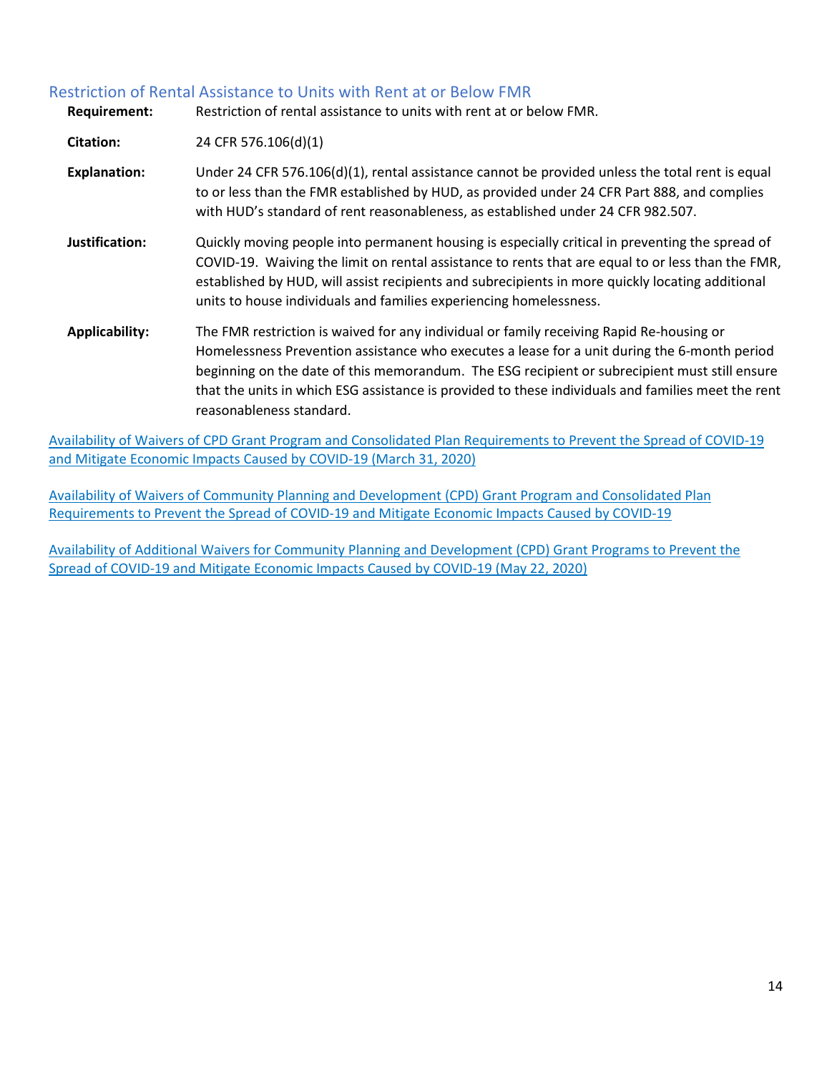### Restriction of Rental Assistance to Units with Rent at or Below FMR

| <b>Requirement:</b>   | Restriction of rental assistance to units with rent at or below FMR.                                                                                                                                                                                                                                                                                                                                                        |
|-----------------------|-----------------------------------------------------------------------------------------------------------------------------------------------------------------------------------------------------------------------------------------------------------------------------------------------------------------------------------------------------------------------------------------------------------------------------|
| <b>Citation:</b>      | 24 CFR 576.106(d)(1)                                                                                                                                                                                                                                                                                                                                                                                                        |
| <b>Explanation:</b>   | Under 24 CFR 576.106(d)(1), rental assistance cannot be provided unless the total rent is equal<br>to or less than the FMR established by HUD, as provided under 24 CFR Part 888, and complies<br>with HUD's standard of rent reasonableness, as established under 24 CFR 982.507.                                                                                                                                          |
| Justification:        | Quickly moving people into permanent housing is especially critical in preventing the spread of<br>COVID-19. Waiving the limit on rental assistance to rents that are equal to or less than the FMR,<br>established by HUD, will assist recipients and subrecipients in more quickly locating additional<br>units to house individuals and families experiencing homelessness.                                              |
| <b>Applicability:</b> | The FMR restriction is waived for any individual or family receiving Rapid Re-housing or<br>Homelessness Prevention assistance who executes a lease for a unit during the 6-month period<br>beginning on the date of this memorandum. The ESG recipient or subrecipient must still ensure<br>that the units in which ESG assistance is provided to these individuals and families meet the rent<br>reasonableness standard. |

[Availability of Waivers of CPD Grant Program and Consolidated Plan Requirements to Prevent the Spread of COVID-19](https://www.hud.gov/sites/dfiles/CPD/documents/COVID-19_Mega_Waiver_03-31-2020.pdf)  [and Mitigate Economic Impacts Caused by COVID-19 \(March 31, 2020\)](https://www.hud.gov/sites/dfiles/CPD/documents/COVID-19_Mega_Waiver_03-31-2020.pdf)

[Availability of Waivers of Community Planning and Development \(CPD\) Grant Program and Consolidated Plan](https://files.hudexchange.info/resources/documents/Availability-of-Waivers-of-CPD-Grant-Program-and-Consolidated-Plan-Requirements-to-Prevent-the-Spread-of-COVID-19-and-Mitigate-Economic-Impacts-Caused-by-COVID-19.pdf)  [Requirements to Prevent the Spread of COVID-19 and Mitigate Economic Impacts Caused by COVID-19](https://files.hudexchange.info/resources/documents/Availability-of-Waivers-of-CPD-Grant-Program-and-Consolidated-Plan-Requirements-to-Prevent-the-Spread-of-COVID-19-and-Mitigate-Economic-Impacts-Caused-by-COVID-19.pdf)

[Availability of Additional Waivers for Community Planning and Development \(CPD\) Grant Programs to Prevent the](https://www.hud.gov/sites/dfiles/CPD/documents/Additional_Waivers_for_CPD_Grant_Programs_to_Prevent_COVID-19_Spread_and_Mitigate_COVID-19_Economic_Impacts.pdf)  [Spread of COVID-19 and Mitigate Economic Impacts Caused by COVID-19 \(May 22, 2020\)](https://www.hud.gov/sites/dfiles/CPD/documents/Additional_Waivers_for_CPD_Grant_Programs_to_Prevent_COVID-19_Spread_and_Mitigate_COVID-19_Economic_Impacts.pdf)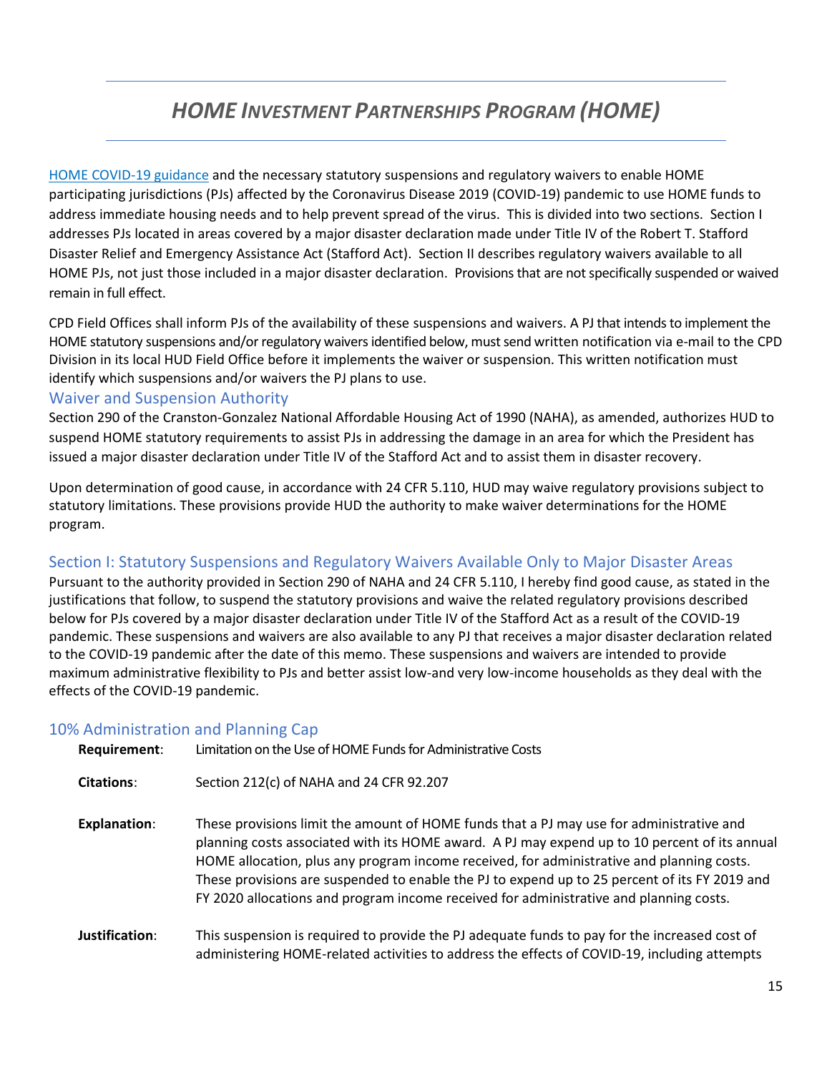## *HOME INVESTMENT PARTNERSHIPS PROGRAM (HOME)*

[HOME COVID-19 guidance](https://www.hudexchange.info/programs/home/covid-19/) and the necessary statutory suspensions and regulatory waivers to enable HOME participating jurisdictions (PJs) affected by the Coronavirus Disease 2019 (COVID-19) pandemic to use HOME funds to address immediate housing needs and to help prevent spread of the virus. This is divided into two sections. Section I addresses PJs located in areas covered by a major disaster declaration made under Title IV of the Robert T. Stafford Disaster Relief and Emergency Assistance Act (Stafford Act). Section II describes regulatory waivers available to all HOME PJs, not just those included in a major disaster declaration. Provisions that are not specifically suspended or waived remain in full effect.

CPD Field Offices shall inform PJs of the availability of these suspensions and waivers. A PJ that intends to implement the HOME statutory suspensions and/or regulatory waivers identified below, must send written notification via e-mail to the CPD Division in its local HUD Field Office before it implements the waiver or suspension. This written notification must identify which suspensions and/or waivers the PJ plans to use.

### <span id="page-14-0"></span>Waiver and Suspension Authority

Section 290 of the Cranston-Gonzalez National Affordable Housing Act of 1990 (NAHA), as amended, authorizes HUD to suspend HOME statutory requirements to assist PJs in addressing the damage in an area for which the President has issued a major disaster declaration under Title IV of the Stafford Act and to assist them in disaster recovery.

Upon determination of good cause, in accordance with 24 CFR 5.110, HUD may waive regulatory provisions subject to statutory limitations. These provisions provide HUD the authority to make waiver determinations for the HOME program.

### <span id="page-14-1"></span>Section I: Statutory Suspensions and Regulatory Waivers Available Only to Major Disaster Areas

Pursuant to the authority provided in Section 290 of NAHA and 24 CFR 5.110, I hereby find good cause, as stated in the justifications that follow, to suspend the statutory provisions and waive the related regulatory provisions described below for PJs covered by a major disaster declaration under Title IV of the Stafford Act as a result of the COVID-19 pandemic. These suspensions and waivers are also available to any PJ that receives a major disaster declaration related to the COVID-19 pandemic after the date of this memo. These suspensions and waivers are intended to provide maximum administrative flexibility to PJs and better assist low-and very low-income households as they deal with the effects of the COVID-19 pandemic.

### <span id="page-14-2"></span>10% Administration and Planning Cap

| Requirement:        | Limitation on the Use of HOME Funds for Administrative Costs                                                                                                                                                                                                                                                                                                                                                                                                                      |
|---------------------|-----------------------------------------------------------------------------------------------------------------------------------------------------------------------------------------------------------------------------------------------------------------------------------------------------------------------------------------------------------------------------------------------------------------------------------------------------------------------------------|
| <b>Citations:</b>   | Section 212(c) of NAHA and 24 CFR 92.207                                                                                                                                                                                                                                                                                                                                                                                                                                          |
| <b>Explanation:</b> | These provisions limit the amount of HOME funds that a PJ may use for administrative and<br>planning costs associated with its HOME award. A PJ may expend up to 10 percent of its annual<br>HOME allocation, plus any program income received, for administrative and planning costs.<br>These provisions are suspended to enable the PJ to expend up to 25 percent of its FY 2019 and<br>FY 2020 allocations and program income received for administrative and planning costs. |
| Justification:      | This suspension is required to provide the PJ adequate funds to pay for the increased cost of<br>administering HOME-related activities to address the effects of COVID-19, including attempts                                                                                                                                                                                                                                                                                     |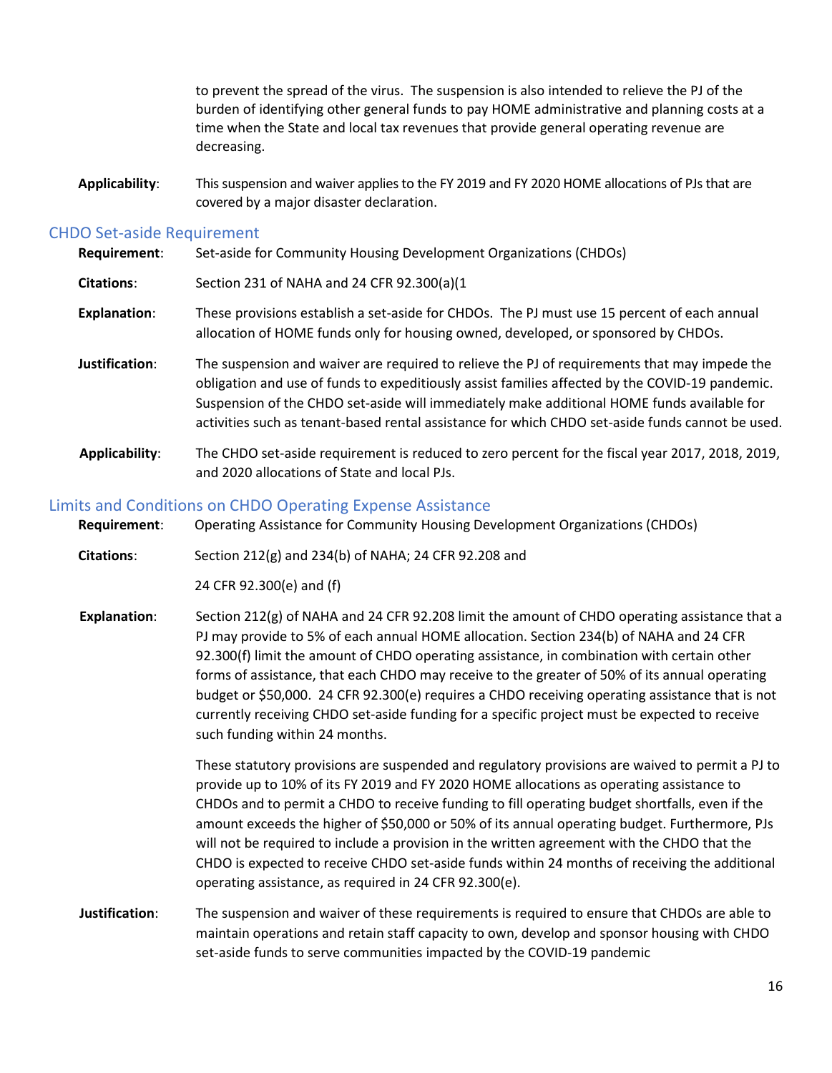to prevent the spread of the virus. The suspension is also intended to relieve the PJ of the burden of identifying other general funds to pay HOME administrative and planning costs at a time when the State and local tax revenues that provide general operating revenue are decreasing.

**Applicability**: This suspension and waiver applies to the FY 2019 and FY 2020 HOME allocations of PJs that are covered by a major disaster declaration.

#### <span id="page-15-0"></span>CHDO Set-aside Requirement

| Requirement:        | Set-aside for Community Housing Development Organizations (CHDOs)                                                                                                                                                                                                                                                                                                                                 |
|---------------------|---------------------------------------------------------------------------------------------------------------------------------------------------------------------------------------------------------------------------------------------------------------------------------------------------------------------------------------------------------------------------------------------------|
| Citations:          | Section 231 of NAHA and 24 CFR 92.300(a)(1                                                                                                                                                                                                                                                                                                                                                        |
| <b>Explanation:</b> | These provisions establish a set-aside for CHDOs. The PJ must use 15 percent of each annual<br>allocation of HOME funds only for housing owned, developed, or sponsored by CHDOs.                                                                                                                                                                                                                 |
| Justification:      | The suspension and waiver are required to relieve the PJ of requirements that may impede the<br>obligation and use of funds to expeditiously assist families affected by the COVID-19 pandemic.<br>Suspension of the CHDO set-aside will immediately make additional HOME funds available for<br>activities such as tenant-based rental assistance for which CHDO set-aside funds cannot be used. |
| Applicability:      | The CHDO set-aside requirement is reduced to zero percent for the fiscal year 2017, 2018, 2019,<br>and 2020 allocations of State and local PJs.                                                                                                                                                                                                                                                   |

### <span id="page-15-1"></span>Limits and Conditions on CHDO Operating Expense Assistance

**Requirement**: Operating Assistance for Community Housing Development Organizations (CHDOs)

**Citations**: Section 212(g) and 234(b) of NAHA; 24 CFR 92.208 and

24 CFR 92.300(e) and (f)

**Explanation**: Section 212(g) of NAHA and 24 CFR 92.208 limit the amount of CHDO operating assistance that a PJ may provide to 5% of each annual HOME allocation. Section 234(b) of NAHA and 24 CFR 92.300(f) limit the amount of CHDO operating assistance, in combination with certain other forms of assistance, that each CHDO may receive to the greater of 50% of its annual operating budget or \$50,000. 24 CFR 92.300(e) requires a CHDO receiving operating assistance that is not currently receiving CHDO set-aside funding for a specific project must be expected to receive such funding within 24 months.

> These statutory provisions are suspended and regulatory provisions are waived to permit a PJ to provide up to 10% of its FY 2019 and FY 2020 HOME allocations as operating assistance to CHDOs and to permit a CHDO to receive funding to fill operating budget shortfalls, even if the amount exceeds the higher of \$50,000 or 50% of its annual operating budget. Furthermore, PJs will not be required to include a provision in the written agreement with the CHDO that the CHDO is expected to receive CHDO set-aside funds within 24 months of receiving the additional operating assistance, as required in 24 CFR 92.300(e).

**Justification**: The suspension and waiver of these requirements is required to ensure that CHDOs are able to maintain operations and retain staff capacity to own, develop and sponsor housing with CHDO set-aside funds to serve communities impacted by the COVID-19 pandemic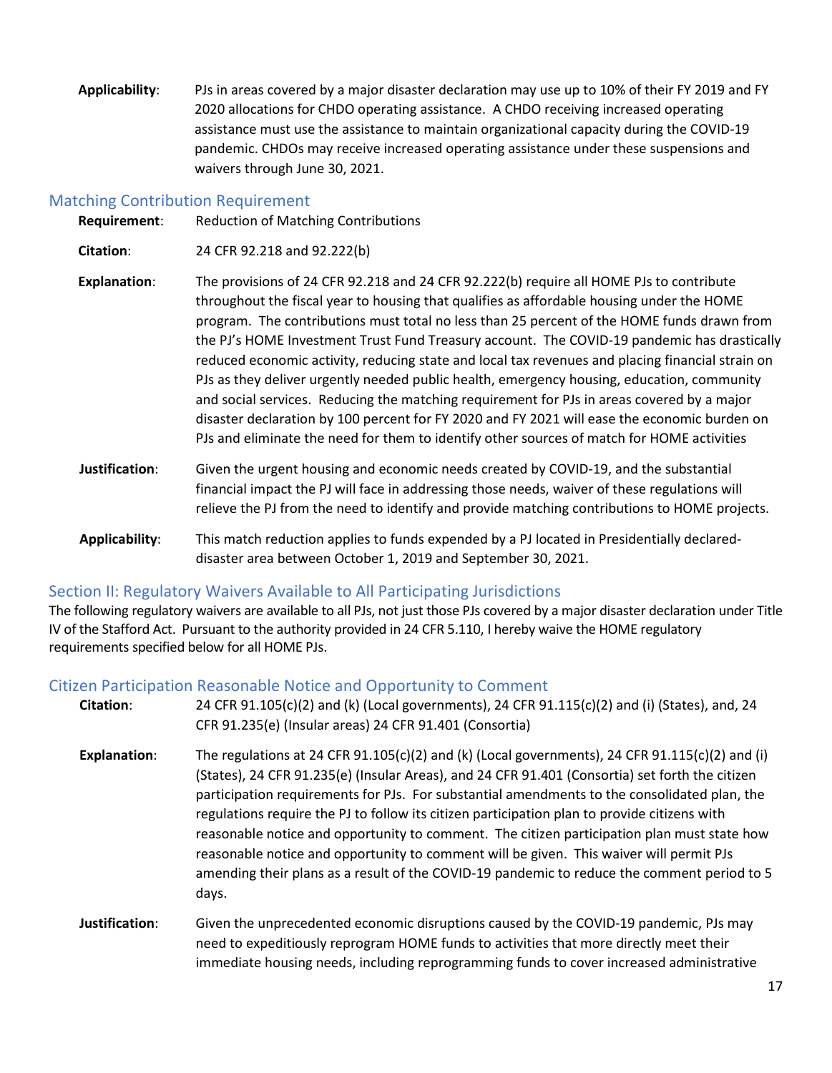**Applicability**: PJs in areas covered by a major disaster declaration may use up to 10% of their FY 2019 and FY 2020 allocations for CHDO operating assistance. A CHDO receiving increased operating assistance must use the assistance to maintain organizational capacity during the COVID-19 pandemic. CHDOs may receive increased operating assistance under these suspensions and waivers through June 30, 2021.

### <span id="page-16-0"></span>Matching Contribution Requirement

**Requirement**: Reduction of Matching Contributions

**Citation**: 24 CFR 92.218 and 92.222(b)

- **Explanation**: The provisions of 24 CFR 92.218 and 24 CFR 92.222(b) require all HOME PJs to contribute throughout the fiscal year to housing that qualifies as affordable housing under the HOME program. The contributions must total no less than 25 percent of the HOME funds drawn from the PJ's HOME Investment Trust Fund Treasury account. The COVID-19 pandemic has drastically reduced economic activity, reducing state and local tax revenues and placing financial strain on PJs as they deliver urgently needed public health, emergency housing, education, community and social services. Reducing the matching requirement for PJs in areas covered by a major disaster declaration by 100 percent for FY 2020 and FY 2021 will ease the economic burden on PJs and eliminate the need for them to identify other sources of match for HOME activities
- **Justification**: Given the urgent housing and economic needs created by COVID-19, and the substantial financial impact the PJ will face in addressing those needs, waiver of these regulations will relieve the PJ from the need to identify and provide matching contributions to HOME projects.
- **Applicability**: This match reduction applies to funds expended by a PJ located in Presidentially declareddisaster area between October 1, 2019 and September 30, 2021.

### <span id="page-16-1"></span>Section II: Regulatory Waivers Available to All Participating Jurisdictions

The following regulatory waivers are available to all PJs, not just those PJs covered by a major disaster declaration under Title IV of the Stafford Act. Pursuant to the authority provided in 24 CFR 5.110, I hereby waive the HOME regulatory requirements specified below for all HOME PJs.

### <span id="page-16-2"></span>Citizen Participation Reasonable Notice and Opportunity to Comment

| Citation:           | 24 CFR 91.105(c)(2) and (k) (Local governments), 24 CFR 91.115(c)(2) and (i) (States), and, 24<br>CFR 91.235(e) (Insular areas) 24 CFR 91.401 (Consortia)                                                                                                                                                                                                                                                                                                                                                                                                                                                                                                                                            |
|---------------------|------------------------------------------------------------------------------------------------------------------------------------------------------------------------------------------------------------------------------------------------------------------------------------------------------------------------------------------------------------------------------------------------------------------------------------------------------------------------------------------------------------------------------------------------------------------------------------------------------------------------------------------------------------------------------------------------------|
| <b>Explanation:</b> | The regulations at 24 CFR 91.105(c)(2) and (k) (Local governments), 24 CFR 91.115(c)(2) and (i)<br>(States), 24 CFR 91.235(e) (Insular Areas), and 24 CFR 91.401 (Consortia) set forth the citizen<br>participation requirements for PJs. For substantial amendments to the consolidated plan, the<br>regulations require the PJ to follow its citizen participation plan to provide citizens with<br>reasonable notice and opportunity to comment. The citizen participation plan must state how<br>reasonable notice and opportunity to comment will be given. This waiver will permit PJs<br>amending their plans as a result of the COVID-19 pandemic to reduce the comment period to 5<br>days. |
| Justification:      | Given the unprecedented economic disruptions caused by the COVID-19 pandemic, PJs may<br>need to expeditiously reprogram HOME funds to activities that more directly meet their                                                                                                                                                                                                                                                                                                                                                                                                                                                                                                                      |

immediate housing needs, including reprogramming funds to cover increased administrative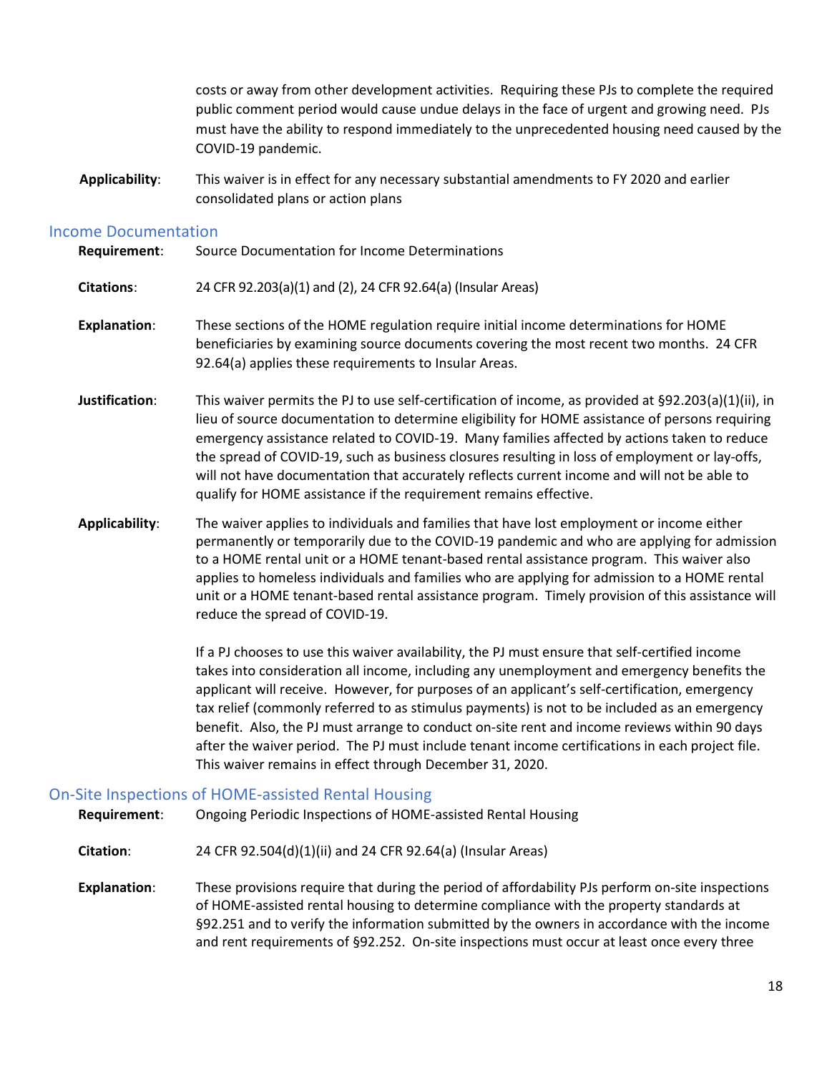costs or away from other development activities. Requiring these PJs to complete the required public comment period would cause undue delays in the face of urgent and growing need. PJs must have the ability to respond immediately to the unprecedented housing need caused by the COVID-19 pandemic.

**Applicability**: This waiver is in effect for any necessary substantial amendments to FY 2020 and earlier consolidated plans or action plans

### <span id="page-17-0"></span>Income Documentation

| Requirement: | Source Documentation for Income Determinations |
|--------------|------------------------------------------------|
|              |                                                |

- **Citations**: 24 CFR 92.203(a)(1) and (2), 24 CFR 92.64(a) (Insular Areas)
- **Explanation**: These sections of the HOME regulation require initial income determinations for HOME beneficiaries by examining source documents covering the most recent two months. 24 CFR 92.64(a) applies these requirements to Insular Areas.
- **Justification**: This waiver permits the PJ to use self-certification of income, as provided at §92.203(a)(1)(ii), in lieu of source documentation to determine eligibility for HOME assistance of persons requiring emergency assistance related to COVID-19. Many families affected by actions taken to reduce the spread of COVID-19, such as business closures resulting in loss of employment or lay-offs, will not have documentation that accurately reflects current income and will not be able to qualify for HOME assistance if the requirement remains effective.
- **Applicability**: The waiver applies to individuals and families that have lost employment or income either permanently or temporarily due to the COVID-19 pandemic and who are applying for admission to a HOME rental unit or a HOME tenant-based rental assistance program. This waiver also applies to homeless individuals and families who are applying for admission to a HOME rental unit or a HOME tenant-based rental assistance program. Timely provision of this assistance will reduce the spread of COVID-19.

 If a PJ chooses to use this waiver availability, the PJ must ensure that self-certified income takes into consideration all income, including any unemployment and emergency benefits the applicant will receive. However, for purposes of an applicant's self-certification, emergency tax relief (commonly referred to as stimulus payments) is not to be included as an emergency benefit. Also, the PJ must arrange to conduct on-site rent and income reviews within 90 days after the waiver period. The PJ must include tenant income certifications in each project file. This waiver remains in effect through December 31, 2020.

### <span id="page-17-1"></span>On-Site Inspections of HOME-assisted Rental Housing

**Requirement**: Ongoing Periodic Inspections of HOME-assisted Rental Housing

**Citation**: 24 CFR 92.504(d)(1)(ii) and 24 CFR 92.64(a) (Insular Areas)

**Explanation**: These provisions require that during the period of affordability PJs perform on-site inspections of HOME-assisted rental housing to determine compliance with the property standards at §92.251 and to verify the information submitted by the owners in accordance with the income and rent requirements of §92.252. On-site inspections must occur at least once every three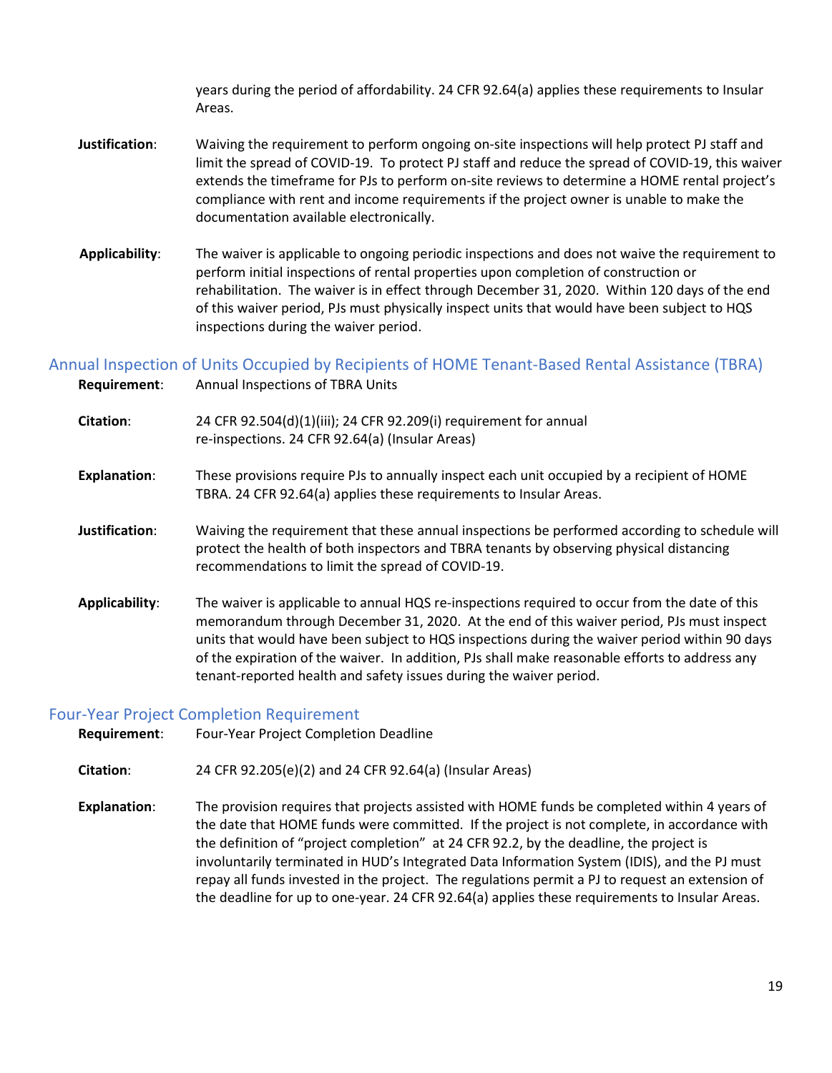years during the period of affordability. 24 CFR 92.64(a) applies these requirements to Insular Areas.

- **Justification**: Waiving the requirement to perform ongoing on-site inspections will help protect PJ staff and limit the spread of COVID-19. To protect PJ staff and reduce the spread of COVID-19, this waiver extends the timeframe for PJs to perform on-site reviews to determine a HOME rental project's compliance with rent and income requirements if the project owner is unable to make the documentation available electronically.
- **Applicability**: The waiver is applicable to ongoing periodic inspections and does not waive the requirement to perform initial inspections of rental properties upon completion of construction or rehabilitation. The waiver is in effect through December 31, 2020. Within 120 days of the end of this waiver period, PJs must physically inspect units that would have been subject to HQS inspections during the waiver period.

<span id="page-18-0"></span>Annual Inspection of Units Occupied by Recipients of HOME Tenant-Based Rental Assistance (TBRA)

| Requirement:        | Annual Inspections of TBRA Units                                                                                                                                                                                                                                                                                                                                                                                                                                   |
|---------------------|--------------------------------------------------------------------------------------------------------------------------------------------------------------------------------------------------------------------------------------------------------------------------------------------------------------------------------------------------------------------------------------------------------------------------------------------------------------------|
| Citation:           | 24 CFR 92.504(d)(1)(iii); 24 CFR 92.209(i) requirement for annual<br>re-inspections. 24 CFR 92.64(a) (Insular Areas)                                                                                                                                                                                                                                                                                                                                               |
| <b>Explanation:</b> | These provisions require PJs to annually inspect each unit occupied by a recipient of HOME<br>TBRA. 24 CFR 92.64(a) applies these requirements to Insular Areas.                                                                                                                                                                                                                                                                                                   |
| Justification:      | Waiving the requirement that these annual inspections be performed according to schedule will<br>protect the health of both inspectors and TBRA tenants by observing physical distancing<br>recommendations to limit the spread of COVID-19.                                                                                                                                                                                                                       |
| Applicability:      | The waiver is applicable to annual HQS re-inspections required to occur from the date of this<br>memorandum through December 31, 2020. At the end of this waiver period, PJs must inspect<br>units that would have been subject to HQS inspections during the waiver period within 90 days<br>of the expiration of the waiver. In addition, PJs shall make reasonable efforts to address any<br>tenant-reported health and safety issues during the waiver period. |

#### <span id="page-18-1"></span>Four-Year Project Completion Requirement

**Requirement**: Four-Year Project Completion Deadline

**Citation**: 24 CFR 92.205(e)(2) and 24 CFR 92.64(a) (Insular Areas)

**Explanation**: The provision requires that projects assisted with HOME funds be completed within 4 years of the date that HOME funds were committed. If the project is not complete, in accordance with the definition of "project completion" at 24 CFR 92.2, by the deadline, the project is involuntarily terminated in HUD's Integrated Data Information System (IDIS), and the PJ must repay all funds invested in the project. The regulations permit a PJ to request an extension of the deadline for up to one-year. 24 CFR 92.64(a) applies these requirements to Insular Areas.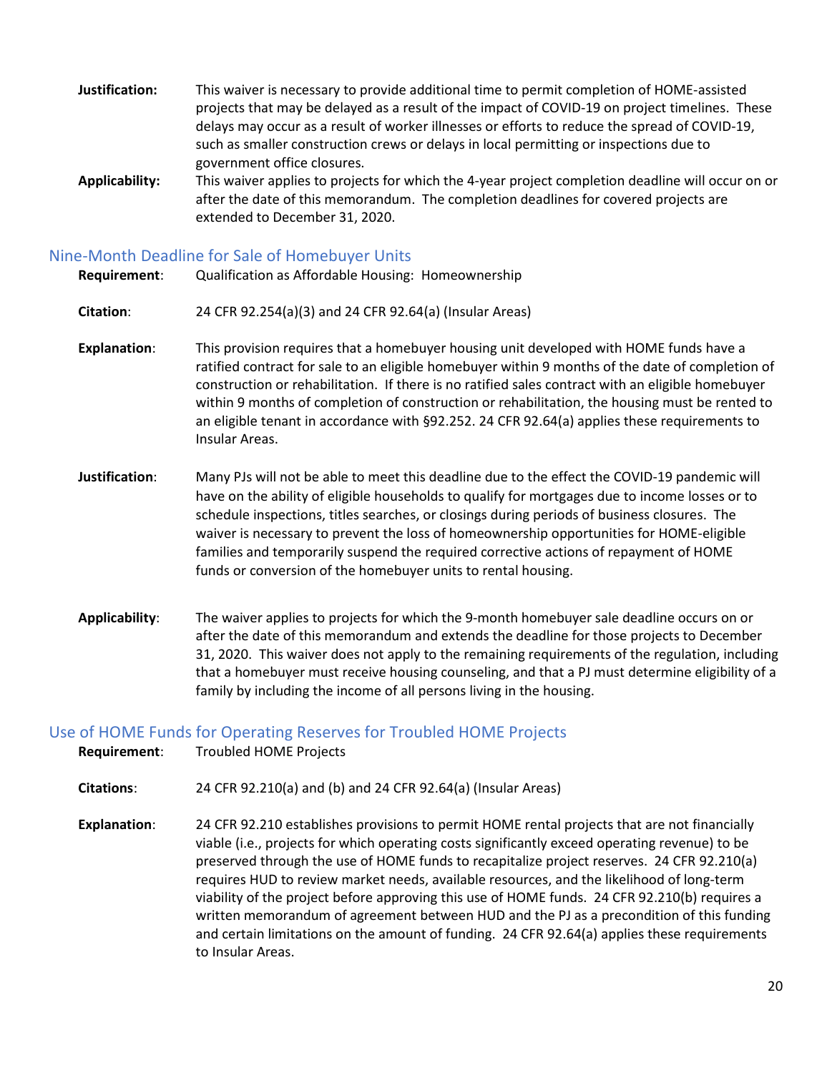- **Justification:** This waiver is necessary to provide additional time to permit completion of HOME-assisted projects that may be delayed as a result of the impact of COVID-19 on project timelines. These delays may occur as a result of worker illnesses or efforts to reduce the spread of COVID-19, such as smaller construction crews or delays in local permitting or inspections due to government office closures.
- **Applicability:** This waiver applies to projects for which the 4-year project completion deadline will occur on or after the date of this memorandum. The completion deadlines for covered projects are extended to December 31, 2020.

### <span id="page-19-0"></span>Nine-Month Deadline for Sale of Homebuyer Units

**Requirement**: Qualification as Affordable Housing: Homeownership

- **Citation**: 24 CFR 92.254(a)(3) and 24 CFR 92.64(a) (Insular Areas)
- **Explanation**: This provision requires that a homebuyer housing unit developed with HOME funds have a ratified contract for sale to an eligible homebuyer within 9 months of the date of completion of construction or rehabilitation. If there is no ratified sales contract with an eligible homebuyer within 9 months of completion of construction or rehabilitation, the housing must be rented to an eligible tenant in accordance with §92.252. 24 CFR 92.64(a) applies these requirements to Insular Areas.
- **Justification**: Many PJs will not be able to meet this deadline due to the effect the COVID-19 pandemic will have on the ability of eligible households to qualify for mortgages due to income losses or to schedule inspections, titles searches, or closings during periods of business closures. The waiver is necessary to prevent the loss of homeownership opportunities for HOME-eligible families and temporarily suspend the required corrective actions of repayment of HOME funds or conversion of the homebuyer units to rental housing.
- **Applicability**: The waiver applies to projects for which the 9-month homebuyer sale deadline occurs on or after the date of this memorandum and extends the deadline for those projects to December 31, 2020. This waiver does not apply to the remaining requirements of the regulation, including that a homebuyer must receive housing counseling, and that a PJ must determine eligibility of a family by including the income of all persons living in the housing.

### <span id="page-19-1"></span>Use of HOME Funds for Operating Reserves for Troubled HOME Projects

**Requirement**: Troubled HOME Projects

**Citations**: 24 CFR 92.210(a) and (b) and 24 CFR 92.64(a) (Insular Areas)

**Explanation**: 24 CFR 92.210 establishes provisions to permit HOME rental projects that are not financially viable (i.e., projects for which operating costs significantly exceed operating revenue) to be preserved through the use of HOME funds to recapitalize project reserves. 24 CFR 92.210(a) requires HUD to review market needs, available resources, and the likelihood of long-term viability of the project before approving this use of HOME funds. 24 CFR 92.210(b) requires a written memorandum of agreement between HUD and the PJ as a precondition of this funding and certain limitations on the amount of funding. 24 CFR 92.64(a) applies these requirements to Insular Areas.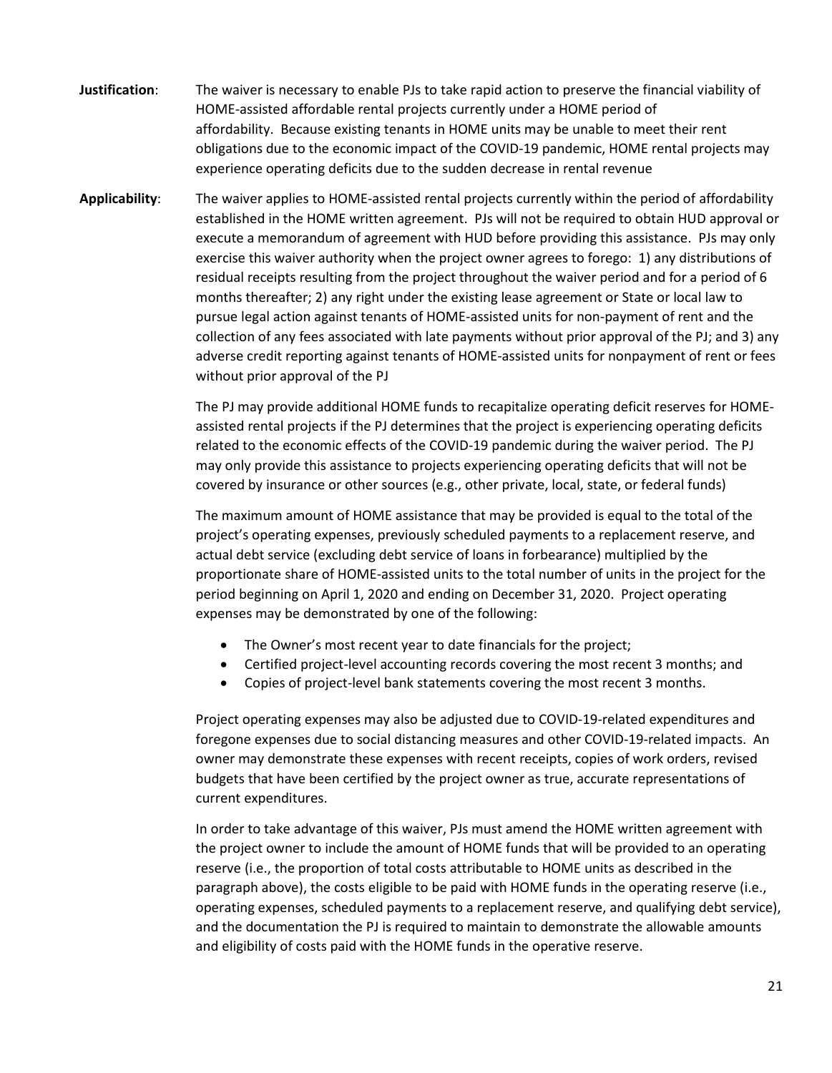- **Justification**: The waiver is necessary to enable PJs to take rapid action to preserve the financial viability of HOME-assisted affordable rental projects currently under a HOME period of affordability. Because existing tenants in HOME units may be unable to meet their rent obligations due to the economic impact of the COVID-19 pandemic, HOME rental projects may experience operating deficits due to the sudden decrease in rental revenue
- **Applicability**: The waiver applies to HOME-assisted rental projects currently within the period of affordability established in the HOME written agreement. PJs will not be required to obtain HUD approval or execute a memorandum of agreement with HUD before providing this assistance. PJs may only exercise this waiver authority when the project owner agrees to forego: 1) any distributions of residual receipts resulting from the project throughout the waiver period and for a period of 6 months thereafter; 2) any right under the existing lease agreement or State or local law to pursue legal action against tenants of HOME-assisted units for non-payment of rent and the collection of any fees associated with late payments without prior approval of the PJ; and 3) any adverse credit reporting against tenants of HOME-assisted units for nonpayment of rent or fees without prior approval of the PJ

The PJ may provide additional HOME funds to recapitalize operating deficit reserves for HOMEassisted rental projects if the PJ determines that the project is experiencing operating deficits related to the economic effects of the COVID-19 pandemic during the waiver period. The PJ may only provide this assistance to projects experiencing operating deficits that will not be covered by insurance or other sources (e.g., other private, local, state, or federal funds)

The maximum amount of HOME assistance that may be provided is equal to the total of the project's operating expenses, previously scheduled payments to a replacement reserve, and actual debt service (excluding debt service of loans in forbearance) multiplied by the proportionate share of HOME-assisted units to the total number of units in the project for the period beginning on April 1, 2020 and ending on December 31, 2020. Project operating expenses may be demonstrated by one of the following:

- The Owner's most recent year to date financials for the project;
- Certified project-level accounting records covering the most recent 3 months; and
- Copies of project-level bank statements covering the most recent 3 months.

Project operating expenses may also be adjusted due to COVID-19-related expenditures and foregone expenses due to social distancing measures and other COVID-19-related impacts. An owner may demonstrate these expenses with recent receipts, copies of work orders, revised budgets that have been certified by the project owner as true, accurate representations of current expenditures.

In order to take advantage of this waiver, PJs must amend the HOME written agreement with the project owner to include the amount of HOME funds that will be provided to an operating reserve (i.e., the proportion of total costs attributable to HOME units as described in the paragraph above), the costs eligible to be paid with HOME funds in the operating reserve (i.e., operating expenses, scheduled payments to a replacement reserve, and qualifying debt service), and the documentation the PJ is required to maintain to demonstrate the allowable amounts and eligibility of costs paid with the HOME funds in the operative reserve.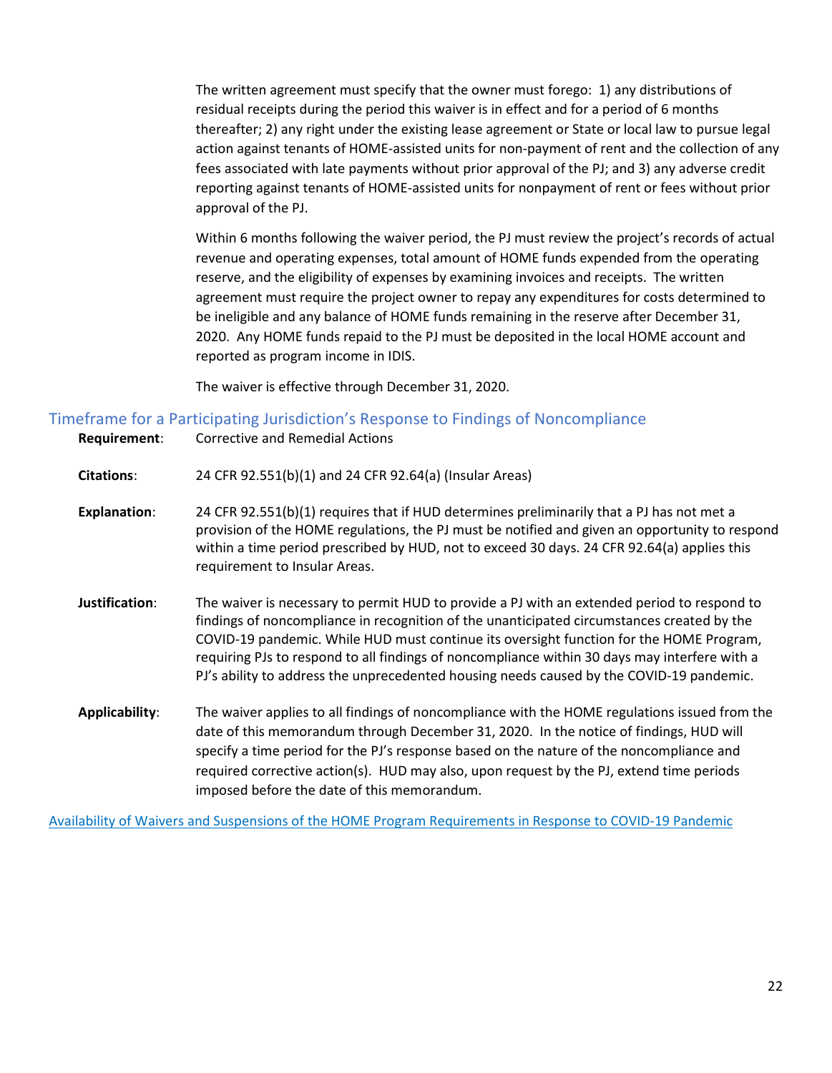The written agreement must specify that the owner must forego: 1) any distributions of residual receipts during the period this waiver is in effect and for a period of 6 months thereafter; 2) any right under the existing lease agreement or State or local law to pursue legal action against tenants of HOME-assisted units for non-payment of rent and the collection of any fees associated with late payments without prior approval of the PJ; and 3) any adverse credit reporting against tenants of HOME-assisted units for nonpayment of rent or fees without prior approval of the PJ.

Within 6 months following the waiver period, the PJ must review the project's records of actual revenue and operating expenses, total amount of HOME funds expended from the operating reserve, and the eligibility of expenses by examining invoices and receipts. The written agreement must require the project owner to repay any expenditures for costs determined to be ineligible and any balance of HOME funds remaining in the reserve after December 31, 2020. Any HOME funds repaid to the PJ must be deposited in the local HOME account and reported as program income in IDIS.

The waiver is effective through December 31, 2020.

### <span id="page-21-0"></span>Timeframe for a Participating Jurisdiction's Response to Findings of Noncompliance

- **Requirement**: Corrective and Remedial Actions
- **Citations**: 24 CFR 92.551(b)(1) and 24 CFR 92.64(a) (Insular Areas)
- **Explanation**: 24 CFR 92.551(b)(1) requires that if HUD determines preliminarily that a PJ has not met a provision of the HOME regulations, the PJ must be notified and given an opportunity to respond within a time period prescribed by HUD, not to exceed 30 days. 24 CFR 92.64(a) applies this requirement to Insular Areas.
- **Justification**: The waiver is necessary to permit HUD to provide a PJ with an extended period to respond to findings of noncompliance in recognition of the unanticipated circumstances created by the COVID-19 pandemic. While HUD must continue its oversight function for the HOME Program, requiring PJs to respond to all findings of noncompliance within 30 days may interfere with a PJ's ability to address the unprecedented housing needs caused by the COVID-19 pandemic.
- **Applicability**: The waiver applies to all findings of noncompliance with the HOME regulations issued from the date of this memorandum through December 31, 2020. In the notice of findings, HUD will specify a time period for the PJ's response based on the nature of the noncompliance and required corrective action(s). HUD may also, upon request by the PJ, extend time periods imposed before the date of this memorandum.

[Availability of Waivers and Suspensions of the HOME Program Requirements in Response to COVID-19 Pandemic](https://www.hudexchange.info/resource/6016/cpd-memo-availability-waivers-suspensions-home-requirements-covid-19/)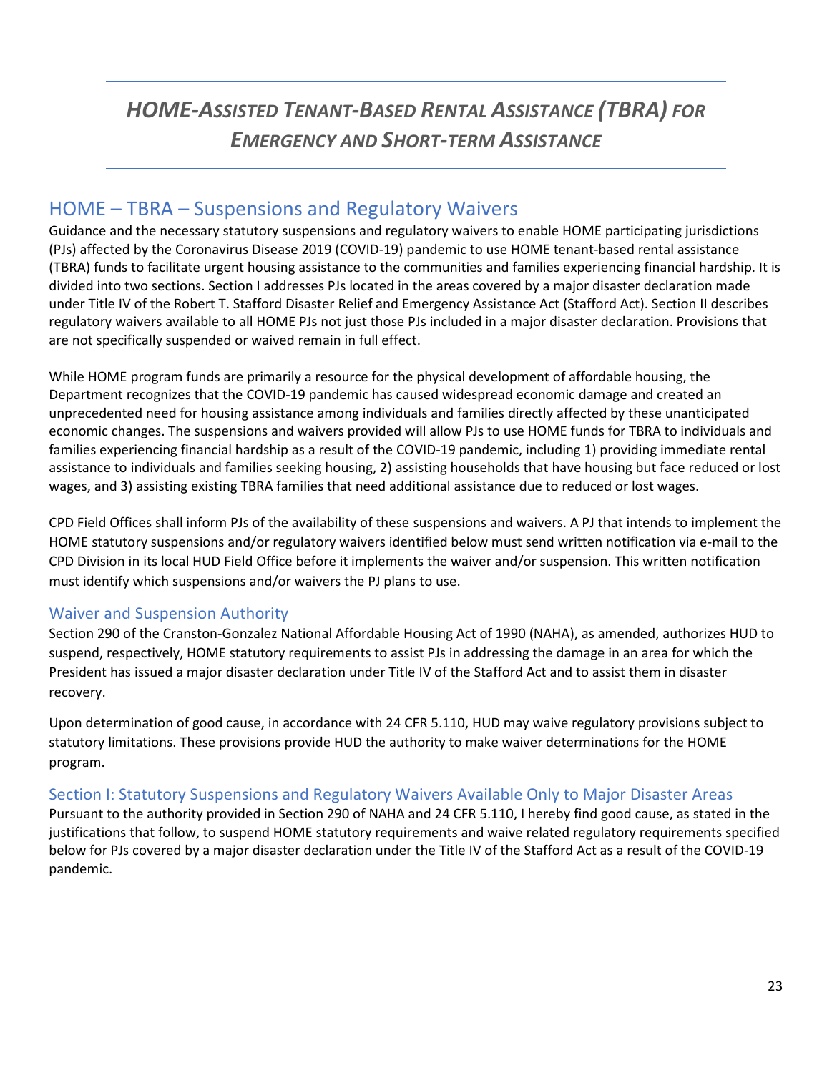# *HOME-ASSISTED TENANT-BASED RENTAL ASSISTANCE (TBRA) FOR EMERGENCY AND SHORT-TERM ASSISTANCE*

### <span id="page-22-0"></span>HOME – TBRA – Suspensions and Regulatory Waivers

Guidance and the necessary statutory suspensions and regulatory waivers to enable HOME participating jurisdictions (PJs) affected by the Coronavirus Disease 2019 (COVID-19) pandemic to use HOME tenant-based rental assistance (TBRA) funds to facilitate urgent housing assistance to the communities and families experiencing financial hardship. It is divided into two sections. Section I addresses PJs located in the areas covered by a major disaster declaration made under Title IV of the Robert T. Stafford Disaster Relief and Emergency Assistance Act (Stafford Act). Section II describes regulatory waivers available to all HOME PJs not just those PJs included in a major disaster declaration. Provisions that are not specifically suspended or waived remain in full effect.

While HOME program funds are primarily a resource for the physical development of affordable housing, the Department recognizes that the COVID-19 pandemic has caused widespread economic damage and created an unprecedented need for housing assistance among individuals and families directly affected by these unanticipated economic changes. The suspensions and waivers provided will allow PJs to use HOME funds for TBRA to individuals and families experiencing financial hardship as a result of the COVID-19 pandemic, including 1) providing immediate rental assistance to individuals and families seeking housing, 2) assisting households that have housing but face reduced or lost wages, and 3) assisting existing TBRA families that need additional assistance due to reduced or lost wages.

CPD Field Offices shall inform PJs of the availability of these suspensions and waivers. A PJ that intends to implement the HOME statutory suspensions and/or regulatory waivers identified below must send written notification via e-mail to the CPD Division in its local HUD Field Office before it implements the waiver and/or suspension. This written notification must identify which suspensions and/or waivers the PJ plans to use.

### <span id="page-22-1"></span>Waiver and Suspension Authority

Section 290 of the Cranston-Gonzalez National Affordable Housing Act of 1990 (NAHA), as amended, authorizes HUD to suspend, respectively, HOME statutory requirements to assist PJs in addressing the damage in an area for which the President has issued a major disaster declaration under Title IV of the Stafford Act and to assist them in disaster recovery.

Upon determination of good cause, in accordance with 24 CFR 5.110, HUD may waive regulatory provisions subject to statutory limitations. These provisions provide HUD the authority to make waiver determinations for the HOME program.

### <span id="page-22-2"></span>Section I: Statutory Suspensions and Regulatory Waivers Available Only to Major Disaster Areas

Pursuant to the authority provided in Section 290 of NAHA and 24 CFR 5.110, I hereby find good cause, as stated in the justifications that follow, to suspend HOME statutory requirements and waive related regulatory requirements specified below for PJs covered by a major disaster declaration under the Title IV of the Stafford Act as a result of the COVID-19 pandemic.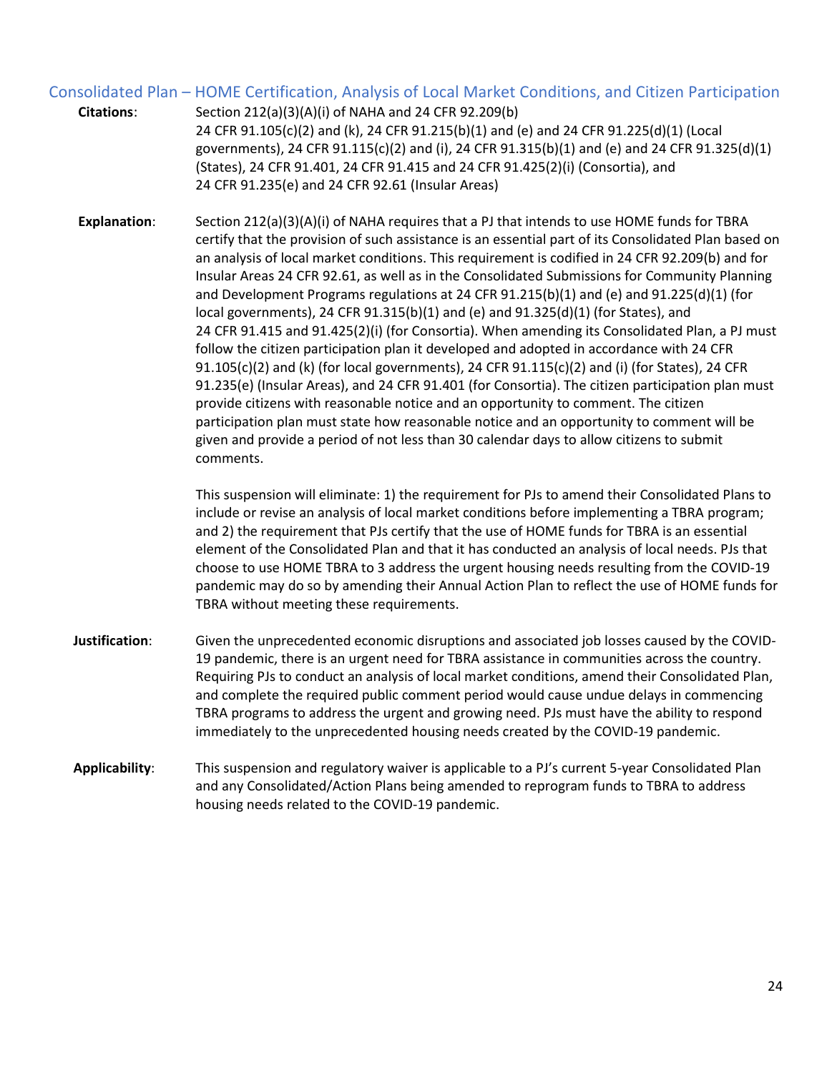### <span id="page-23-0"></span>Consolidated Plan – HOME Certification, Analysis of Local Market Conditions, and Citizen Participation

| <b>Citations:</b>   | Section 212(a)(3)(A)(i) of NAHA and 24 CFR 92.209(b)                                                                                                                                                                                                                                                                                                                                                                                                                                                 |
|---------------------|------------------------------------------------------------------------------------------------------------------------------------------------------------------------------------------------------------------------------------------------------------------------------------------------------------------------------------------------------------------------------------------------------------------------------------------------------------------------------------------------------|
|                     | 24 CFR 91.105(c)(2) and (k), 24 CFR 91.215(b)(1) and (e) and 24 CFR 91.225(d)(1) (Local                                                                                                                                                                                                                                                                                                                                                                                                              |
|                     | governments), 24 CFR 91.115(c)(2) and (i), 24 CFR 91.315(b)(1) and (e) and 24 CFR 91.325(d)(1)                                                                                                                                                                                                                                                                                                                                                                                                       |
|                     | (States), 24 CFR 91.401, 24 CFR 91.415 and 24 CFR 91.425(2)(i) (Consortia), and                                                                                                                                                                                                                                                                                                                                                                                                                      |
|                     | 24 CFR 91.235(e) and 24 CFR 92.61 (Insular Areas)                                                                                                                                                                                                                                                                                                                                                                                                                                                    |
| <b>Explanation:</b> | Section 212(a)(3)(A)(i) of NAHA requires that a PJ that intends to use HOME funds for TBRA<br>certify that the provision of such assistance is an essential part of its Consolidated Plan based on<br>an analysis of local market conditions. This requirement is codified in 24 CFR 92.209(b) and for<br>Insular Areas 24 CFR 92.61, as well as in the Consolidated Submissions for Community Planning<br>and Development Programs regulations at 24 CFR 91.215(b)(1) and (e) and 91.225(d)(1) (for |
|                     |                                                                                                                                                                                                                                                                                                                                                                                                                                                                                                      |

local governments), 24 CFR  $91.315(b)(1)$  and (e) and  $91.325(d)(1)$  (for States), and 24 CFR 91.415 and 91.425(2)(i) (for Consortia). When amending its Consolidated Plan, a PJ must follow the citizen participation plan it developed and adopted in accordance with 24 CFR  $91.105(c)(2)$  and (k) (for local governments), 24 CFR  $91.115(c)(2)$  and (i) (for States), 24 CFR 91.235(e) (Insular Areas), and 24 CFR 91.401 (for Consortia). The citizen participation plan must provide citizens with reasonable notice and an opportunity to comment. The citizen participation plan must state how reasonable notice and an opportunity to comment will be given and provide a period of not less than 30 calendar days to allow citizens to submit comments.

This suspension will eliminate: 1) the requirement for PJs to amend their Consolidated Plans to include or revise an analysis of local market conditions before implementing a TBRA program; and 2) the requirement that PJs certify that the use of HOME funds for TBRA is an essential element of the Consolidated Plan and that it has conducted an analysis of local needs. PJs that choose to use HOME TBRA to 3 address the urgent housing needs resulting from the COVID-19 pandemic may do so by amending their Annual Action Plan to reflect the use of HOME funds for TBRA without meeting these requirements.

- **Justification**: Given the unprecedented economic disruptions and associated job losses caused by the COVID-19 pandemic, there is an urgent need for TBRA assistance in communities across the country. Requiring PJs to conduct an analysis of local market conditions, amend their Consolidated Plan, and complete the required public comment period would cause undue delays in commencing TBRA programs to address the urgent and growing need. PJs must have the ability to respond immediately to the unprecedented housing needs created by the COVID-19 pandemic.
- **Applicability**: This suspension and regulatory waiver is applicable to a PJ's current 5-year Consolidated Plan and any Consolidated/Action Plans being amended to reprogram funds to TBRA to address housing needs related to the COVID-19 pandemic.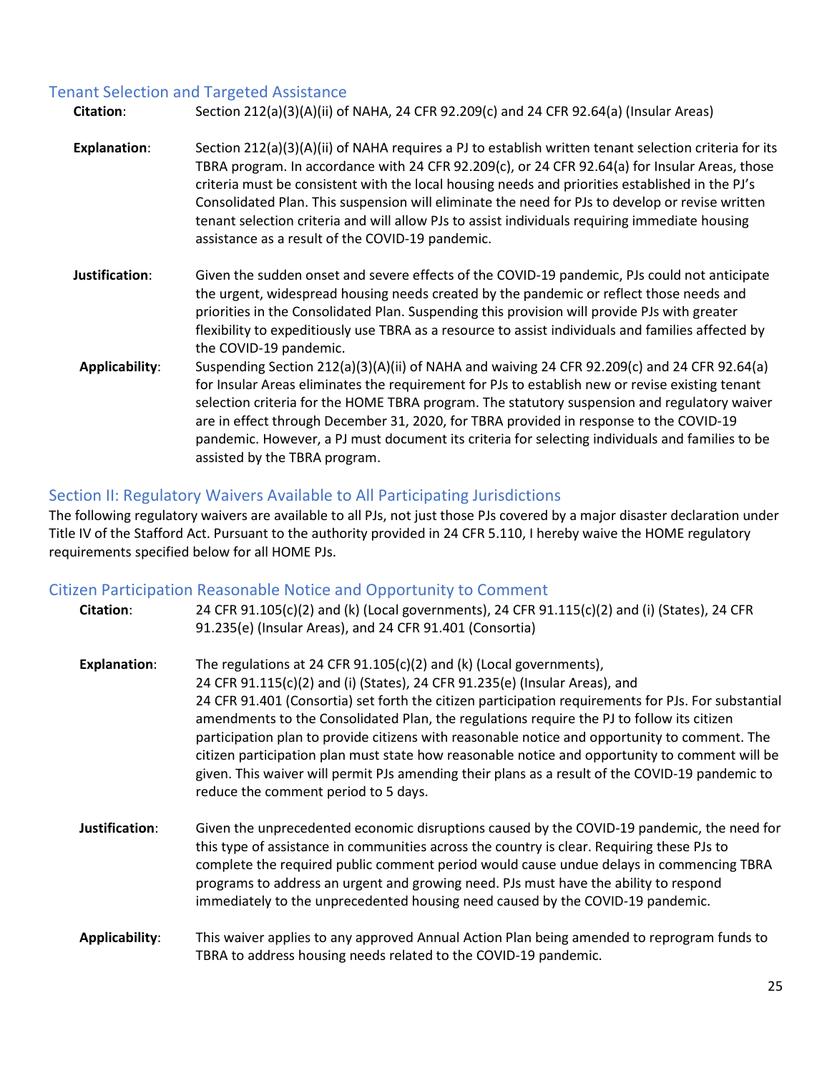### <span id="page-24-0"></span>Tenant Selection and Targeted Assistance

| <b>Citation:</b>    | Section 212(a)(3)(A)(ii) of NAHA, 24 CFR 92.209(c) and 24 CFR 92.64(a) (Insular Areas)                                                                                                                                                                                                                                                                                                                                                                                                                                                                              |
|---------------------|---------------------------------------------------------------------------------------------------------------------------------------------------------------------------------------------------------------------------------------------------------------------------------------------------------------------------------------------------------------------------------------------------------------------------------------------------------------------------------------------------------------------------------------------------------------------|
| <b>Explanation:</b> | Section 212(a)(3)(A)(ii) of NAHA requires a PJ to establish written tenant selection criteria for its<br>TBRA program. In accordance with 24 CFR 92.209(c), or 24 CFR 92.64(a) for Insular Areas, those<br>criteria must be consistent with the local housing needs and priorities established in the PJ's<br>Consolidated Plan. This suspension will eliminate the need for PJs to develop or revise written<br>tenant selection criteria and will allow PJs to assist individuals requiring immediate housing<br>assistance as a result of the COVID-19 pandemic. |
| Justification:      | Given the sudden onset and severe effects of the COVID-19 pandemic, PJs could not anticipate<br>the urgent, widespread housing needs created by the pandemic or reflect those needs and<br>priorities in the Consolidated Plan. Suspending this provision will provide PJs with greater<br>flexibility to expeditiously use TBRA as a resource to assist individuals and families affected by<br>the COVID-19 pandemic.                                                                                                                                             |
| Applicability:      | Suspending Section 212(a)(3)(A)(ii) of NAHA and waiving 24 CFR 92.209(c) and 24 CFR 92.64(a)<br>for Insular Areas eliminates the requirement for PJs to establish new or revise existing tenant<br>selection criteria for the HOME TBRA program. The statutory suspension and regulatory waiver<br>are in effect through December 31, 2020, for TBRA provided in response to the COVID-19<br>pandemic. However, a PJ must document its criteria for selecting individuals and families to be<br>assisted by the TBRA program.                                       |

### <span id="page-24-1"></span>Section II: Regulatory Waivers Available to All Participating Jurisdictions

The following regulatory waivers are available to all PJs, not just those PJs covered by a major disaster declaration under Title IV of the Stafford Act. Pursuant to the authority provided in 24 CFR 5.110, I hereby waive the HOME regulatory requirements specified below for all HOME PJs.

### <span id="page-24-2"></span>Citizen Participation Reasonable Notice and Opportunity to Comment

| Citation:           | 24 CFR 91.105(c)(2) and (k) (Local governments), 24 CFR 91.115(c)(2) and (i) (States), 24 CFR<br>91.235(e) (Insular Areas), and 24 CFR 91.401 (Consortia)                                                                                                                                                                                                                                                                                                                                                                                                                                                                                                                                            |
|---------------------|------------------------------------------------------------------------------------------------------------------------------------------------------------------------------------------------------------------------------------------------------------------------------------------------------------------------------------------------------------------------------------------------------------------------------------------------------------------------------------------------------------------------------------------------------------------------------------------------------------------------------------------------------------------------------------------------------|
| <b>Explanation:</b> | The regulations at 24 CFR 91.105(c)(2) and (k) (Local governments),<br>24 CFR 91.115(c)(2) and (i) (States), 24 CFR 91.235(e) (Insular Areas), and<br>24 CFR 91.401 (Consortia) set forth the citizen participation requirements for PJs. For substantial<br>amendments to the Consolidated Plan, the regulations require the PJ to follow its citizen<br>participation plan to provide citizens with reasonable notice and opportunity to comment. The<br>citizen participation plan must state how reasonable notice and opportunity to comment will be<br>given. This waiver will permit PJs amending their plans as a result of the COVID-19 pandemic to<br>reduce the comment period to 5 days. |
| Justification:      | Given the unprecedented economic disruptions caused by the COVID-19 pandemic, the need for<br>this type of assistance in communities across the country is clear. Requiring these PJs to<br>complete the required public comment period would cause undue delays in commencing TBRA<br>programs to address an urgent and growing need. PJs must have the ability to respond<br>immediately to the unprecedented housing need caused by the COVID-19 pandemic.                                                                                                                                                                                                                                        |
| Applicability:      | This waiver applies to any approved Annual Action Plan being amended to reprogram funds to<br>TBRA to address housing needs related to the COVID-19 pandemic.                                                                                                                                                                                                                                                                                                                                                                                                                                                                                                                                        |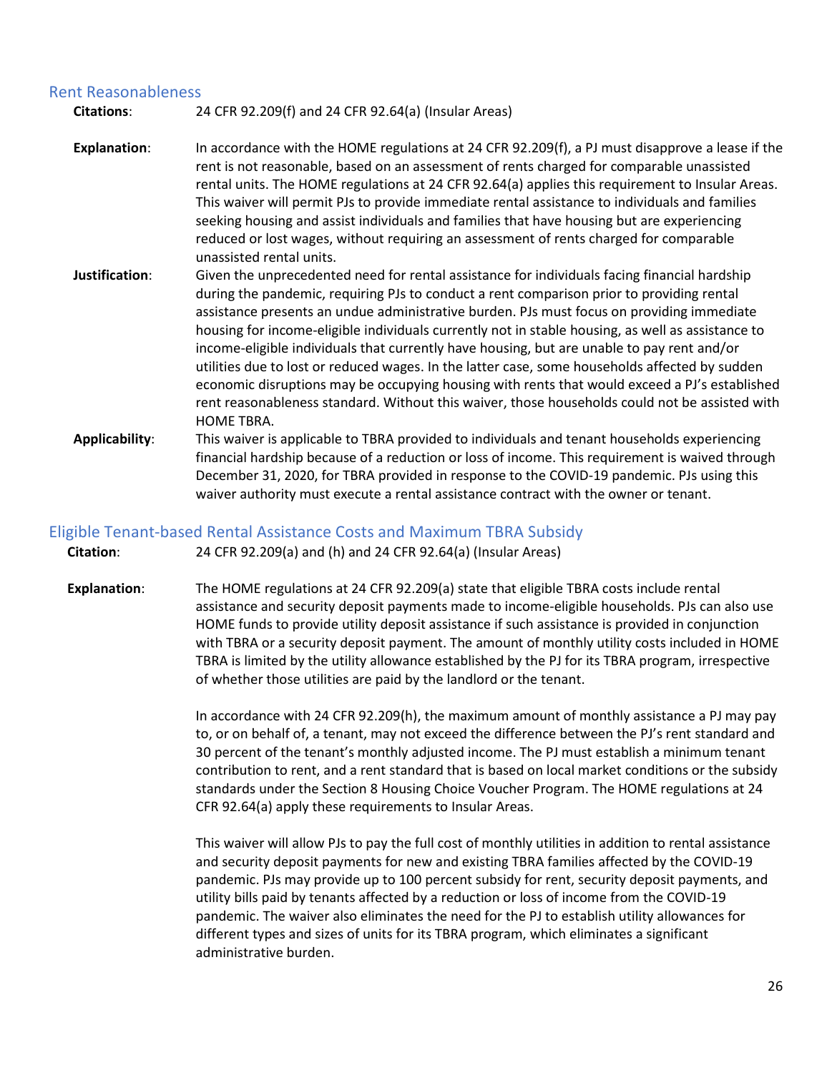#### <span id="page-25-0"></span>Rent Reasonableness

**Citations**: 24 CFR 92.209(f) and 24 CFR 92.64(a) (Insular Areas)

- **Explanation**: In accordance with the HOME regulations at 24 CFR 92.209(f), a PJ must disapprove a lease if the rent is not reasonable, based on an assessment of rents charged for comparable unassisted rental units. The HOME regulations at 24 CFR 92.64(a) applies this requirement to Insular Areas. This waiver will permit PJs to provide immediate rental assistance to individuals and families seeking housing and assist individuals and families that have housing but are experiencing reduced or lost wages, without requiring an assessment of rents charged for comparable unassisted rental units.
- **Justification**: Given the unprecedented need for rental assistance for individuals facing financial hardship during the pandemic, requiring PJs to conduct a rent comparison prior to providing rental assistance presents an undue administrative burden. PJs must focus on providing immediate housing for income-eligible individuals currently not in stable housing, as well as assistance to income-eligible individuals that currently have housing, but are unable to pay rent and/or utilities due to lost or reduced wages. In the latter case, some households affected by sudden economic disruptions may be occupying housing with rents that would exceed a PJ's established rent reasonableness standard. Without this waiver, those households could not be assisted with HOME TBRA.
- **Applicability**: This waiver is applicable to TBRA provided to individuals and tenant households experiencing financial hardship because of a reduction or loss of income. This requirement is waived through December 31, 2020, for TBRA provided in response to the COVID-19 pandemic. PJs using this waiver authority must execute a rental assistance contract with the owner or tenant.

#### <span id="page-25-1"></span>Eligible Tenant-based Rental Assistance Costs and Maximum TBRA Subsidy

**Citation**: 24 CFR 92.209(a) and (h) and 24 CFR 92.64(a) (Insular Areas)

**Explanation**: The HOME regulations at 24 CFR 92.209(a) state that eligible TBRA costs include rental assistance and security deposit payments made to income-eligible households. PJs can also use HOME funds to provide utility deposit assistance if such assistance is provided in conjunction with TBRA or a security deposit payment. The amount of monthly utility costs included in HOME TBRA is limited by the utility allowance established by the PJ for its TBRA program, irrespective of whether those utilities are paid by the landlord or the tenant.

> In accordance with 24 CFR 92.209(h), the maximum amount of monthly assistance a PJ may pay to, or on behalf of, a tenant, may not exceed the difference between the PJ's rent standard and 30 percent of the tenant's monthly adjusted income. The PJ must establish a minimum tenant contribution to rent, and a rent standard that is based on local market conditions or the subsidy standards under the Section 8 Housing Choice Voucher Program. The HOME regulations at 24 CFR 92.64(a) apply these requirements to Insular Areas.

This waiver will allow PJs to pay the full cost of monthly utilities in addition to rental assistance and security deposit payments for new and existing TBRA families affected by the COVID-19 pandemic. PJs may provide up to 100 percent subsidy for rent, security deposit payments, and utility bills paid by tenants affected by a reduction or loss of income from the COVID-19 pandemic. The waiver also eliminates the need for the PJ to establish utility allowances for different types and sizes of units for its TBRA program, which eliminates a significant administrative burden.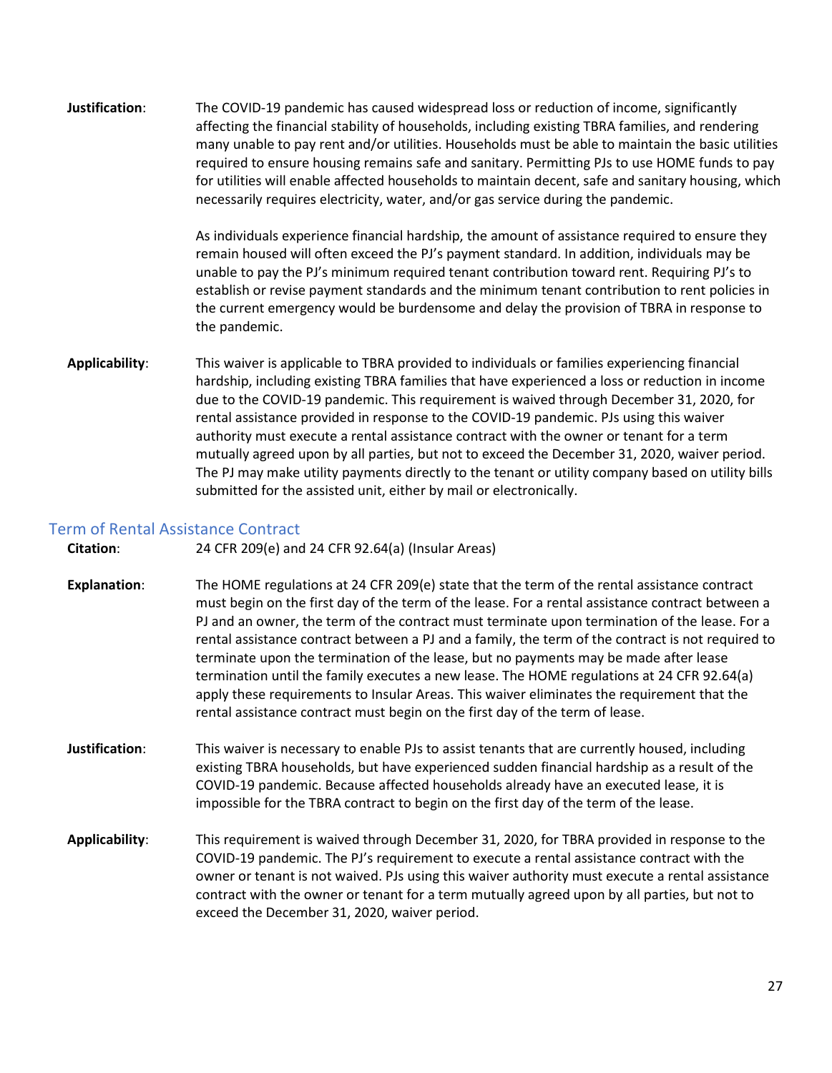**Justification**: The COVID-19 pandemic has caused widespread loss or reduction of income, significantly affecting the financial stability of households, including existing TBRA families, and rendering many unable to pay rent and/or utilities. Households must be able to maintain the basic utilities required to ensure housing remains safe and sanitary. Permitting PJs to use HOME funds to pay for utilities will enable affected households to maintain decent, safe and sanitary housing, which necessarily requires electricity, water, and/or gas service during the pandemic.

> As individuals experience financial hardship, the amount of assistance required to ensure they remain housed will often exceed the PJ's payment standard. In addition, individuals may be unable to pay the PJ's minimum required tenant contribution toward rent. Requiring PJ's to establish or revise payment standards and the minimum tenant contribution to rent policies in the current emergency would be burdensome and delay the provision of TBRA in response to the pandemic.

**Applicability**: This waiver is applicable to TBRA provided to individuals or families experiencing financial hardship, including existing TBRA families that have experienced a loss or reduction in income due to the COVID-19 pandemic. This requirement is waived through December 31, 2020, for rental assistance provided in response to the COVID-19 pandemic. PJs using this waiver authority must execute a rental assistance contract with the owner or tenant for a term mutually agreed upon by all parties, but not to exceed the December 31, 2020, waiver period. The PJ may make utility payments directly to the tenant or utility company based on utility bills submitted for the assisted unit, either by mail or electronically.

### <span id="page-26-0"></span>Term of Rental Assistance Contract

| <b>Citation:</b> | 24 CFR 209(e) and 24 CFR 92.64(a) (Insular Areas) |
|------------------|---------------------------------------------------|
|------------------|---------------------------------------------------|

- **Explanation**: The HOME regulations at 24 CFR 209(e) state that the term of the rental assistance contract must begin on the first day of the term of the lease. For a rental assistance contract between a PJ and an owner, the term of the contract must terminate upon termination of the lease. For a rental assistance contract between a PJ and a family, the term of the contract is not required to terminate upon the termination of the lease, but no payments may be made after lease termination until the family executes a new lease. The HOME regulations at 24 CFR 92.64(a) apply these requirements to Insular Areas. This waiver eliminates the requirement that the rental assistance contract must begin on the first day of the term of lease.
- **Justification**: This waiver is necessary to enable PJs to assist tenants that are currently housed, including existing TBRA households, but have experienced sudden financial hardship as a result of the COVID-19 pandemic. Because affected households already have an executed lease, it is impossible for the TBRA contract to begin on the first day of the term of the lease.
- **Applicability**: This requirement is waived through December 31, 2020, for TBRA provided in response to the COVID-19 pandemic. The PJ's requirement to execute a rental assistance contract with the owner or tenant is not waived. PJs using this waiver authority must execute a rental assistance contract with the owner or tenant for a term mutually agreed upon by all parties, but not to exceed the December 31, 2020, waiver period.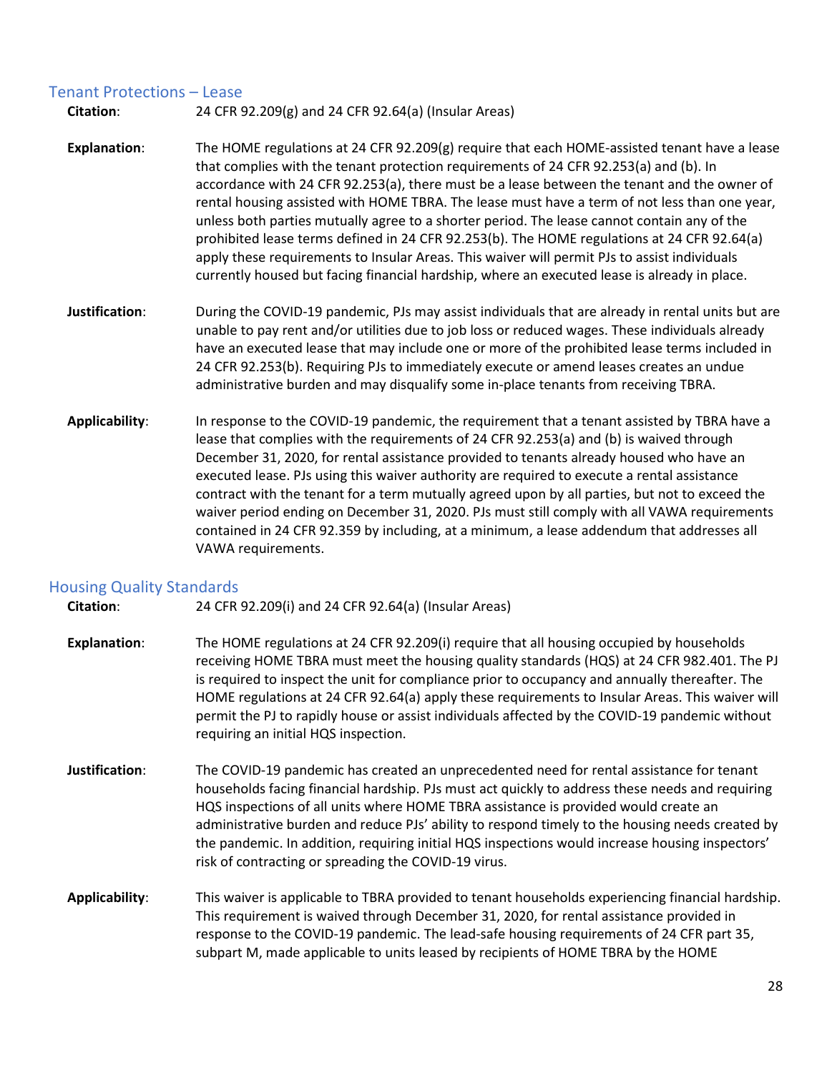### <span id="page-27-0"></span>Tenant Protections – Lease

**Citation**: 24 CFR 92.209(g) and 24 CFR 92.64(a) (Insular Areas)

- **Explanation**: The HOME regulations at 24 CFR 92.209(g) require that each HOME-assisted tenant have a lease that complies with the tenant protection requirements of 24 CFR 92.253(a) and (b). In accordance with 24 CFR 92.253(a), there must be a lease between the tenant and the owner of rental housing assisted with HOME TBRA. The lease must have a term of not less than one year, unless both parties mutually agree to a shorter period. The lease cannot contain any of the prohibited lease terms defined in 24 CFR 92.253(b). The HOME regulations at 24 CFR 92.64(a) apply these requirements to Insular Areas. This waiver will permit PJs to assist individuals currently housed but facing financial hardship, where an executed lease is already in place.
- **Justification**: During the COVID-19 pandemic, PJs may assist individuals that are already in rental units but are unable to pay rent and/or utilities due to job loss or reduced wages. These individuals already have an executed lease that may include one or more of the prohibited lease terms included in 24 CFR 92.253(b). Requiring PJs to immediately execute or amend leases creates an undue administrative burden and may disqualify some in-place tenants from receiving TBRA.
- **Applicability**: In response to the COVID-19 pandemic, the requirement that a tenant assisted by TBRA have a lease that complies with the requirements of 24 CFR 92.253(a) and (b) is waived through December 31, 2020, for rental assistance provided to tenants already housed who have an executed lease. PJs using this waiver authority are required to execute a rental assistance contract with the tenant for a term mutually agreed upon by all parties, but not to exceed the waiver period ending on December 31, 2020. PJs must still comply with all VAWA requirements contained in 24 CFR 92.359 by including, at a minimum, a lease addendum that addresses all VAWA requirements.

### <span id="page-27-1"></span>Housing Quality Standards

**Citation**: 24 CFR 92.209(i) and 24 CFR 92.64(a) (Insular Areas)

- **Explanation**: The HOME regulations at 24 CFR 92.209(i) require that all housing occupied by households receiving HOME TBRA must meet the housing quality standards (HQS) at 24 CFR 982.401. The PJ is required to inspect the unit for compliance prior to occupancy and annually thereafter. The HOME regulations at 24 CFR 92.64(a) apply these requirements to Insular Areas. This waiver will permit the PJ to rapidly house or assist individuals affected by the COVID-19 pandemic without requiring an initial HQS inspection.
- **Justification**: The COVID-19 pandemic has created an unprecedented need for rental assistance for tenant households facing financial hardship. PJs must act quickly to address these needs and requiring HQS inspections of all units where HOME TBRA assistance is provided would create an administrative burden and reduce PJs' ability to respond timely to the housing needs created by the pandemic. In addition, requiring initial HQS inspections would increase housing inspectors' risk of contracting or spreading the COVID-19 virus.
- **Applicability**: This waiver is applicable to TBRA provided to tenant households experiencing financial hardship. This requirement is waived through December 31, 2020, for rental assistance provided in response to the COVID-19 pandemic. The lead-safe housing requirements of 24 CFR part 35, subpart M, made applicable to units leased by recipients of HOME TBRA by the HOME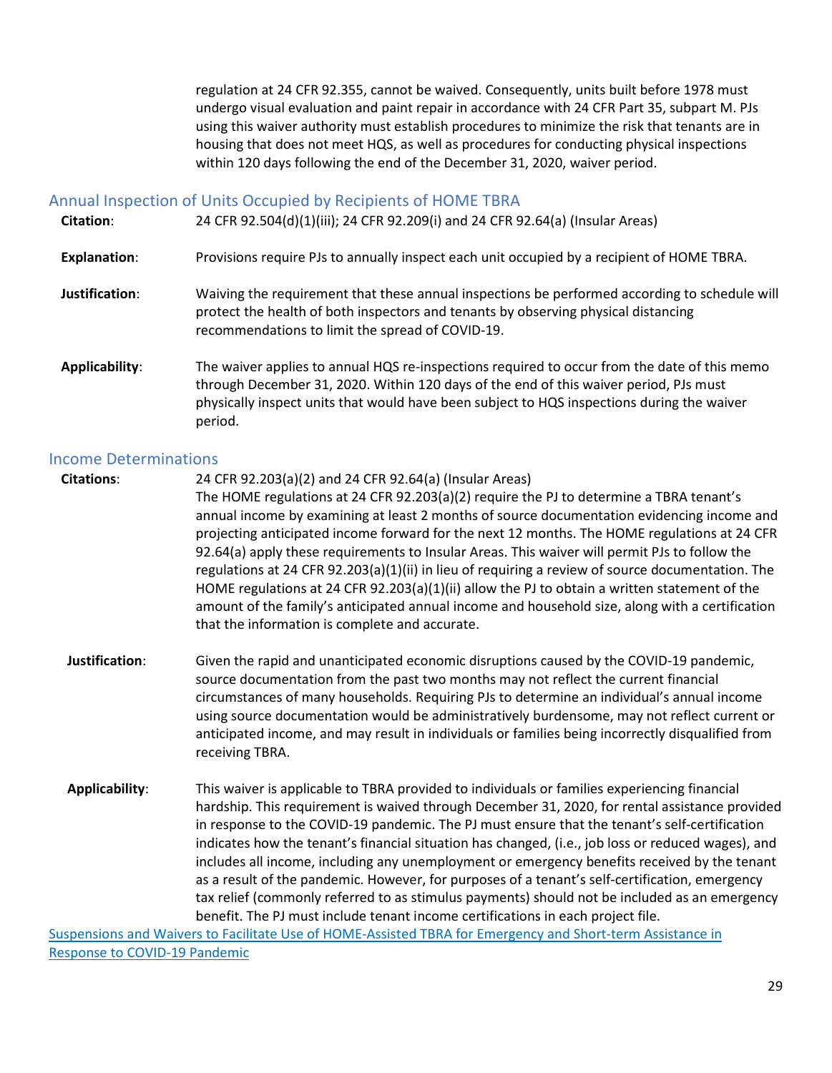regulation at 24 CFR 92.355, cannot be waived. Consequently, units built before 1978 must undergo visual evaluation and paint repair in accordance with 24 CFR Part 35, subpart M. PJs using this waiver authority must establish procedures to minimize the risk that tenants are in housing that does not meet HQS, as well as procedures for conducting physical inspections within 120 days following the end of the December 31, 2020, waiver period.

### <span id="page-28-0"></span>Annual Inspection of Units Occupied by Recipients of HOME TBRA

| <b>Citation:</b> | 24 CFR 92.504(d)(1)(iii); 24 CFR 92.209(i) and 24 CFR 92.64(a) (Insular Areas) |  |  |
|------------------|--------------------------------------------------------------------------------|--|--|
|------------------|--------------------------------------------------------------------------------|--|--|

- **Explanation**: Provisions require PJs to annually inspect each unit occupied by a recipient of HOME TBRA.
- **Justification**: Waiving the requirement that these annual inspections be performed according to schedule will protect the health of both inspectors and tenants by observing physical distancing recommendations to limit the spread of COVID-19.
- **Applicability**: The waiver applies to annual HQS re-inspections required to occur from the date of this memo through December 31, 2020. Within 120 days of the end of this waiver period, PJs must physically inspect units that would have been subject to HQS inspections during the waiver period.

#### <span id="page-28-1"></span>Income Determinations

**Citations**: 24 CFR 92.203(a)(2) and 24 CFR 92.64(a) (Insular Areas)

The HOME regulations at 24 CFR 92.203(a)(2) require the PJ to determine a TBRA tenant's annual income by examining at least 2 months of source documentation evidencing income and projecting anticipated income forward for the next 12 months. The HOME regulations at 24 CFR 92.64(a) apply these requirements to Insular Areas. This waiver will permit PJs to follow the regulations at 24 CFR 92.203(a)(1)(ii) in lieu of requiring a review of source documentation. The HOME regulations at 24 CFR 92.203(a)(1)(ii) allow the PJ to obtain a written statement of the amount of the family's anticipated annual income and household size, along with a certification that the information is complete and accurate.

- **Justification**: Given the rapid and unanticipated economic disruptions caused by the COVID-19 pandemic, source documentation from the past two months may not reflect the current financial circumstances of many households. Requiring PJs to determine an individual's annual income using source documentation would be administratively burdensome, may not reflect current or anticipated income, and may result in individuals or families being incorrectly disqualified from receiving TBRA.
- **Applicability**: This waiver is applicable to TBRA provided to individuals or families experiencing financial hardship. This requirement is waived through December 31, 2020, for rental assistance provided in response to the COVID-19 pandemic. The PJ must ensure that the tenant's self-certification indicates how the tenant's financial situation has changed, (i.e., job loss or reduced wages), and includes all income, including any unemployment or emergency benefits received by the tenant as a result of the pandemic. However, for purposes of a tenant's self-certification, emergency tax relief (commonly referred to as stimulus payments) should not be included as an emergency benefit. The PJ must include tenant income certifications in each project file.

[Suspensions and Waivers to Facilitate Use of HOME-Assisted TBRA for Emergency and Short-term Assistance in](https://files.hudexchange.info/resources/documents/Suspensions-and-Waivers-to-Facilitate-Use-of-HOME-Assisted-TBRA-COVID-19.pdf)  [Response to COVID-19 Pandemic](https://files.hudexchange.info/resources/documents/Suspensions-and-Waivers-to-Facilitate-Use-of-HOME-Assisted-TBRA-COVID-19.pdf)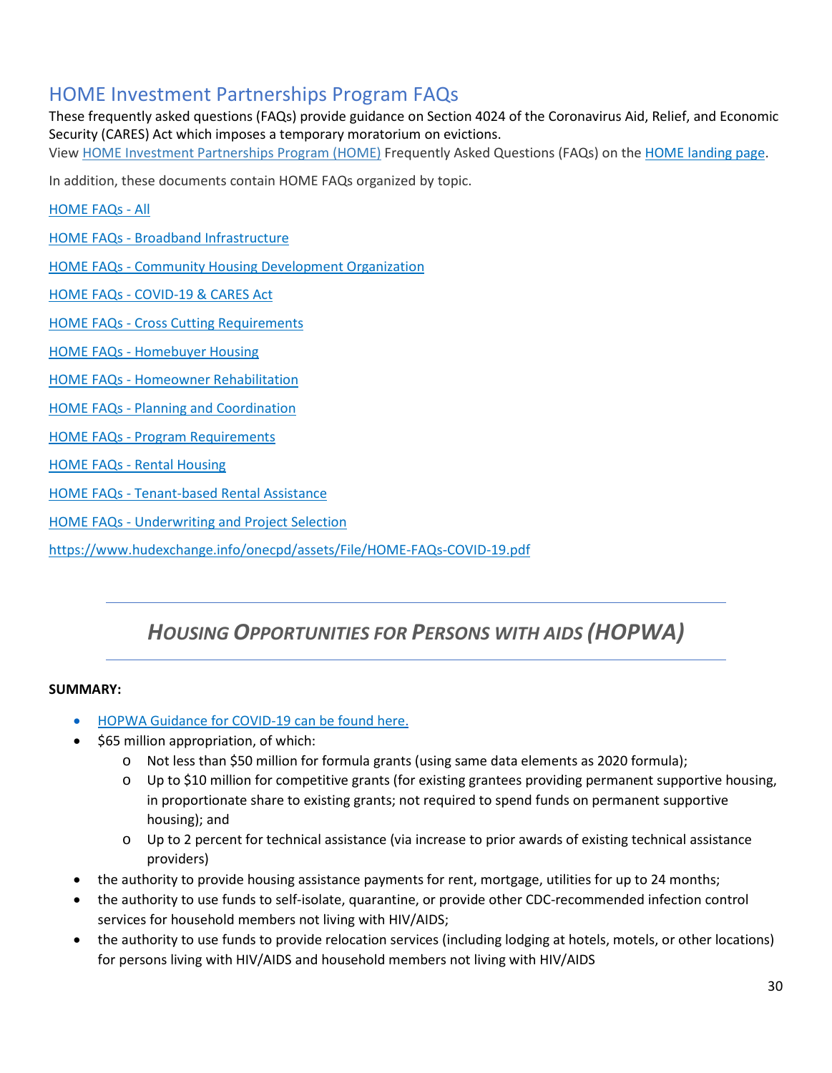### <span id="page-29-0"></span>HOME Investment Partnerships Program FAQs

These frequently asked questions (FAQs) provide guidance on Section 4024 of the Coronavirus Aid, Relief, and Economic Security (CARES) Act which imposes a temporary moratorium on evictions. Vie[w HOME Investment Partnerships Program \(HOME\)](https://www.hudexchange.info/programs/home/) Frequently Asked Questions (FAQs) on th[e HOME landing page.](https://www.hudexchange.info/home/faqs)

In addition, these documents contain HOME FAQs organized by topic.

[HOME FAQs - All](https://www.hudexchange.info/onecpd/assets/File/HOME-FAQs.pdf)

[HOME FAQs - Broadband Infrastructure](https://www.hudexchange.info/onecpd/assets/File/HOME-FAQs-Broadband.pdf)

[HOME FAQs - Community Housing Development Organization](https://www.hudexchange.info/onecpd/assets/File/HOME-FAQs-CHDO.pdf)

[HOME FAQs - COVID-19 & CARES Act](https://www.hudexchange.info/onecpd/assets/File/HOME-FAQs-COVID-19.pdf)

[HOME FAQs - Cross Cutting Requirements](https://www.hudexchange.info/onecpd/assets/File/HOME-FAQs-Cross-Cutting-Requirements.pdf)

[HOME FAQs - Homebuyer Housing](https://www.hudexchange.info/onecpd/assets/File/HOME-FAQs-Homebuyer.pdf)

[HOME FAQs - Homeowner Rehabilitation](https://www.hudexchange.info/onecpd/assets/File/HOME-FAQs-Homeowner-Rehabilitation.pdf)

[HOME FAQs - Planning and Coordination](https://www.hudexchange.info/onecpd/assets/File/HOME-FAQs-Planning-and-Coordination.pdf)

[HOME FAQs - Program Requirements](https://www.hudexchange.info/onecpd/assets/File/HOME-FAQs-Program-Requirements.pdf)

[HOME FAQs - Rental Housing](https://www.hudexchange.info/onecpd/assets/File/HOME-FAQs-Rental.pdf)

[HOME FAQs - Tenant-based Rental Assistance](https://www.hudexchange.info/onecpd/assets/File/HOME-FAQs-TBRA.pdf)

[HOME FAQs - Underwriting and Project Selection](https://www.hudexchange.info/onecpd/assets/File/HOME-FAQs-Underwriting.pdf)

<https://www.hudexchange.info/onecpd/assets/File/HOME-FAQs-COVID-19.pdf>

### *HOUSING OPPORTUNITIES FOR PERSONS WITH AIDS (HOPWA)*

### **SUMMARY:**

- [HOPWA Guidance for COVID-19 can be found here.](https://www.hudexchange.info/programs/hopwa/covid-19/#resources-and-guidance)
- \$65 million appropriation, of which:
	- $\circ$  Not less than \$50 million for formula grants (using same data elements as 2020 formula);
	- $\circ$  Up to \$10 million for competitive grants (for existing grantees providing permanent supportive housing, in proportionate share to existing grants; not required to spend funds on permanent supportive housing); and
	- o Up to 2 percent for technical assistance (via increase to prior awards of existing technical assistance providers)
- the authority to provide housing assistance payments for rent, mortgage, utilities for up to 24 months;
- the authority to use funds to self-isolate, quarantine, or provide other CDC-recommended infection control services for household members not living with HIV/AIDS;
- the authority to use funds to provide relocation services (including lodging at hotels, motels, or other locations) for persons living with HIV/AIDS and household members not living with HIV/AIDS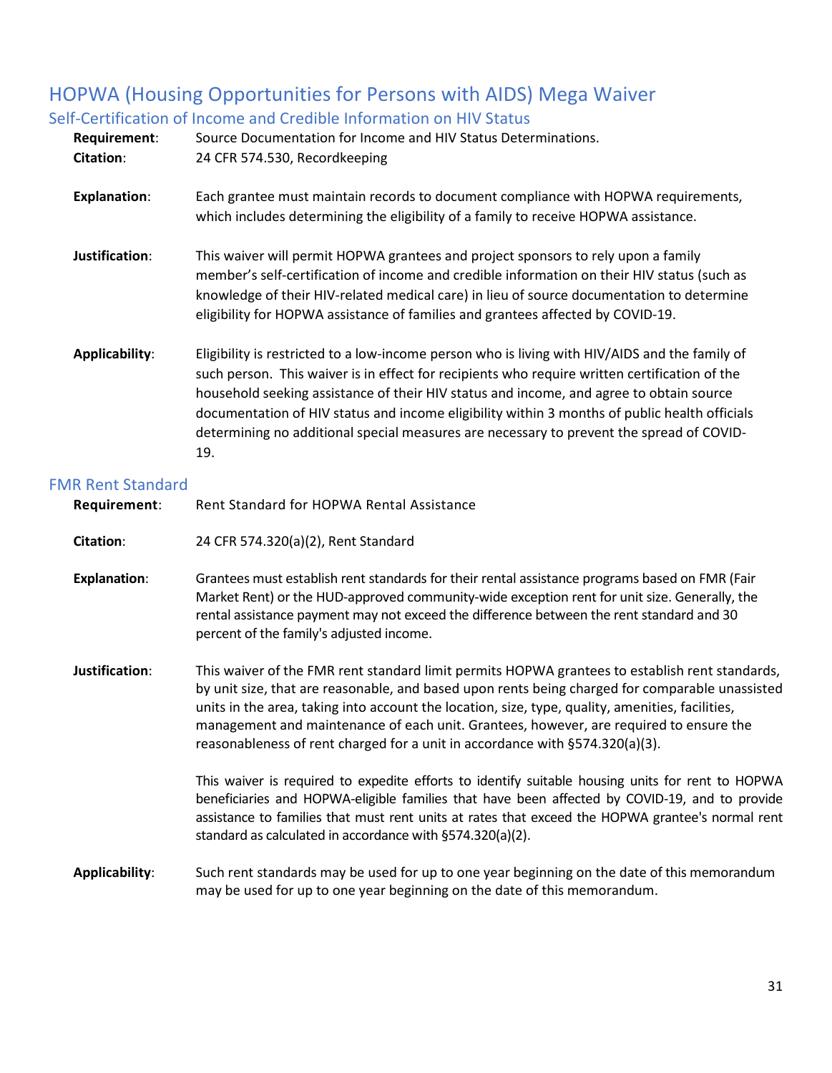# <span id="page-30-0"></span>HOPWA (Housing Opportunities for Persons with AIDS) Mega Waiver

### <span id="page-30-1"></span>Self-Certification of Income and Credible Information on HIV Status

| Requirement:<br><b>Citation:</b> | Source Documentation for Income and HIV Status Determinations.<br>24 CFR 574.530, Recordkeeping                                                                                                                                                                                                                                                                                                                                                                                                |
|----------------------------------|------------------------------------------------------------------------------------------------------------------------------------------------------------------------------------------------------------------------------------------------------------------------------------------------------------------------------------------------------------------------------------------------------------------------------------------------------------------------------------------------|
| <b>Explanation:</b>              | Each grantee must maintain records to document compliance with HOPWA requirements,<br>which includes determining the eligibility of a family to receive HOPWA assistance.                                                                                                                                                                                                                                                                                                                      |
| Justification:                   | This waiver will permit HOPWA grantees and project sponsors to rely upon a family<br>member's self-certification of income and credible information on their HIV status (such as<br>knowledge of their HIV-related medical care) in lieu of source documentation to determine<br>eligibility for HOPWA assistance of families and grantees affected by COVID-19.                                                                                                                               |
| Applicability:                   | Eligibility is restricted to a low-income person who is living with HIV/AIDS and the family of<br>such person. This waiver is in effect for recipients who require written certification of the<br>household seeking assistance of their HIV status and income, and agree to obtain source<br>documentation of HIV status and income eligibility within 3 months of public health officials<br>determining no additional special measures are necessary to prevent the spread of COVID-<br>19. |

### <span id="page-30-2"></span>FMR Rent Standard

<span id="page-30-3"></span>

| Requirement:        | Rent Standard for HOPWA Rental Assistance                                                                                                                                                                                                                                                                                                                                                                                                                                       |
|---------------------|---------------------------------------------------------------------------------------------------------------------------------------------------------------------------------------------------------------------------------------------------------------------------------------------------------------------------------------------------------------------------------------------------------------------------------------------------------------------------------|
| <b>Citation:</b>    | 24 CFR 574.320(a)(2), Rent Standard                                                                                                                                                                                                                                                                                                                                                                                                                                             |
| <b>Explanation:</b> | Grantees must establish rent standards for their rental assistance programs based on FMR (Fair<br>Market Rent) or the HUD-approved community-wide exception rent for unit size. Generally, the<br>rental assistance payment may not exceed the difference between the rent standard and 30<br>percent of the family's adjusted income.                                                                                                                                          |
| Justification:      | This waiver of the FMR rent standard limit permits HOPWA grantees to establish rent standards,<br>by unit size, that are reasonable, and based upon rents being charged for comparable unassisted<br>units in the area, taking into account the location, size, type, quality, amenities, facilities,<br>management and maintenance of each unit. Grantees, however, are required to ensure the<br>reasonableness of rent charged for a unit in accordance with §574.320(a)(3). |
|                     | This waiver is required to expedite efforts to identify suitable housing units for rent to HOPWA<br>beneficiaries and HOPWA-eligible families that have been affected by COVID-19, and to provide<br>assistance to families that must rent units at rates that exceed the HOPWA grantee's normal rent<br>standard as calculated in accordance with §574.320(a)(2).                                                                                                              |
| Applicability:      | Such rent standards may be used for up to one year beginning on the date of this memorandum<br>may be used for up to one year beginning on the date of this memorandum.                                                                                                                                                                                                                                                                                                         |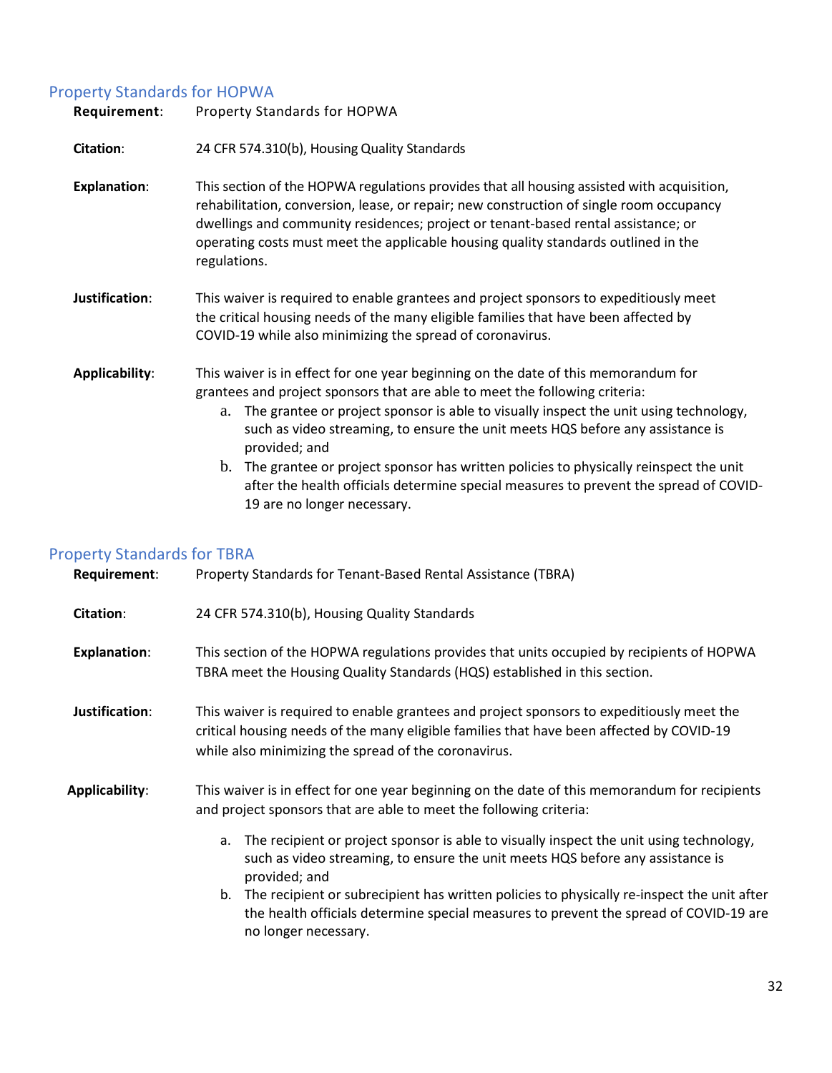### Property Standards for HOPWA

| Requirement:          | Property Standards for HOPWA                                                                                                                                                                                                                                                                                                                                                                                                                                                                                                                                                           |
|-----------------------|----------------------------------------------------------------------------------------------------------------------------------------------------------------------------------------------------------------------------------------------------------------------------------------------------------------------------------------------------------------------------------------------------------------------------------------------------------------------------------------------------------------------------------------------------------------------------------------|
| Citation:             | 24 CFR 574.310(b), Housing Quality Standards                                                                                                                                                                                                                                                                                                                                                                                                                                                                                                                                           |
| <b>Explanation:</b>   | This section of the HOPWA regulations provides that all housing assisted with acquisition,<br>rehabilitation, conversion, lease, or repair; new construction of single room occupancy<br>dwellings and community residences; project or tenant-based rental assistance; or<br>operating costs must meet the applicable housing quality standards outlined in the<br>regulations.                                                                                                                                                                                                       |
| Justification:        | This waiver is required to enable grantees and project sponsors to expeditiously meet<br>the critical housing needs of the many eligible families that have been affected by<br>COVID-19 while also minimizing the spread of coronavirus.                                                                                                                                                                                                                                                                                                                                              |
| <b>Applicability:</b> | This waiver is in effect for one year beginning on the date of this memorandum for<br>grantees and project sponsors that are able to meet the following criteria:<br>The grantee or project sponsor is able to visually inspect the unit using technology,<br>a.<br>such as video streaming, to ensure the unit meets HQS before any assistance is<br>provided; and<br>b. The grantee or project sponsor has written policies to physically reinspect the unit<br>after the health officials determine special measures to prevent the spread of COVID-<br>19 are no longer necessary. |

### <span id="page-31-0"></span>Property Standards for TBRA

| Requirement:        | Property Standards for Tenant-Based Rental Assistance (TBRA)                                                                                                                                                                                  |
|---------------------|-----------------------------------------------------------------------------------------------------------------------------------------------------------------------------------------------------------------------------------------------|
| Citation:           | 24 CFR 574.310(b), Housing Quality Standards                                                                                                                                                                                                  |
| <b>Explanation:</b> | This section of the HOPWA regulations provides that units occupied by recipients of HOPWA<br>TBRA meet the Housing Quality Standards (HQS) established in this section.                                                                       |
| Justification:      | This waiver is required to enable grantees and project sponsors to expeditiously meet the<br>critical housing needs of the many eligible families that have been affected by COVID-19<br>while also minimizing the spread of the coronavirus. |
| Applicability:      | This waiver is in effect for one year beginning on the date of this memorandum for recipients<br>and project sponsors that are able to meet the following criteria:                                                                           |
|                     | The recipient or project sponsor is able to visually inspect the unit using technology,<br>a.<br>such as video streaming, to ensure the unit meets HQS before any assistance is<br>provided; and                                              |
|                     | b. The recipient or subrecipient has written policies to physically re-inspect the unit after<br>the health officials determine special measures to prevent the spread of COVID-19 are<br>no longer necessary.                                |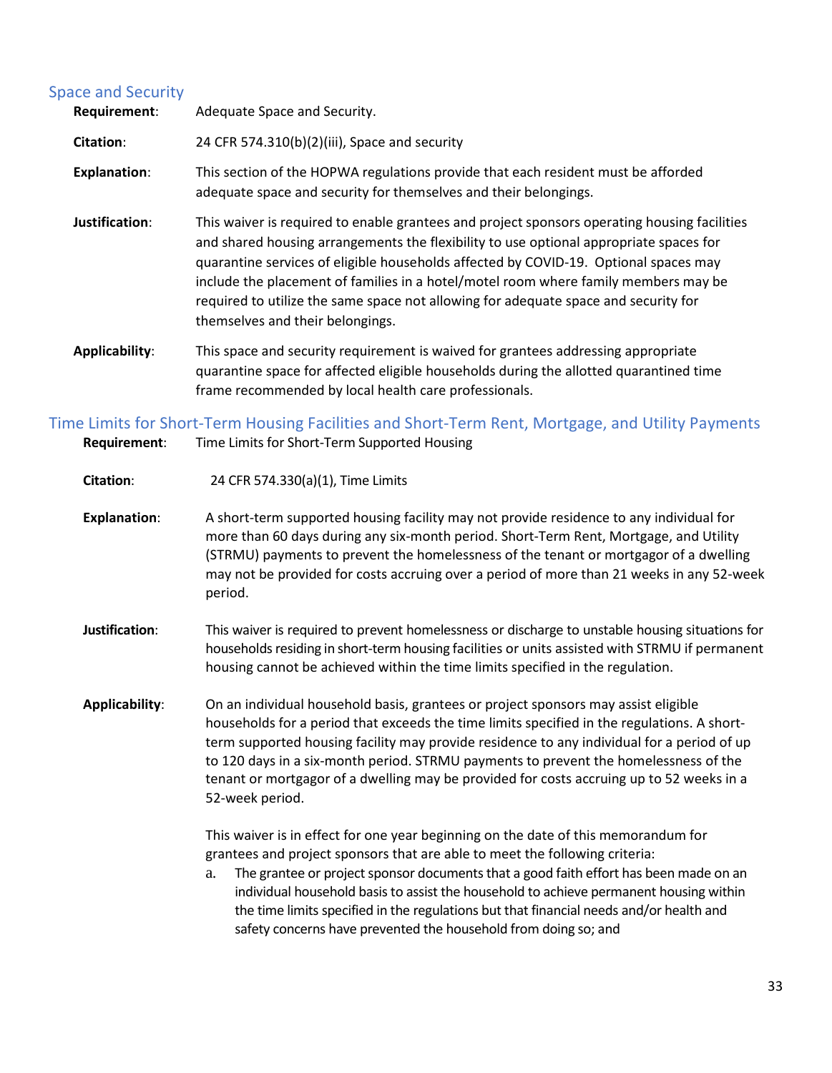### <span id="page-32-0"></span>Space and Security

| Requirement:        | Adequate Space and Security.                                                                                                                                                                                                                                                                                                                                                                                                                                                                     |
|---------------------|--------------------------------------------------------------------------------------------------------------------------------------------------------------------------------------------------------------------------------------------------------------------------------------------------------------------------------------------------------------------------------------------------------------------------------------------------------------------------------------------------|
| Citation:           | 24 CFR 574.310(b)(2)(iii), Space and security                                                                                                                                                                                                                                                                                                                                                                                                                                                    |
| <b>Explanation:</b> | This section of the HOPWA regulations provide that each resident must be afforded<br>adequate space and security for themselves and their belongings.                                                                                                                                                                                                                                                                                                                                            |
| Justification:      | This waiver is required to enable grantees and project sponsors operating housing facilities<br>and shared housing arrangements the flexibility to use optional appropriate spaces for<br>quarantine services of eligible households affected by COVID-19. Optional spaces may<br>include the placement of families in a hotel/motel room where family members may be<br>required to utilize the same space not allowing for adequate space and security for<br>themselves and their belongings. |
| Applicability:      | This space and security requirement is waived for grantees addressing appropriate<br>quarantine space for affected eligible households during the allotted quarantined time<br>frame recommended by local health care professionals.                                                                                                                                                                                                                                                             |

### <span id="page-32-1"></span>Time Limits for Short-Term Housing Facilities and Short-Term Rent, Mortgage, and Utility Payments **Requirement**: Time Limits for Short-Term Supported Housing

#### **Citation**: 24 CFR 574.330(a)(1), Time Limits

- **Explanation**: A short-term supported housing facility may not provide residence to any individual for more than 60 days during any six-month period. Short-Term Rent, Mortgage, and Utility (STRMU) payments to prevent the homelessness of the tenant or mortgagor of a dwelling may not be provided for costs accruing over a period of more than 21 weeks in any 52-week period.
- **Justification**: This waiver is required to prevent homelessness or discharge to unstable housing situations for households residing in short-term housing facilities or units assisted with STRMU if permanent housing cannot be achieved within the time limits specified in the regulation.
- **Applicability**: On an individual household basis, grantees or project sponsors may assist eligible households for a period that exceeds the time limits specified in the regulations. A shortterm supported housing facility may provide residence to any individual for a period of up to 120 days in a six-month period. STRMU payments to prevent the homelessness of the tenant or mortgagor of a dwelling may be provided for costs accruing up to 52 weeks in a 52-week period.

This waiver is in effect for one year beginning on the date of this memorandum for grantees and project sponsors that are able to meet the following criteria:

a. The grantee or project sponsor documents that a good faith effort has been made on an individual household basis to assist the household to achieve permanent housing within the time limits specified in the regulations but that financial needs and/or health and safety concerns have prevented the household from doing so; and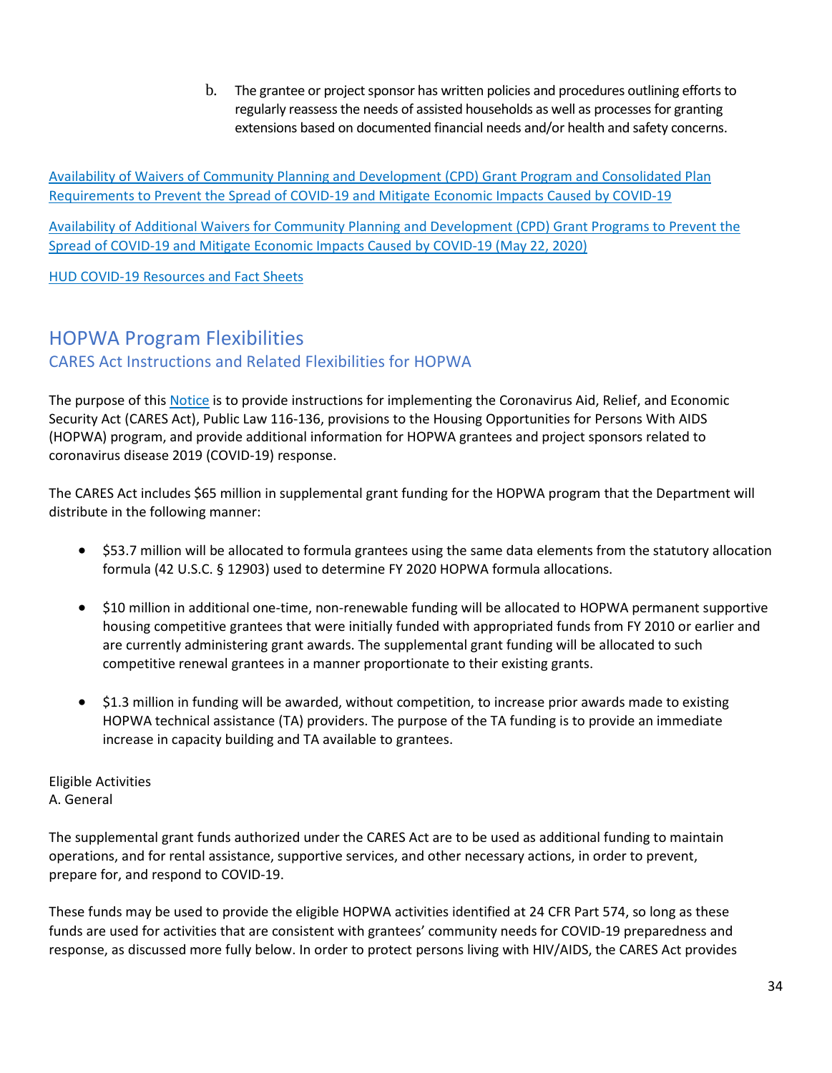b. The grantee or project sponsor has written policies and procedures outlining efforts to regularly reassess the needs of assisted households as well as processes for granting extensions based on documented financial needs and/or health and safety concerns.

[Availability of Waivers of Community Planning and Development \(CPD\) Grant Program and Consolidated Plan](https://files.hudexchange.info/resources/documents/Availability-of-Waivers-of-CPD-Grant-Program-and-Consolidated-Plan-Requirements-to-Prevent-the-Spread-of-COVID-19-and-Mitigate-Economic-Impacts-Caused-by-COVID-19.pdf)  [Requirements to Prevent the Spread of COVID-19 and Mitigate Economic Impacts Caused by COVID-19](https://files.hudexchange.info/resources/documents/Availability-of-Waivers-of-CPD-Grant-Program-and-Consolidated-Plan-Requirements-to-Prevent-the-Spread-of-COVID-19-and-Mitigate-Economic-Impacts-Caused-by-COVID-19.pdf)

[Availability of Additional Waivers for Community Planning and Development \(CPD\) Grant Programs to Prevent the](https://www.hud.gov/sites/dfiles/CPD/documents/Additional_Waivers_for_CPD_Grant_Programs_to_Prevent_COVID-19_Spread_and_Mitigate_COVID-19_Economic_Impacts.pdf)  [Spread of COVID-19 and Mitigate Economic Impacts Caused by COVID-19 \(May 22, 2020\)](https://www.hud.gov/sites/dfiles/CPD/documents/Additional_Waivers_for_CPD_Grant_Programs_to_Prevent_COVID-19_Spread_and_Mitigate_COVID-19_Economic_Impacts.pdf)

<span id="page-33-0"></span>[HUD COVID-19 Resources and Fact Sheets](https://www.hud.gov/program_offices/comm_planning) 

### <span id="page-33-1"></span>HOPWA Program Flexibilities [CARES Act Instructions and Related Flexibilities for HOPWA](https://www.hud.gov/sites/dfiles/OCHCO/documents/2020-05cpdn.pdf)

The purpose of this [Notice](https://www.hudexchange.info/resource/6034/notice-cpd-20-05-cares-act-implementation-instructions-and-related-flexibilities-for-the-hopwa-program/?utm_source=HUD+Exchange+Mailing+List&utm_campaign=70373066b7-Remind_CARES_Act_Instructions_HOPWA_5.14.20&utm_medium=email&utm_term=0_f32b935a5f-70373066b7-19461021) is to provide instructions for implementing the Coronavirus Aid, Relief, and Economic Security Act (CARES Act), Public Law 116-136, provisions to the Housing Opportunities for Persons With AIDS (HOPWA) program, and provide additional information for HOPWA grantees and project sponsors related to coronavirus disease 2019 (COVID-19) response.

The CARES Act includes \$65 million in supplemental grant funding for the HOPWA program that the Department will distribute in the following manner:

- \$53.7 million will be allocated to formula grantees using the same data elements from the statutory allocation formula (42 U.S.C. § 12903) used to determine FY 2020 HOPWA formula allocations.
- \$10 million in additional one-time, non-renewable funding will be allocated to HOPWA permanent supportive housing competitive grantees that were initially funded with appropriated funds from FY 2010 or earlier and are currently administering grant awards. The supplemental grant funding will be allocated to such competitive renewal grantees in a manner proportionate to their existing grants.
- $\bullet$  \$1.3 million in funding will be awarded, without competition, to increase prior awards made to existing HOPWA technical assistance (TA) providers. The purpose of the TA funding is to provide an immediate increase in capacity building and TA available to grantees.

Eligible Activities A. General

The supplemental grant funds authorized under the CARES Act are to be used as additional funding to maintain operations, and for rental assistance, supportive services, and other necessary actions, in order to prevent, prepare for, and respond to COVID-19.

These funds may be used to provide the eligible HOPWA activities identified at 24 CFR Part 574, so long as these funds are used for activities that are consistent with grantees' community needs for COVID-19 preparedness and response, as discussed more fully below. In order to protect persons living with HIV/AIDS, the CARES Act provides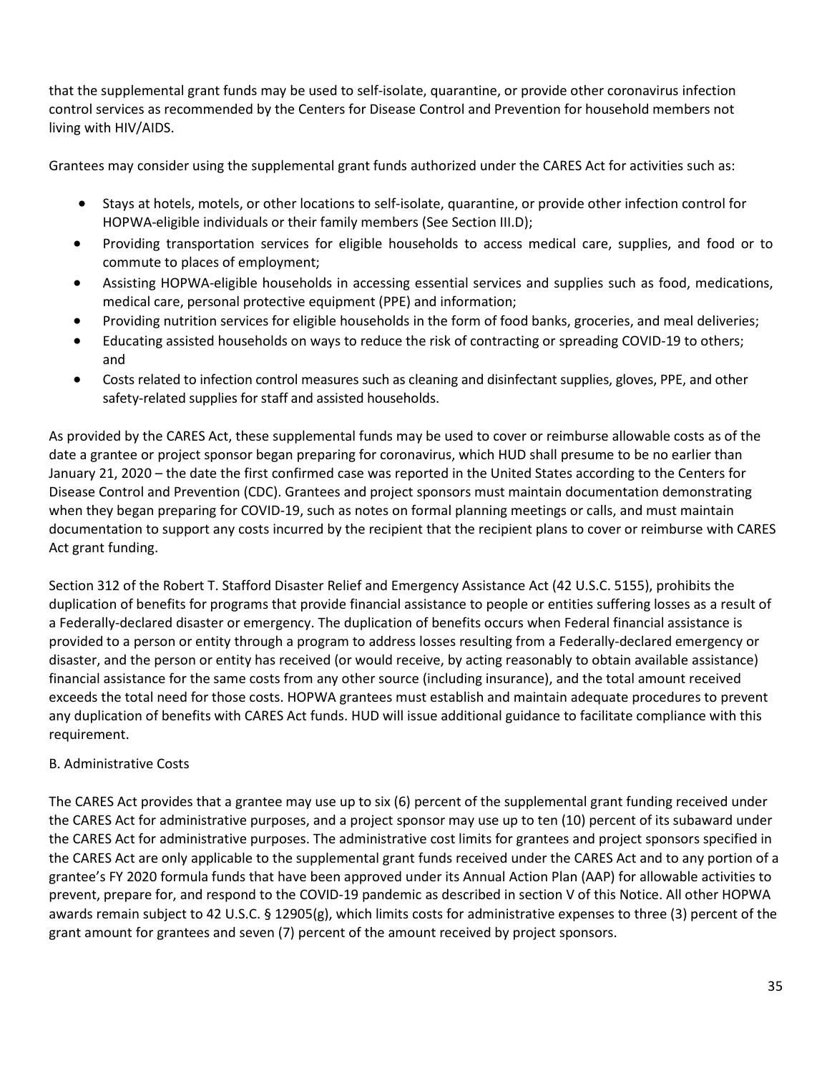that the supplemental grant funds may be used to self-isolate, quarantine, or provide other coronavirus infection control services as recommended by the Centers for Disease Control and Prevention for household members not living with HIV/AIDS.

Grantees may consider using the supplemental grant funds authorized under the CARES Act for activities such as:

- Stays at hotels, motels, or other locations to self-isolate, quarantine, or provide other infection control for HOPWA-eligible individuals or their family members (See Section III.D);
- Providing transportation services for eligible households to access medical care, supplies, and food or to commute to places of employment;
- Assisting HOPWA-eligible households in accessing essential services and supplies such as food, medications, medical care, personal protective equipment (PPE) and information;
- Providing nutrition services for eligible households in the form of food banks, groceries, and meal deliveries;
- Educating assisted households on ways to reduce the risk of contracting or spreading COVID-19 to others; and
- Costs related to infection control measures such as cleaning and disinfectant supplies, gloves, PPE, and other safety-related supplies for staff and assisted households.

As provided by the CARES Act, these supplemental funds may be used to cover or reimburse allowable costs as of the date a grantee or project sponsor began preparing for coronavirus, which HUD shall presume to be no earlier than January 21, 2020 – the date the first confirmed case was reported in the United States according to the Centers for Disease Control and Prevention (CDC). Grantees and project sponsors must maintain documentation demonstrating when they began preparing for COVID-19, such as notes on formal planning meetings or calls, and must maintain documentation to support any costs incurred by the recipient that the recipient plans to cover or reimburse with CARES Act grant funding.

Section 312 of the Robert T. Stafford Disaster Relief and Emergency Assistance Act (42 U.S.C. 5155), prohibits the duplication of benefits for programs that provide financial assistance to people or entities suffering losses as a result of a Federally-declared disaster or emergency. The duplication of benefits occurs when Federal financial assistance is provided to a person or entity through a program to address losses resulting from a Federally-declared emergency or disaster, and the person or entity has received (or would receive, by acting reasonably to obtain available assistance) financial assistance for the same costs from any other source (including insurance), and the total amount received exceeds the total need for those costs. HOPWA grantees must establish and maintain adequate procedures to prevent any duplication of benefits with CARES Act funds. HUD will issue additional guidance to facilitate compliance with this requirement.

### B. Administrative Costs

The CARES Act provides that a grantee may use up to six (6) percent of the supplemental grant funding received under the CARES Act for administrative purposes, and a project sponsor may use up to ten (10) percent of its subaward under the CARES Act for administrative purposes. The administrative cost limits for grantees and project sponsors specified in the CARES Act are only applicable to the supplemental grant funds received under the CARES Act and to any portion of a grantee's FY 2020 formula funds that have been approved under its Annual Action Plan (AAP) for allowable activities to prevent, prepare for, and respond to the COVID-19 pandemic as described in section V of this Notice. All other HOPWA awards remain subject to 42 U.S.C. § 12905(g), which limits costs for administrative expenses to three (3) percent of the grant amount for grantees and seven (7) percent of the amount received by project sponsors.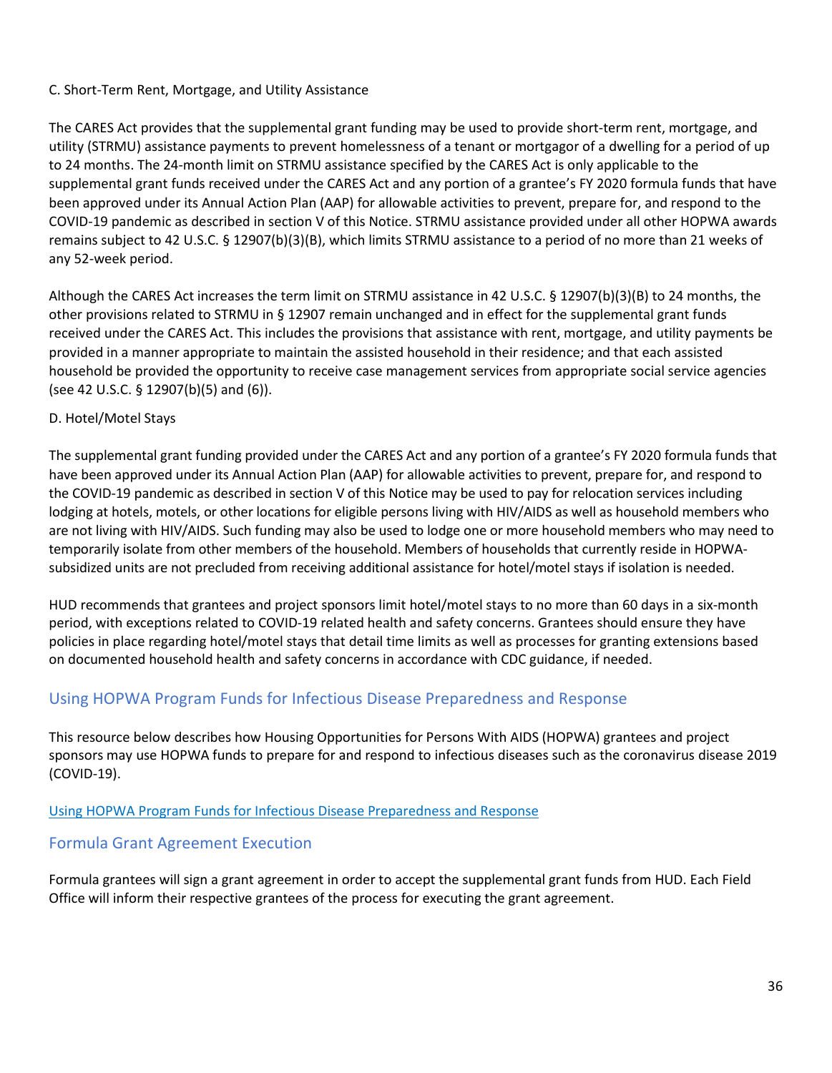### C. Short-Term Rent, Mortgage, and Utility Assistance

The CARES Act provides that the supplemental grant funding may be used to provide short-term rent, mortgage, and utility (STRMU) assistance payments to prevent homelessness of a tenant or mortgagor of a dwelling for a period of up to 24 months. The 24-month limit on STRMU assistance specified by the CARES Act is only applicable to the supplemental grant funds received under the CARES Act and any portion of a grantee's FY 2020 formula funds that have been approved under its Annual Action Plan (AAP) for allowable activities to prevent, prepare for, and respond to the COVID-19 pandemic as described in section V of this Notice. STRMU assistance provided under all other HOPWA awards remains subject to 42 U.S.C. § 12907(b)(3)(B), which limits STRMU assistance to a period of no more than 21 weeks of any 52-week period.

Although the CARES Act increases the term limit on STRMU assistance in 42 U.S.C. § 12907(b)(3)(B) to 24 months, the other provisions related to STRMU in § 12907 remain unchanged and in effect for the supplemental grant funds received under the CARES Act. This includes the provisions that assistance with rent, mortgage, and utility payments be provided in a manner appropriate to maintain the assisted household in their residence; and that each assisted household be provided the opportunity to receive case management services from appropriate social service agencies (see 42 U.S.C. § 12907(b)(5) and (6)).

### D. Hotel/Motel Stays

The supplemental grant funding provided under the CARES Act and any portion of a grantee's FY 2020 formula funds that have been approved under its Annual Action Plan (AAP) for allowable activities to prevent, prepare for, and respond to the COVID-19 pandemic as described in section V of this Notice may be used to pay for relocation services including lodging at hotels, motels, or other locations for eligible persons living with HIV/AIDS as well as household members who are not living with HIV/AIDS. Such funding may also be used to lodge one or more household members who may need to temporarily isolate from other members of the household. Members of households that currently reside in HOPWAsubsidized units are not precluded from receiving additional assistance for hotel/motel stays if isolation is needed.

HUD recommends that grantees and project sponsors limit hotel/motel stays to no more than 60 days in a six-month period, with exceptions related to COVID-19 related health and safety concerns. Grantees should ensure they have policies in place regarding hotel/motel stays that detail time limits as well as processes for granting extensions based on documented household health and safety concerns in accordance with CDC guidance, if needed.

### <span id="page-35-0"></span>Using HOPWA Program Funds for Infectious Disease Preparedness and Response

This resource below describes how Housing Opportunities for Persons With AIDS (HOPWA) grantees and project sponsors may use HOPWA funds to prepare for and respond to infectious diseases such as the coronavirus disease 2019 (COVID-19).

### [Using HOPWA Program Funds for Infectious Disease Preparedness and Response](https://files.hudexchange.info/resources/documents/Using-HOPWA-Program-Funds-for-Infectious-Disease-Preparedness-and-Response.pdf)

### <span id="page-35-1"></span>Formula Grant Agreement Execution

Formula grantees will sign a grant agreement in order to accept the supplemental grant funds from HUD. Each Field Office will inform their respective grantees of the process for executing the grant agreement.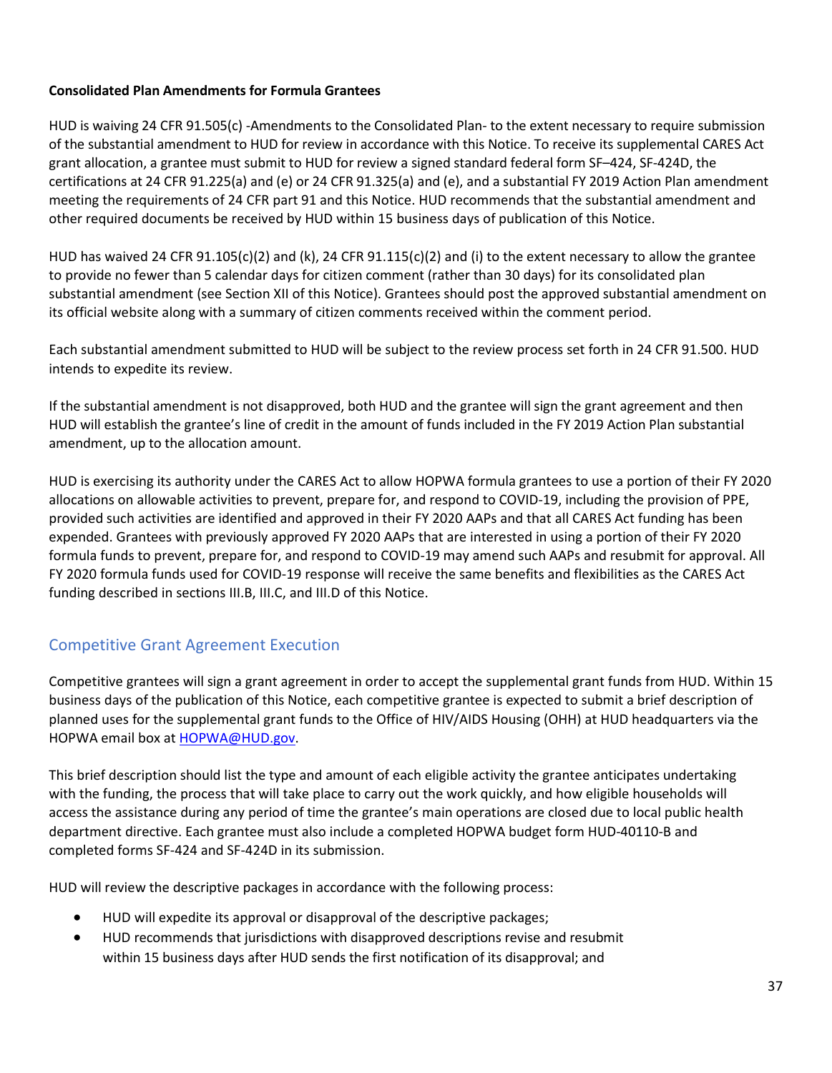### **Consolidated Plan Amendments for Formula Grantees**

HUD is waiving 24 CFR 91.505(c) -Amendments to the Consolidated Plan- to the extent necessary to require submission of the substantial amendment to HUD for review in accordance with this Notice. To receive its supplemental CARES Act grant allocation, a grantee must submit to HUD for review a signed standard federal form SF–424, SF-424D, the certifications at 24 CFR 91.225(a) and (e) or 24 CFR 91.325(a) and (e), and a substantial FY 2019 Action Plan amendment meeting the requirements of 24 CFR part 91 and this Notice. HUD recommends that the substantial amendment and other required documents be received by HUD within 15 business days of publication of this Notice.

HUD has waived 24 CFR 91.105(c)(2) and (k), 24 CFR 91.115(c)(2) and (i) to the extent necessary to allow the grantee to provide no fewer than 5 calendar days for citizen comment (rather than 30 days) for its consolidated plan substantial amendment (see Section XII of this Notice). Grantees should post the approved substantial amendment on its official website along with a summary of citizen comments received within the comment period.

Each substantial amendment submitted to HUD will be subject to the review process set forth in 24 CFR 91.500. HUD intends to expedite its review.

If the substantial amendment is not disapproved, both HUD and the grantee will sign the grant agreement and then HUD will establish the grantee's line of credit in the amount of funds included in the FY 2019 Action Plan substantial amendment, up to the allocation amount.

HUD is exercising its authority under the CARES Act to allow HOPWA formula grantees to use a portion of their FY 2020 allocations on allowable activities to prevent, prepare for, and respond to COVID-19, including the provision of PPE, provided such activities are identified and approved in their FY 2020 AAPs and that all CARES Act funding has been expended. Grantees with previously approved FY 2020 AAPs that are interested in using a portion of their FY 2020 formula funds to prevent, prepare for, and respond to COVID-19 may amend such AAPs and resubmit for approval. All FY 2020 formula funds used for COVID-19 response will receive the same benefits and flexibilities as the CARES Act funding described in sections III.B, III.C, and III.D of this Notice.

### <span id="page-36-0"></span>Competitive Grant Agreement Execution

Competitive grantees will sign a grant agreement in order to accept the supplemental grant funds from HUD. Within 15 business days of the publication of this Notice, each competitive grantee is expected to submit a brief description of planned uses for the supplemental grant funds to the Office of HIV/AIDS Housing (OHH) at HUD headquarters via the HOPWA email box at [HOPWA@HUD.gov.](mailto:HOPWA@HUD.gov)

This brief description should list the type and amount of each eligible activity the grantee anticipates undertaking with the funding, the process that will take place to carry out the work quickly, and how eligible households will access the assistance during any period of time the grantee's main operations are closed due to local public health department directive. Each grantee must also include a completed HOPWA budget form HUD-40110-B and completed forms SF-424 and SF-424D in its submission.

HUD will review the descriptive packages in accordance with the following process:

- HUD will expedite its approval or disapproval of the descriptive packages;
- HUD recommends that jurisdictions with disapproved descriptions revise and resubmit within 15 business days after HUD sends the first notification of its disapproval; and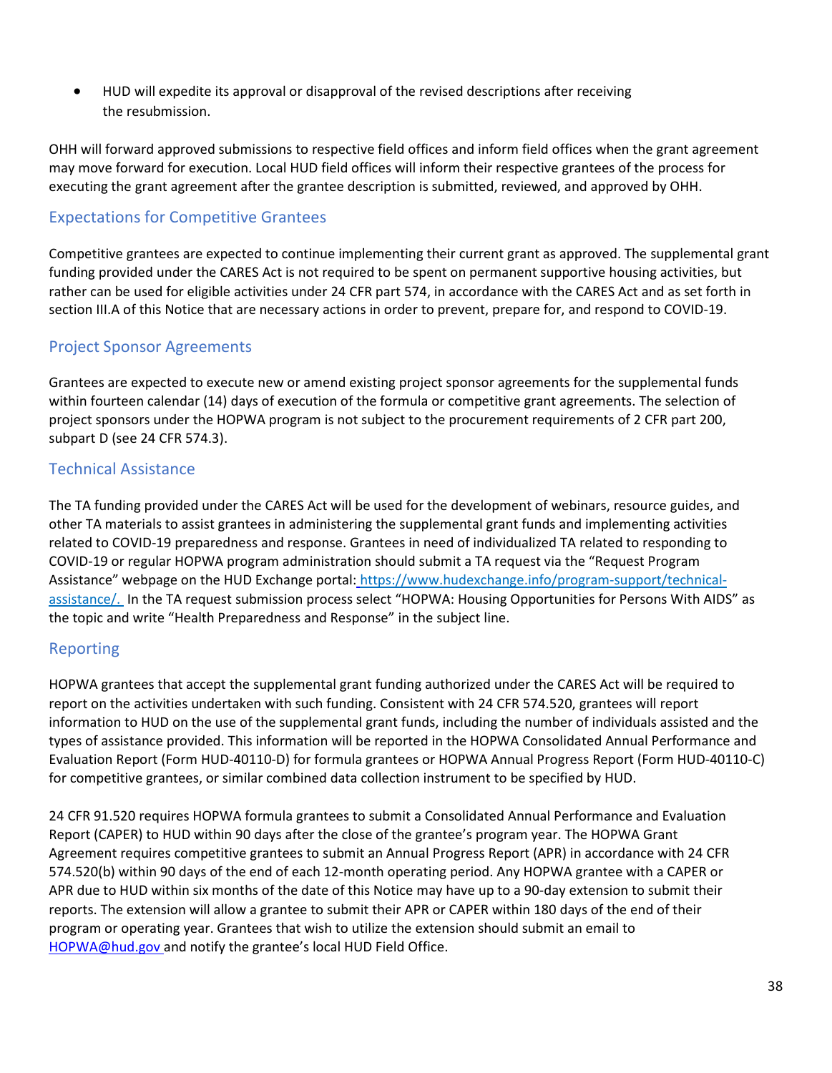HUD will expedite its approval or disapproval of the revised descriptions after receiving the resubmission.

OHH will forward approved submissions to respective field offices and inform field offices when the grant agreement may move forward for execution. Local HUD field offices will inform their respective grantees of the process for executing the grant agreement after the grantee description is submitted, reviewed, and approved by OHH.

### <span id="page-37-0"></span>Expectations for Competitive Grantees

Competitive grantees are expected to continue implementing their current grant as approved. The supplemental grant funding provided under the CARES Act is not required to be spent on permanent supportive housing activities, but rather can be used for eligible activities under 24 CFR part 574, in accordance with the CARES Act and as set forth in section III.A of this Notice that are necessary actions in order to prevent, prepare for, and respond to COVID-19.

### Project Sponsor Agreements

Grantees are expected to execute new or amend existing project sponsor agreements for the supplemental funds within fourteen calendar (14) days of execution of the formula or competitive grant agreements. The selection of project sponsors under the HOPWA program is not subject to the procurement requirements of 2 CFR part 200, subpart D (see 24 CFR 574.3).

### <span id="page-37-1"></span>Technical Assistance

The TA funding provided under the CARES Act will be used for the development of webinars, resource guides, and other TA materials to assist grantees in administering the supplemental grant funds and implementing activities related to COVID-19 preparedness and response. Grantees in need of individualized TA related to responding to COVID-19 or regular HOPWA program administration should submit a TA request via the "Request Program Assistance" webpage on the HUD Exchange portal[:](https://www.hudexchange.info/program-support/technical-assistance/) [https://www.hudexchange.info/program-support/technical](https://www.hudexchange.info/program-support/technical-assistance/)[assistance/.](https://www.hudexchange.info/program-support/technical-assistance/) In the TA request submission process select "HOPWA: Housing Opportunities for Persons With AIDS" as the topic and write "Health Preparedness and Response" in the subject line.

### <span id="page-37-2"></span>Reporting

HOPWA grantees that accept the supplemental grant funding authorized under the CARES Act will be required to report on the activities undertaken with such funding. Consistent with 24 CFR 574.520, grantees will report information to HUD on the use of the supplemental grant funds, including the number of individuals assisted and the types of assistance provided. This information will be reported in the HOPWA Consolidated Annual Performance and Evaluation Report (Form HUD-40110-D) for formula grantees or HOPWA Annual Progress Report (Form HUD-40110-C) for competitive grantees, or similar combined data collection instrument to be specified by HUD.

24 CFR 91.520 requires HOPWA formula grantees to submit a Consolidated Annual Performance and Evaluation Report (CAPER) to HUD within 90 days after the close of the grantee's program year. The HOPWA Grant Agreement requires competitive grantees to submit an Annual Progress Report (APR) in accordance with 24 CFR 574.520(b) within 90 days of the end of each 12-month operating period. Any HOPWA grantee with a CAPER or APR due to HUD within six months of the date of this Notice may have up to a 90-day extension to submit their reports. The extension will allow a grantee to submit their APR or CAPER within 180 days of the end of their program or operating year. Grantees that wish to utilize the extension should submit an email t[o](mailto:HOPWA@hud.gov) [HOPWA@hud.gov](mailto:HOPWA@hud.gov) and notify the grantee's local HUD Field Office.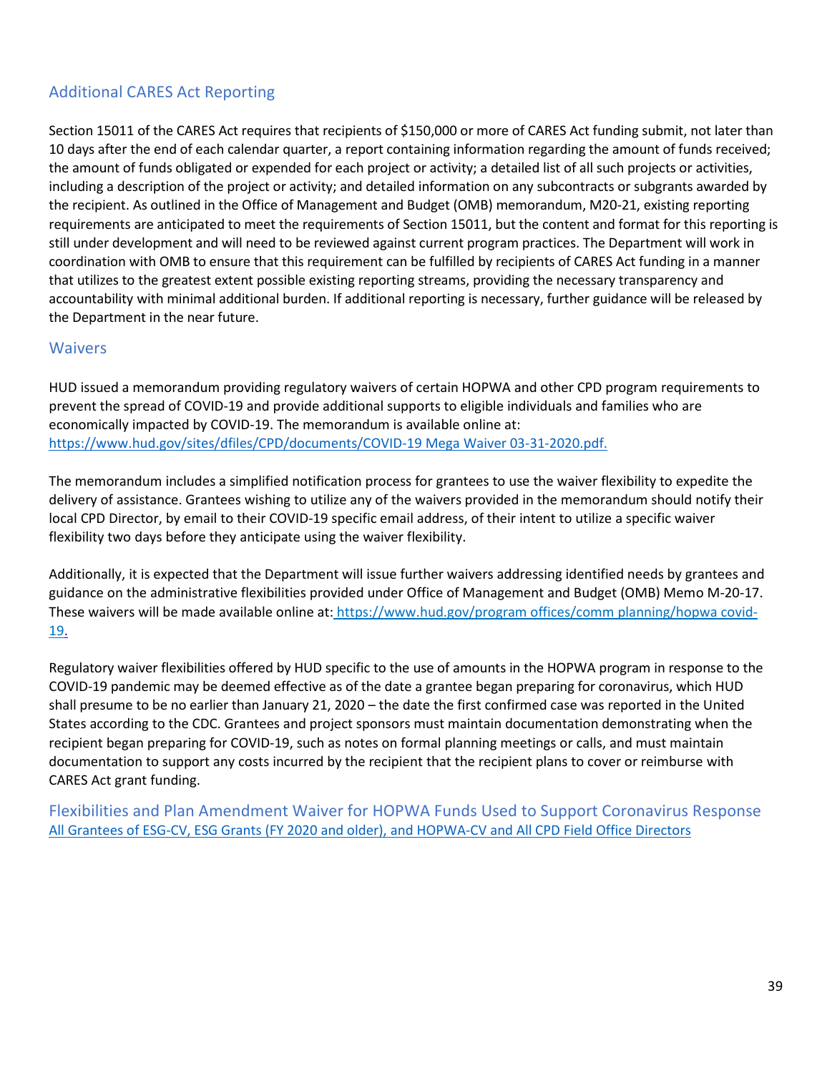### <span id="page-38-0"></span>Additional CARES Act Reporting

Section 15011 of the CARES Act requires that recipients of \$150,000 or more of CARES Act funding submit, not later than 10 days after the end of each calendar quarter, a report containing information regarding the amount of funds received; the amount of funds obligated or expended for each project or activity; a detailed list of all such projects or activities, including a description of the project or activity; and detailed information on any subcontracts or subgrants awarded by the recipient. As outlined in the Office of Management and Budget (OMB) memorandum, M20-21, existing reporting requirements are anticipated to meet the requirements of Section 15011, but the content and format for this reporting is still under development and will need to be reviewed against current program practices. The Department will work in coordination with OMB to ensure that this requirement can be fulfilled by recipients of CARES Act funding in a manner that utilizes to the greatest extent possible existing reporting streams, providing the necessary transparency and accountability with minimal additional burden. If additional reporting is necessary, further guidance will be released by the Department in the near future.

### <span id="page-38-1"></span>**Waivers**

HUD issued a memorandum providing regulatory waivers of certain HOPWA and other CPD program requirements to prevent the spread of COVID-19 and provide additional supports to eligible individuals and families who are economically impacted by COVID-19. The memorandum is available online at: [https://www.hud.gov/sites/dfiles/CPD/documents/COVID-19 Mega Waiver 03-31-2020.pdf.](https://www.hud.gov/sites/dfiles/CPD/documents/COVID-19%20Mega%20Waiver%2003-31-2020.pdf.) 

The memorandum includes a simplified notification process for grantees to use the waiver flexibility to expedite the delivery of assistance. Grantees wishing to utilize any of the waivers provided in the memorandum should notify their local CPD Director, by email to their COVID-19 specific email address, of their intent to utilize a specific waiver flexibility two days before they anticipate using the waiver flexibility.

Additionally, it is expected that the Department will issue further waivers addressing identified needs by grantees and guidance on the administrative flexibilities provided under Office of Management and Budget (OMB) Memo M-20-17. These waivers will be made available online at[: https://www.hud.gov/program offices/comm planning/hopwa covid-](https://www.hud.gov/program_offices/comm_planning/hopwa_covid-19)[19.](https://www.hud.gov/program_offices/comm_planning/hopwa_covid-19) 

Regulatory waiver flexibilities offered by HUD specific to the use of amounts in the HOPWA program in response to the COVID-19 pandemic may be deemed effective as of the date a grantee began preparing for coronavirus, which HUD shall presume to be no earlier than January 21, 2020 – the date the first confirmed case was reported in the United States according to the CDC. Grantees and project sponsors must maintain documentation demonstrating when the recipient began preparing for COVID-19, such as notes on formal planning meetings or calls, and must maintain documentation to support any costs incurred by the recipient that the recipient plans to cover or reimburse with CARES Act grant funding.

<span id="page-38-3"></span><span id="page-38-2"></span>Flexibilities and Plan Amendment Waiver for HOPWA Funds Used to Support Coronavirus Response [All Grantees of ESG-CV, ESG Grants \(FY 2020 and older\), and HOPWA-CV and All CPD Field Office Directors](https://www.hud.gov/sites/dfiles/CPD/documents/ESG_CV_HOPWA_CV_Memo_FINAL_OHHSNAPS_JG_signed_508.pdf)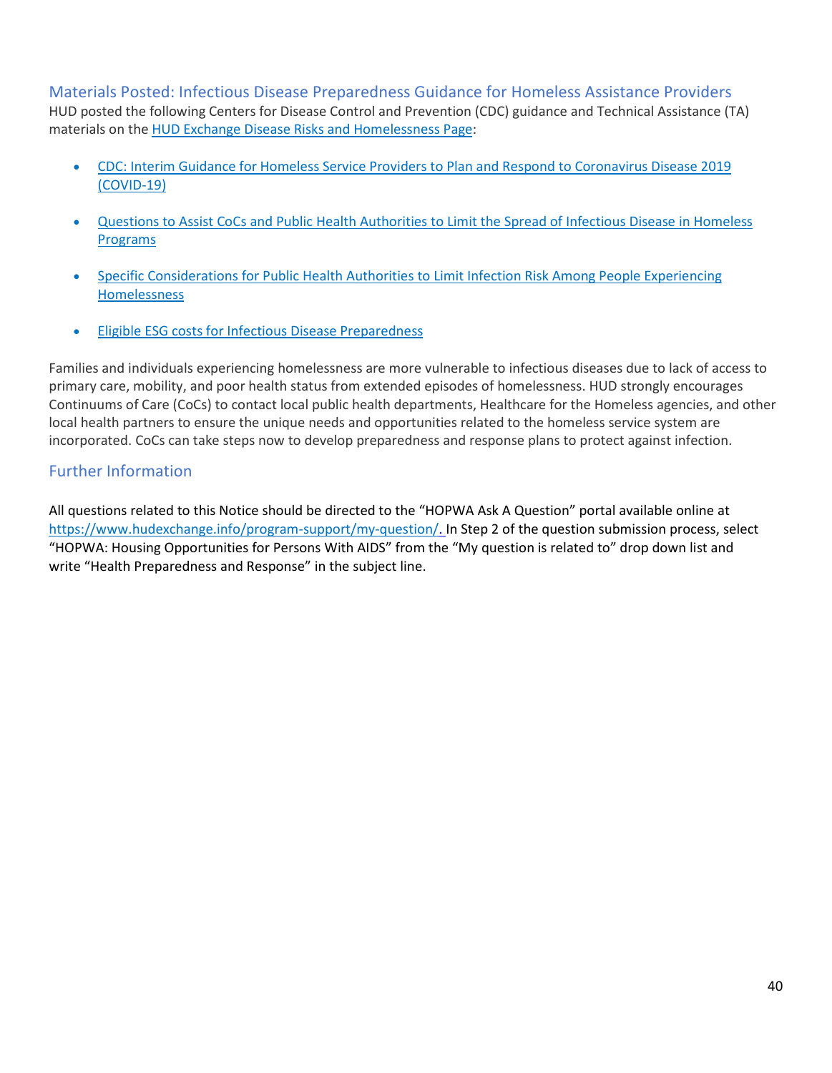### Materials Posted: Infectious Disease Preparedness Guidance for Homeless Assistance Providers

HUD posted the following Centers for Disease Control and Prevention (CDC) guidance and Technical Assistance (TA) materials on th[e HUD Exchange Disease Risks and Homelessness Page:](https://www.hudexchange.info/homelessness-assistance/diseases/)

- [CDC: Interim Guidance for Homeless Service Providers to Plan and Respond to Coronavirus Disease 2019](https://files.hudexchange.info/resources/documents/Interim-Guidance-for-Homeless-Service-Providers-to-Plan-and-Respond-to-COVID-19.pdf)  [\(COVID-19\)](https://files.hudexchange.info/resources/documents/Interim-Guidance-for-Homeless-Service-Providers-to-Plan-and-Respond-to-COVID-19.pdf)
- [Questions to Assist CoCs and Public Health Authorities to Limit the Spread of Infectious Disease in Homeless](https://files.hudexchange.info/resources/documents/Questions-to-Assist-CoCs-and-Public-Health-Authorities-to-Limit-the-Spread-of-Infectious-Disease-in-Homeless-Programs.pdf)  [Programs](https://files.hudexchange.info/resources/documents/Questions-to-Assist-CoCs-and-Public-Health-Authorities-to-Limit-the-Spread-of-Infectious-Disease-in-Homeless-Programs.pdf)
- [Specific Considerations for Public Health Authorities to Limit Infection Risk Among People Experiencing](https://files.hudexchange.info/public/resources/documents/Specific-Considerations-for-Public-Health-Authorities-to-Limit-Infection-Risk-Among-People-Experiencing-Homelessness.pdf)  [Homelessness](https://files.hudexchange.info/public/resources/documents/Specific-Considerations-for-Public-Health-Authorities-to-Limit-Infection-Risk-Among-People-Experiencing-Homelessness.pdf)
- **[Eligible ESG costs for Infectious Disease Preparedness](https://files.hudexchange.info/resources/documents/Eligible-ESG-Program-Costs-for-Infectious-Disease-Preparedness.pdf)**

Families and individuals experiencing homelessness are more vulnerable to infectious diseases due to lack of access to primary care, mobility, and poor health status from extended episodes of homelessness. HUD strongly encourages Continuums of Care (CoCs) to contact local public health departments, Healthcare for the Homeless agencies, and other local health partners to ensure the unique needs and opportunities related to the homeless service system are incorporated. CoCs can take steps now to develop preparedness and response plans to protect against infection.

### <span id="page-39-0"></span>Further Information

All questions related to this Notice should be directed to the "HOPWA Ask A Question" portal available online a[t](https://www.hudexchange.info/program-support/my-question/) [https://www.hudexchange.info/program-support/my-question/.](https://www.hudexchange.info/program-support/my-question/) In Step 2 of the question submission process, select "HOPWA: Housing Opportunities for Persons With AIDS" from the "My question is related to" drop down list and write "Health Preparedness and Response" in the subject line.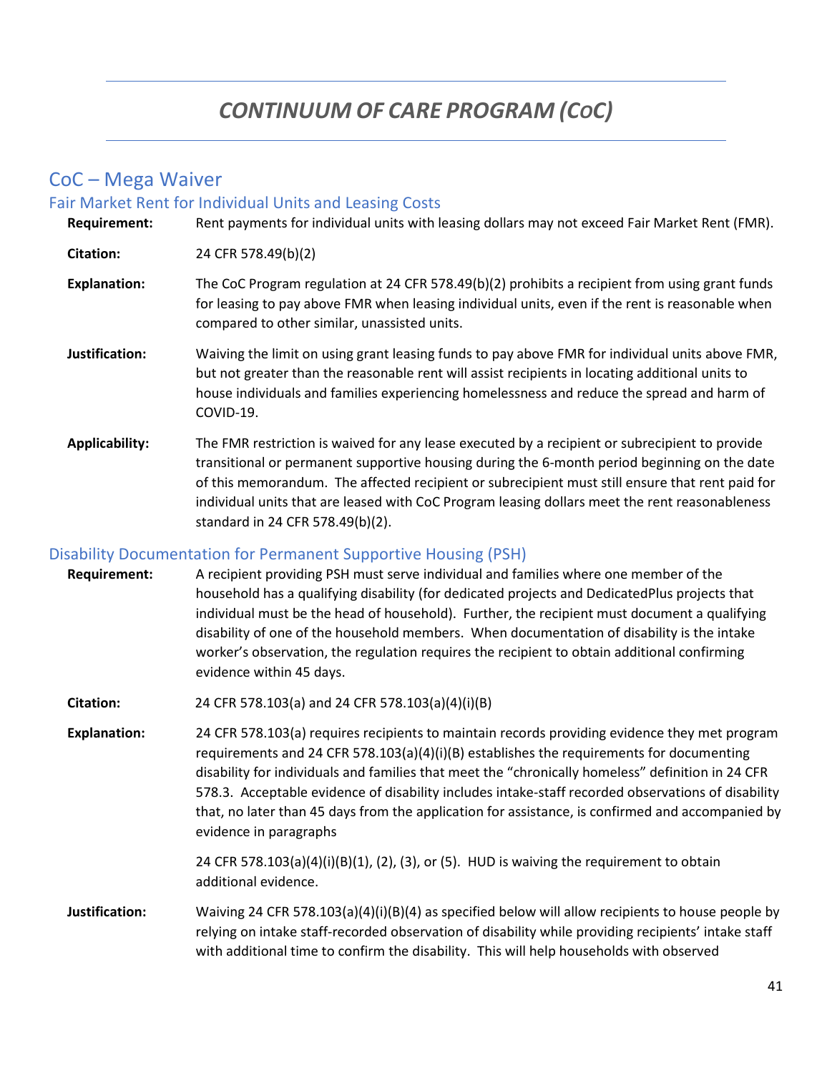# *CONTINUUM OF CARE PROGRAM (COC)*

### <span id="page-40-0"></span>CoC – Mega Waiver

#### <span id="page-40-1"></span>Fair Market Rent for Individual Units and Leasing Costs

**Requirement:** Rent payments for individual units with leasing dollars may not exceed Fair Market Rent (FMR). **Citation:** 24 CFR 578.49(b)(2) **Explanation:** The CoC Program regulation at 24 CFR 578.49(b)(2) prohibits a recipient from using grant funds for leasing to pay above FMR when leasing individual units, even if the rent is reasonable when compared to other similar, unassisted units.

- **Justification:** Waiving the limit on using grant leasing funds to pay above FMR for individual units above FMR, but not greater than the reasonable rent will assist recipients in locating additional units to house individuals and families experiencing homelessness and reduce the spread and harm of COVID-19.
- **Applicability:** The FMR restriction is waived for any lease executed by a recipient or subrecipient to provide transitional or permanent supportive housing during the 6-month period beginning on the date of this memorandum. The affected recipient or subrecipient must still ensure that rent paid for individual units that are leased with CoC Program leasing dollars meet the rent reasonableness standard in 24 CFR 578.49(b)(2).

### <span id="page-40-2"></span>Disability Documentation for Permanent Supportive Housing (PSH)

- **Requirement:** A recipient providing PSH must serve individual and families where one member of the household has a qualifying disability (for dedicated projects and DedicatedPlus projects that individual must be the head of household). Further, the recipient must document a qualifying disability of one of the household members. When documentation of disability is the intake worker's observation, the regulation requires the recipient to obtain additional confirming evidence within 45 days.
- **Citation:** 24 CFR 578.103(a) and 24 CFR 578.103(a)(4)(i)(B)
- **Explanation:** 24 CFR 578.103(a) requires recipients to maintain records providing evidence they met program requirements and 24 CFR 578.103(a)(4)(i)(B) establishes the requirements for documenting disability for individuals and families that meet the "chronically homeless" definition in 24 CFR 578.3. Acceptable evidence of disability includes intake-staff recorded observations of disability that, no later than 45 days from the application for assistance, is confirmed and accompanied by evidence in paragraphs

24 CFR 578.103(a)(4)(i)(B)(1), (2), (3), or (5). HUD is waiving the requirement to obtain additional evidence.

**Justification:** Waiving 24 CFR 578.103(a)(4)(i)(B)(4) as specified below will allow recipients to house people by relying on intake staff-recorded observation of disability while providing recipients' intake staff with additional time to confirm the disability. This will help households with observed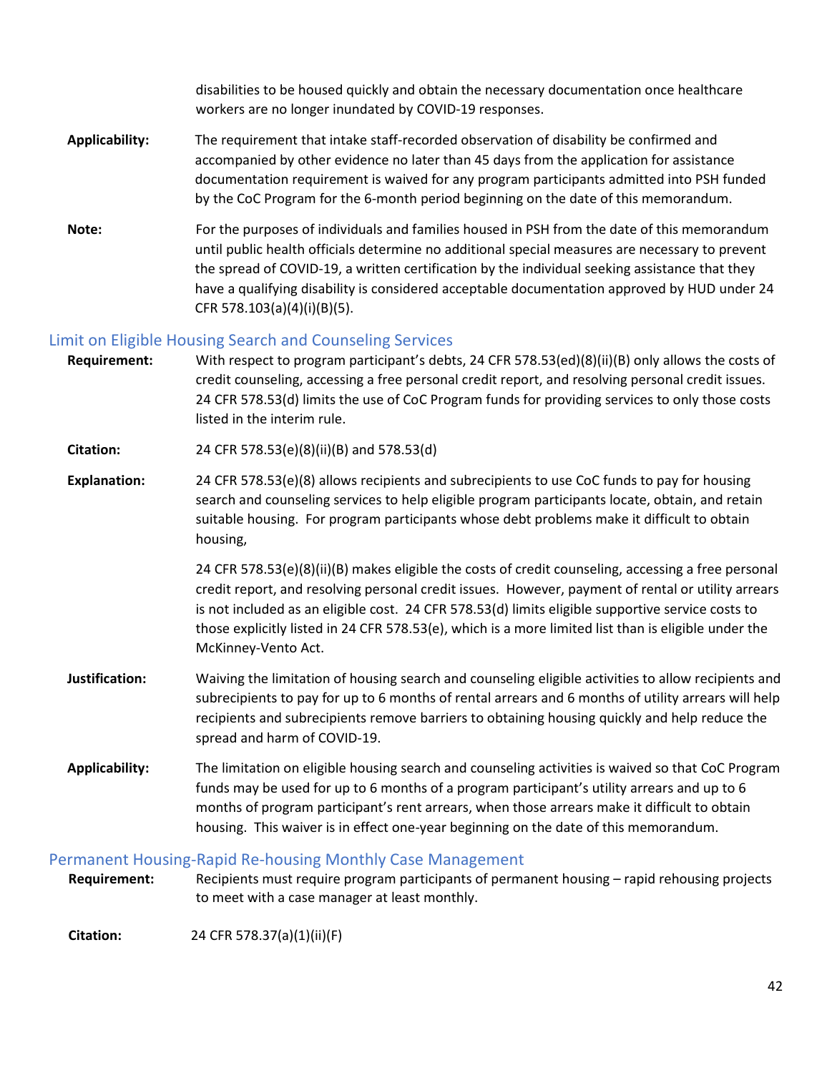disabilities to be housed quickly and obtain the necessary documentation once healthcare workers are no longer inundated by COVID-19 responses.

- **Applicability:** The requirement that intake staff-recorded observation of disability be confirmed and accompanied by other evidence no later than 45 days from the application for assistance documentation requirement is waived for any program participants admitted into PSH funded by the CoC Program for the 6-month period beginning on the date of this memorandum.
- **Note:** For the purposes of individuals and families housed in PSH from the date of this memorandum until public health officials determine no additional special measures are necessary to prevent the spread of COVID-19, a written certification by the individual seeking assistance that they have a qualifying disability is considered acceptable documentation approved by HUD under 24 CFR 578.103(a)(4)(i)(B)(5).

### <span id="page-41-0"></span>Limit on Eligible Housing Search and Counseling Services

**Requirement:** With respect to program participant's debts, 24 CFR 578.53(ed)(8)(ii)(B) only allows the costs of credit counseling, accessing a free personal credit report, and resolving personal credit issues. 24 CFR 578.53(d) limits the use of CoC Program funds for providing services to only those costs listed in the interim rule.

**Citation:** 24 CFR 578.53(e)(8)(ii)(B) and 578.53(d)

**Explanation:** 24 CFR 578.53(e)(8) allows recipients and subrecipients to use CoC funds to pay for housing search and counseling services to help eligible program participants locate, obtain, and retain suitable housing. For program participants whose debt problems make it difficult to obtain housing,

> 24 CFR 578.53(e)(8)(ii)(B) makes eligible the costs of credit counseling, accessing a free personal credit report, and resolving personal credit issues. However, payment of rental or utility arrears is not included as an eligible cost. 24 CFR 578.53(d) limits eligible supportive service costs to those explicitly listed in 24 CFR 578.53(e), which is a more limited list than is eligible under the McKinney-Vento Act.

- **Justification:** Waiving the limitation of housing search and counseling eligible activities to allow recipients and subrecipients to pay for up to 6 months of rental arrears and 6 months of utility arrears will help recipients and subrecipients remove barriers to obtaining housing quickly and help reduce the spread and harm of COVID-19.
- **Applicability:** The limitation on eligible housing search and counseling activities is waived so that CoC Program funds may be used for up to 6 months of a program participant's utility arrears and up to 6 months of program participant's rent arrears, when those arrears make it difficult to obtain housing. This waiver is in effect one-year beginning on the date of this memorandum.

### <span id="page-41-1"></span>Permanent Housing-Rapid Re-housing Monthly Case Management

**Requirement:** Recipients must require program participants of permanent housing – rapid rehousing projects to meet with a case manager at least monthly.

**Citation:** 24 CFR 578.37(a)(1)(ii)(F)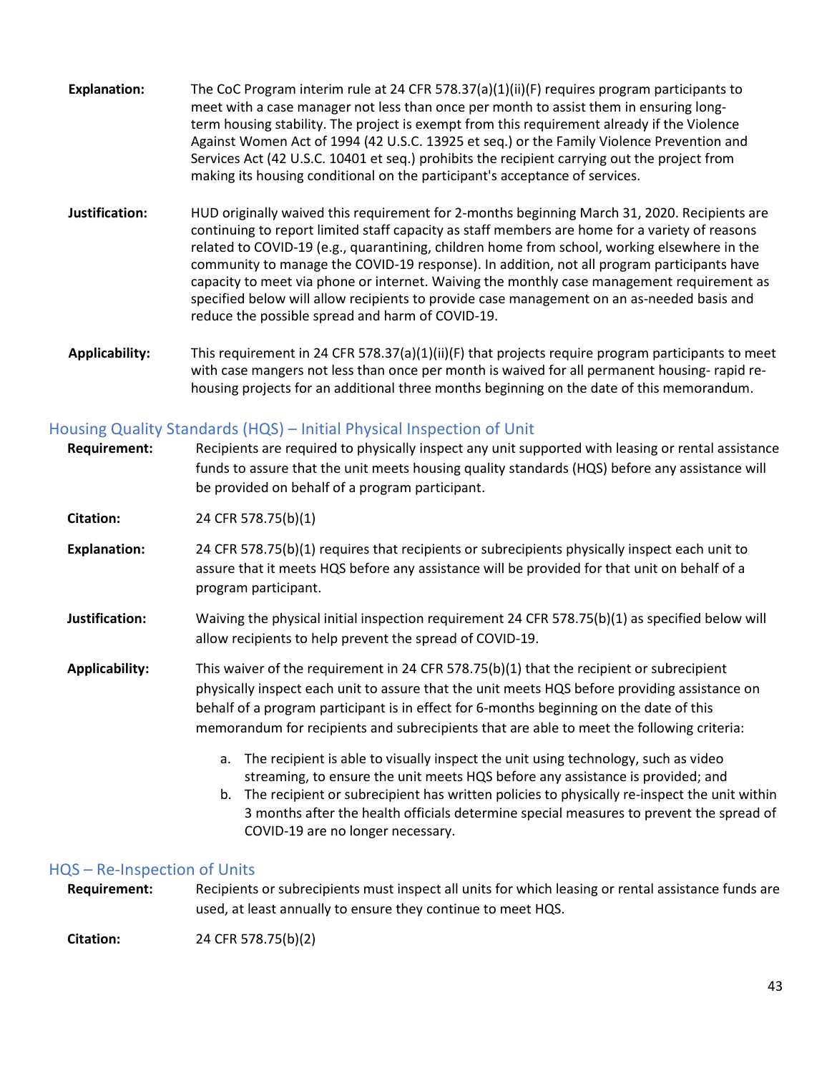- **Explanation:** The CoC Program interim rule at 24 CFR 578.37(a)(1)(ii)(F) requires program participants to meet with a case manager not less than once per month to assist them in ensuring longterm housing stability. The project is exempt from this requirement already if the Violence Against Women Act of 1994 (42 U.S.C. 13925 et seq.) or the Family Violence Prevention and Services Act (42 U.S.C. 10401 et seq.) prohibits the recipient carrying out the project from making its housing conditional on the participant's acceptance of services.
- **Justification:** HUD originally waived this requirement for 2-months beginning March 31, 2020. Recipients are continuing to report limited staff capacity as staff members are home for a variety of reasons related to COVID-19 (e.g., quarantining, children home from school, working elsewhere in the community to manage the COVID-19 response). In addition, not all program participants have capacity to meet via phone or internet. Waiving the monthly case management requirement as specified below will allow recipients to provide case management on an as-needed basis and reduce the possible spread and harm of COVID-19.
- **Applicability:** This requirement in 24 CFR 578.37(a)(1)(ii)(F) that projects require program participants to meet with case mangers not less than once per month is waived for all permanent housing- rapid rehousing projects for an additional three months beginning on the date of this memorandum.

### <span id="page-42-0"></span>Housing Quality Standards (HQS) – Initial Physical Inspection of Unit

| <b>Requirement:</b>   | Recipients are required to physically inspect any unit supported with leasing or rental assistance<br>funds to assure that the unit meets housing quality standards (HQS) before any assistance will<br>be provided on behalf of a program participant.                                                                                                                                                         |
|-----------------------|-----------------------------------------------------------------------------------------------------------------------------------------------------------------------------------------------------------------------------------------------------------------------------------------------------------------------------------------------------------------------------------------------------------------|
| Citation:             | 24 CFR 578.75(b)(1)                                                                                                                                                                                                                                                                                                                                                                                             |
| <b>Explanation:</b>   | 24 CFR 578.75(b)(1) requires that recipients or subrecipients physically inspect each unit to<br>assure that it meets HQS before any assistance will be provided for that unit on behalf of a<br>program participant.                                                                                                                                                                                           |
| Justification:        | Waiving the physical initial inspection requirement 24 CFR 578.75(b)(1) as specified below will<br>allow recipients to help prevent the spread of COVID-19.                                                                                                                                                                                                                                                     |
| <b>Applicability:</b> | This waiver of the requirement in 24 CFR 578.75(b)(1) that the recipient or subrecipient<br>physically inspect each unit to assure that the unit meets HQS before providing assistance on<br>behalf of a program participant is in effect for 6-months beginning on the date of this<br>memorandum for recipients and subrecipients that are able to meet the following criteria:                               |
|                       | The recipient is able to visually inspect the unit using technology, such as video<br>a.<br>streaming, to ensure the unit meets HQS before any assistance is provided; and<br>The recipient or subrecipient has written policies to physically re-inspect the unit within<br>b.<br>3 months after the health officials determine special measures to prevent the spread of<br>COVID-19 are no longer necessary. |

### <span id="page-42-1"></span>HQS – Re-Inspection of Units

**Requirement:** Recipients or subrecipients must inspect all units for which leasing or rental assistance funds are used, at least annually to ensure they continue to meet HQS.

**Citation:** 24 CFR 578.75(b)(2)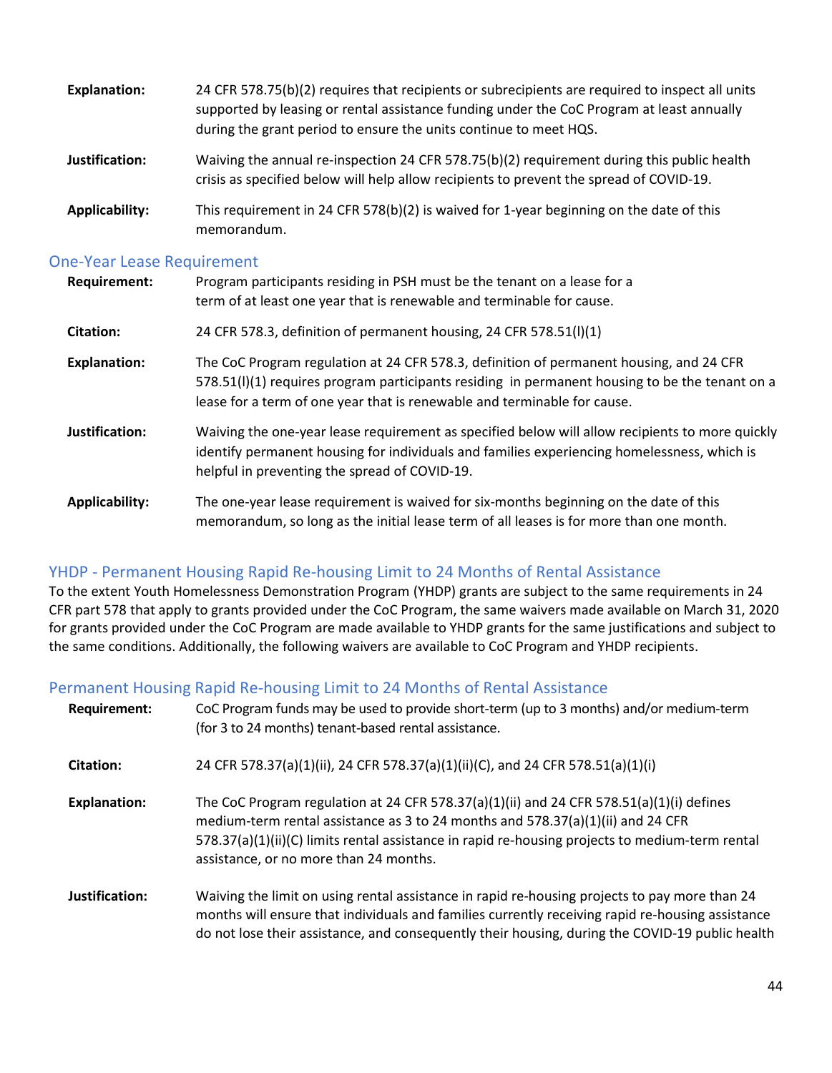| <b>Explanation:</b> | 24 CFR 578.75(b)(2) requires that recipients or subrecipients are required to inspect all units<br>supported by leasing or rental assistance funding under the CoC Program at least annually<br>during the grant period to ensure the units continue to meet HQS. |
|---------------------|-------------------------------------------------------------------------------------------------------------------------------------------------------------------------------------------------------------------------------------------------------------------|
| Justification:      | Waiving the annual re-inspection 24 CFR 578.75(b)(2) requirement during this public health<br>crisis as specified below will help allow recipients to prevent the spread of COVID-19.                                                                             |
| Applicability:      | This requirement in 24 CFR 578(b)(2) is waived for 1-year beginning on the date of this<br>memorandum.                                                                                                                                                            |

### <span id="page-43-0"></span>One-Year Lease Requirement

| <b>Requirement:</b> | Program participants residing in PSH must be the tenant on a lease for a<br>term of at least one year that is renewable and terminable for cause.                                                                                                                     |
|---------------------|-----------------------------------------------------------------------------------------------------------------------------------------------------------------------------------------------------------------------------------------------------------------------|
| <b>Citation:</b>    | 24 CFR 578.3, definition of permanent housing, 24 CFR 578.51(I)(1)                                                                                                                                                                                                    |
| <b>Explanation:</b> | The CoC Program regulation at 24 CFR 578.3, definition of permanent housing, and 24 CFR<br>578.51(I)(1) requires program participants residing in permanent housing to be the tenant on a<br>lease for a term of one year that is renewable and terminable for cause. |
| Justification:      | Waiving the one-year lease requirement as specified below will allow recipients to more quickly<br>identify permanent housing for individuals and families experiencing homelessness, which is<br>helpful in preventing the spread of COVID-19.                       |
| Applicability:      | The one-year lease requirement is waived for six-months beginning on the date of this<br>memorandum, so long as the initial lease term of all leases is for more than one month.                                                                                      |

### YHDP - Permanent Housing Rapid Re-housing Limit to 24 Months of Rental Assistance

To the extent Youth Homelessness Demonstration Program (YHDP) grants are subject to the same requirements in 24 CFR part 578 that apply to grants provided under the CoC Program, the same waivers made available on March 31, 2020 for grants provided under the CoC Program are made available to YHDP grants for the same justifications and subject to the same conditions. Additionally, the following waivers are available to CoC Program and YHDP recipients.

### <span id="page-43-1"></span>Permanent Housing Rapid Re-housing Limit to 24 Months of Rental Assistance

| <b>Requirement:</b> | CoC Program funds may be used to provide short-term (up to 3 months) and/or medium-term<br>(for 3 to 24 months) tenant-based rental assistance.                                                                                                                                                                            |
|---------------------|----------------------------------------------------------------------------------------------------------------------------------------------------------------------------------------------------------------------------------------------------------------------------------------------------------------------------|
| Citation:           | 24 CFR 578.37(a)(1)(ii), 24 CFR 578.37(a)(1)(ii)(C), and 24 CFR 578.51(a)(1)(i)                                                                                                                                                                                                                                            |
| <b>Explanation:</b> | The CoC Program regulation at 24 CFR 578.37(a)(1)(ii) and 24 CFR 578.51(a)(1)(i) defines<br>medium-term rental assistance as 3 to 24 months and $578.37(a)(1)(ii)$ and 24 CFR<br>578.37(a)(1)(ii)(C) limits rental assistance in rapid re-housing projects to medium-term rental<br>assistance, or no more than 24 months. |
| Justification:      | Waiving the limit on using rental assistance in rapid re-housing projects to pay more than 24<br>months will ensure that individuals and families currently receiving rapid re-housing assistance<br>do not lose their assistance, and consequently their housing, during the COVID-19 public health                       |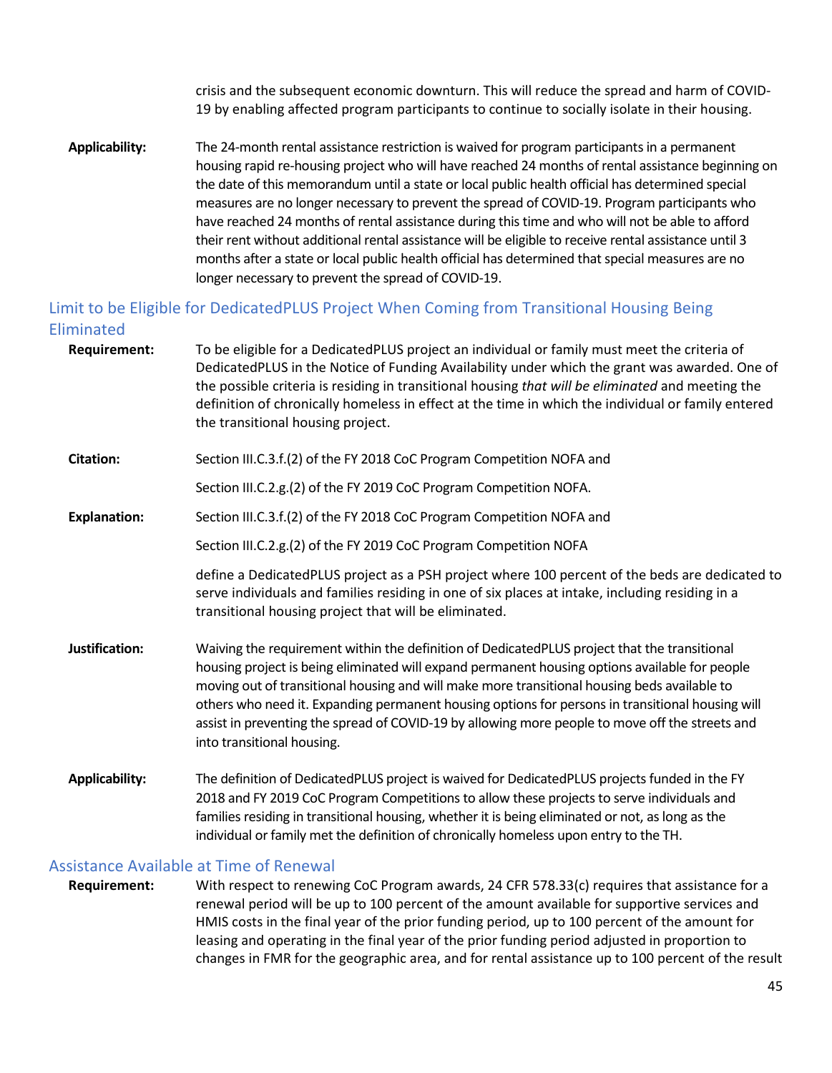crisis and the subsequent economic downturn. This will reduce the spread and harm of COVID-19 by enabling affected program participants to continue to socially isolate in their housing.

**Applicability:** The 24-month rental assistance restriction is waived for program participants in a permanent housing rapid re-housing project who will have reached 24 months of rental assistance beginning on the date of this memorandum until a state or local public health official has determined special measures are no longer necessary to prevent the spread of COVID-19. Program participants who have reached 24 months of rental assistance during this time and who will not be able to afford their rent without additional rental assistance will be eligible to receive rental assistance until 3 months after a state or local public health official has determined that special measures are no longer necessary to prevent the spread of COVID-19.

### <span id="page-44-0"></span>Limit to be Eligible for DedicatedPLUS Project When Coming from Transitional Housing Being Eliminated

| <b>Requirement:</b>   | To be eligible for a DedicatedPLUS project an individual or family must meet the criteria of<br>DedicatedPLUS in the Notice of Funding Availability under which the grant was awarded. One of<br>the possible criteria is residing in transitional housing that will be eliminated and meeting the<br>definition of chronically homeless in effect at the time in which the individual or family entered<br>the transitional housing project.                                                                                       |
|-----------------------|-------------------------------------------------------------------------------------------------------------------------------------------------------------------------------------------------------------------------------------------------------------------------------------------------------------------------------------------------------------------------------------------------------------------------------------------------------------------------------------------------------------------------------------|
| <b>Citation:</b>      | Section III.C.3.f.(2) of the FY 2018 CoC Program Competition NOFA and                                                                                                                                                                                                                                                                                                                                                                                                                                                               |
|                       | Section III.C.2.g.(2) of the FY 2019 CoC Program Competition NOFA.                                                                                                                                                                                                                                                                                                                                                                                                                                                                  |
| <b>Explanation:</b>   | Section III.C.3.f.(2) of the FY 2018 CoC Program Competition NOFA and                                                                                                                                                                                                                                                                                                                                                                                                                                                               |
|                       | Section III.C.2.g.(2) of the FY 2019 CoC Program Competition NOFA                                                                                                                                                                                                                                                                                                                                                                                                                                                                   |
|                       | define a DedicatedPLUS project as a PSH project where 100 percent of the beds are dedicated to<br>serve individuals and families residing in one of six places at intake, including residing in a<br>transitional housing project that will be eliminated.                                                                                                                                                                                                                                                                          |
| Justification:        | Waiving the requirement within the definition of DedicatedPLUS project that the transitional<br>housing project is being eliminated will expand permanent housing options available for people<br>moving out of transitional housing and will make more transitional housing beds available to<br>others who need it. Expanding permanent housing options for persons in transitional housing will<br>assist in preventing the spread of COVID-19 by allowing more people to move off the streets and<br>into transitional housing. |
| <b>Applicability:</b> | The definition of DedicatedPLUS project is waived for DedicatedPLUS projects funded in the FY<br>2018 and FY 2019 CoC Program Competitions to allow these projects to serve individuals and<br>families residing in transitional housing, whether it is being eliminated or not, as long as the<br>individual or family met the definition of chronically homeless upon entry to the TH.                                                                                                                                            |

### <span id="page-44-1"></span>Assistance Available at Time of Renewal

**Requirement:** With respect to renewing CoC Program awards, 24 CFR 578.33(c) requires that assistance for a renewal period will be up to 100 percent of the amount available for supportive services and HMIS costs in the final year of the prior funding period, up to 100 percent of the amount for leasing and operating in the final year of the prior funding period adjusted in proportion to changes in FMR for the geographic area, and for rental assistance up to 100 percent of the result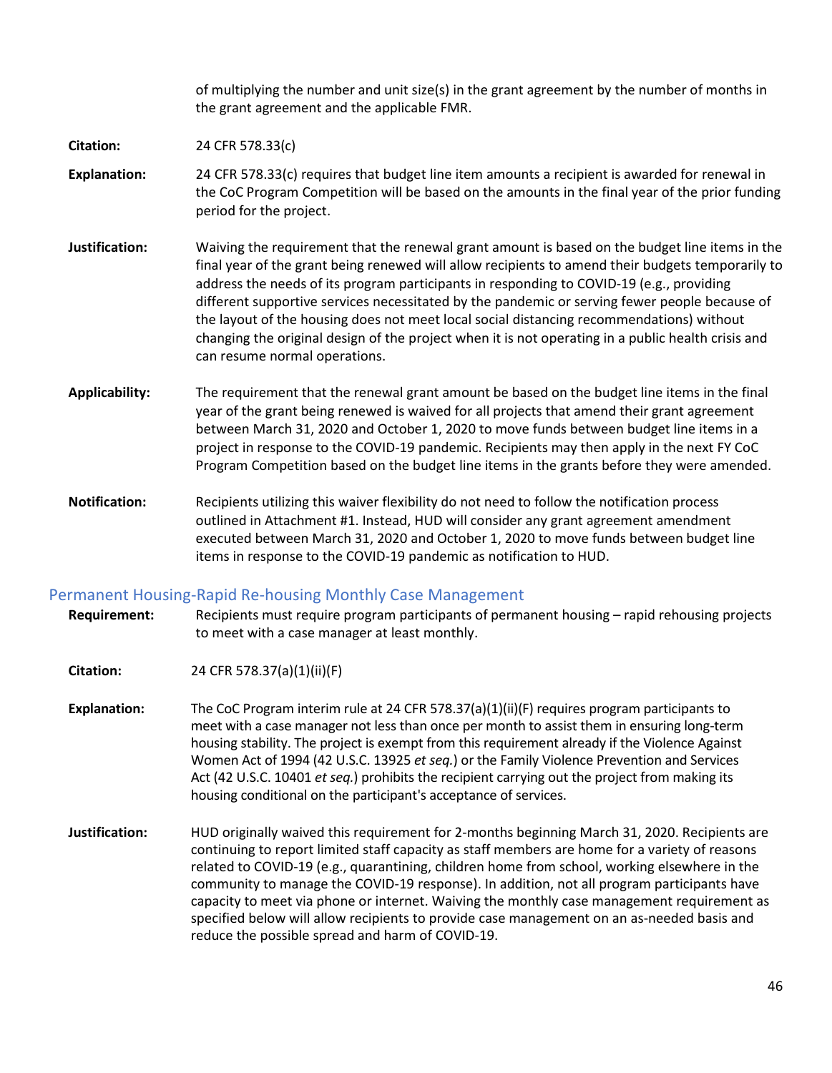of multiplying the number and unit size(s) in the grant agreement by the number of months in the grant agreement and the applicable FMR.

#### **Citation:** 24 CFR 578.33(c)

**Explanation:** 24 CFR 578.33(c) requires that budget line item amounts a recipient is awarded for renewal in the CoC Program Competition will be based on the amounts in the final year of the prior funding period for the project.

- **Justification:** Waiving the requirement that the renewal grant amount is based on the budget line items in the final year of the grant being renewed will allow recipients to amend their budgets temporarily to address the needs of its program participants in responding to COVID-19 (e.g., providing different supportive services necessitated by the pandemic or serving fewer people because of the layout of the housing does not meet local social distancing recommendations) without changing the original design of the project when it is not operating in a public health crisis and can resume normal operations.
- **Applicability:** The requirement that the renewal grant amount be based on the budget line items in the final year of the grant being renewed is waived for all projects that amend their grant agreement between March 31, 2020 and October 1, 2020 to move funds between budget line items in a project in response to the COVID-19 pandemic. Recipients may then apply in the next FY CoC Program Competition based on the budget line items in the grants before they were amended.
- **Notification:** Recipients utilizing this waiver flexibility do not need to follow the notification process outlined in Attachment #1. Instead, HUD will consider any grant agreement amendment executed between March 31, 2020 and October 1, 2020 to move funds between budget line items in response to the COVID-19 pandemic as notification to HUD.

### <span id="page-45-0"></span>Permanent Housing-Rapid Re-housing Monthly Case Management

- **Requirement:** Recipients must require program participants of permanent housing rapid rehousing projects to meet with a case manager at least monthly.
- **Citation:** 24 CFR 578.37(a)(1)(ii)(F)
- **Explanation:** The CoC Program interim rule at 24 CFR 578.37(a)(1)(ii)(F) requires program participants to meet with a case manager not less than once per month to assist them in ensuring long-term housing stability. The project is exempt from this requirement already if the Violence Against Women Act of 1994 (42 U.S.C. 13925 *et seq.*) or the Family Violence Prevention and Services Act (42 U.S.C. 10401 *et seq.*) prohibits the recipient carrying out the project from making its housing conditional on the participant's acceptance of services.
- **Justification:** HUD originally waived this requirement for 2-months beginning March 31, 2020. Recipients are continuing to report limited staff capacity as staff members are home for a variety of reasons related to COVID-19 (e.g., quarantining, children home from school, working elsewhere in the community to manage the COVID-19 response). In addition, not all program participants have capacity to meet via phone or internet. Waiving the monthly case management requirement as specified below will allow recipients to provide case management on an as-needed basis and reduce the possible spread and harm of COVID-19.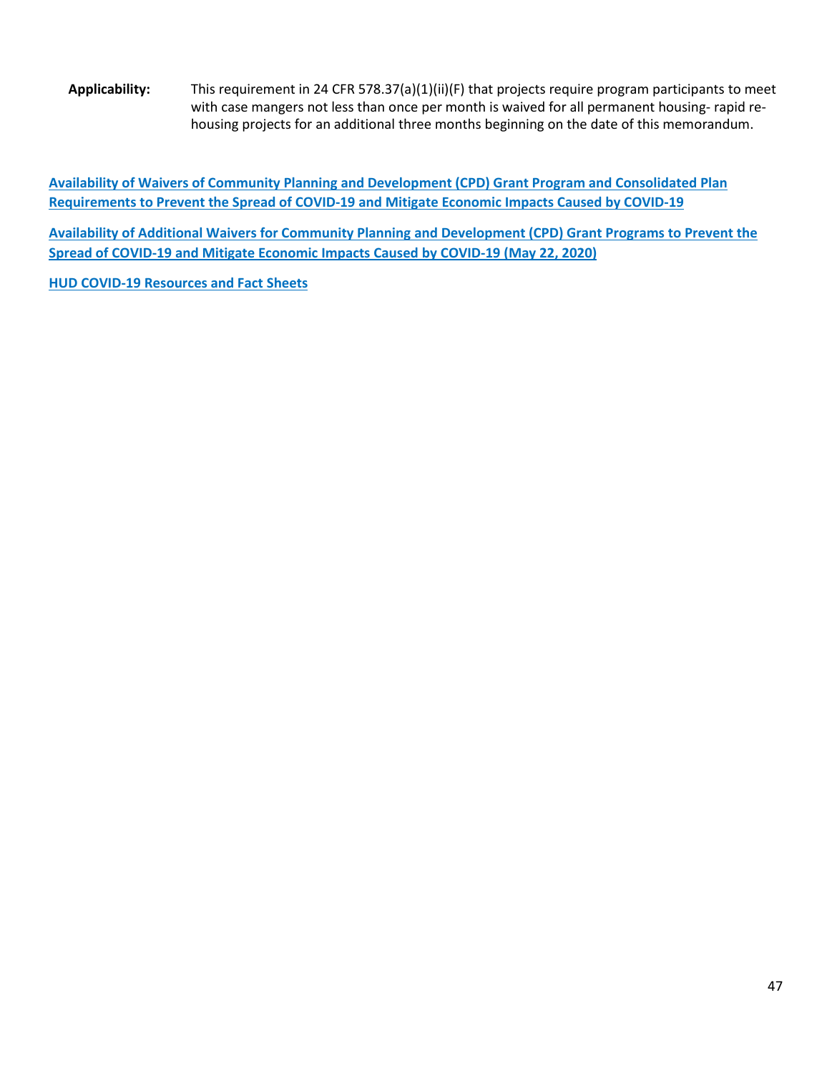**Applicability:** This requirement in 24 CFR 578.37(a)(1)(ii)(F) that projects require program participants to meet with case mangers not less than once per month is waived for all permanent housing- rapid rehousing projects for an additional three months beginning on the date of this memorandum.

**[Availability of Waivers of Community Planning and Development \(CPD\) Grant Program and Consolidated Plan](https://files.hudexchange.info/resources/documents/Availability-of-Waivers-of-CPD-Grant-Program-and-Consolidated-Plan-Requirements-to-Prevent-the-Spread-of-COVID-19-and-Mitigate-Economic-Impacts-Caused-by-COVID-19.pdf)  [Requirements to Prevent the Spread of COVID-19 and Mitigate Economic Impacts Caused by COVID-19](https://files.hudexchange.info/resources/documents/Availability-of-Waivers-of-CPD-Grant-Program-and-Consolidated-Plan-Requirements-to-Prevent-the-Spread-of-COVID-19-and-Mitigate-Economic-Impacts-Caused-by-COVID-19.pdf)**

**[Availability of Additional Waivers for Community Planning and Development \(CPD\) Grant Programs to Prevent the](https://www.hud.gov/sites/dfiles/CPD/documents/Additional_Waivers_for_CPD_Grant_Programs_to_Prevent_COVID-19_Spread_and_Mitigate_COVID-19_Economic_Impacts.pdf)  [Spread of COVID-19 and Mitigate Economic Impacts Caused by COVID-19 \(May 22, 2020\)](https://www.hud.gov/sites/dfiles/CPD/documents/Additional_Waivers_for_CPD_Grant_Programs_to_Prevent_COVID-19_Spread_and_Mitigate_COVID-19_Economic_Impacts.pdf)**

**[HUD COVID-19 Resources and Fact Sheets](https://www.hud.gov/program_offices/comm_planning)**